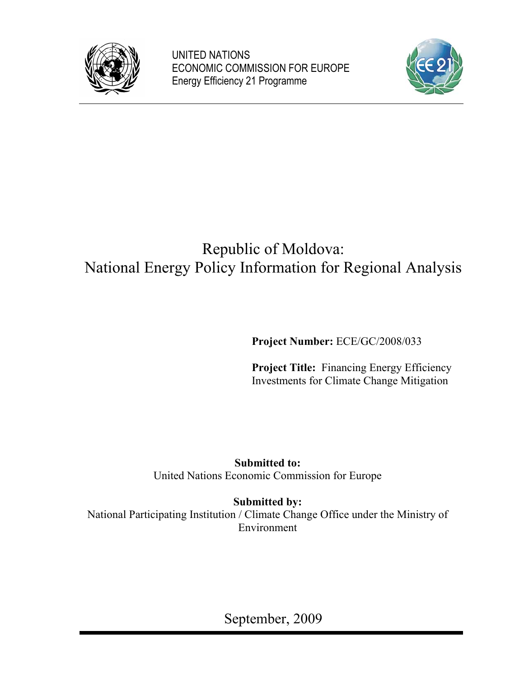

UNITED NATIONS ECONOMIC COMMISSION FOR EUROPE Energy Efficiency 21 Programme



# Republic of Moldova: National Energy Policy Information for Regional Analysis

**Project Number:** ECE/GC/2008/033

**Project Title:** Financing Energy Efficiency Investments for Climate Change Mitigation

**Submitted to:** United Nations Economic Commission for Europe

**Submitted by:** National Participating Institution / Climate Change Office under the Ministry of Environment

September, 2009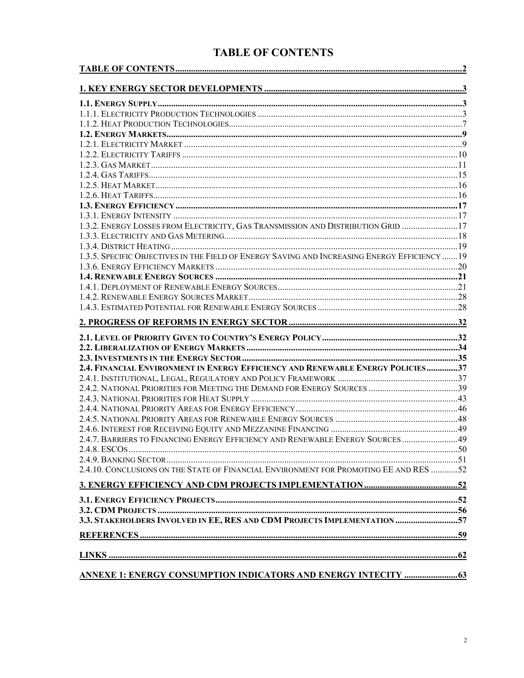# **TABLE OF CONTENTS**

| 1.3.2. ENERGY LOSSES FROM ELECTRICITY, GAS TRANSMISSION AND DISTRIBUTION GRID 17              |  |
|-----------------------------------------------------------------------------------------------|--|
|                                                                                               |  |
|                                                                                               |  |
| 1.3.5. SPECIFIC OBJECTIVES IN THE FIELD OF ENERGY SAVING AND INCREASING ENERGY EFFICIENCY  19 |  |
|                                                                                               |  |
|                                                                                               |  |
|                                                                                               |  |
|                                                                                               |  |
|                                                                                               |  |
|                                                                                               |  |
|                                                                                               |  |
|                                                                                               |  |
|                                                                                               |  |
| 2.4. FINANCIAL ENVIRONMENT IN ENERGY EFFICIENCY AND RENEWABLE ENERGY POLICIES37               |  |
|                                                                                               |  |
|                                                                                               |  |
|                                                                                               |  |
|                                                                                               |  |
|                                                                                               |  |
|                                                                                               |  |
| 2.4.7. BARRIERS TO FINANCING ENERGY EFFICIENCY AND RENEWABLE ENERGY SOURCES  49               |  |
|                                                                                               |  |
|                                                                                               |  |
| 2.4.10. CONCLUSIONS ON THE STATE OF FINANCIAL ENVIRONMENT FOR PROMOTING EE AND RES 52         |  |
|                                                                                               |  |
|                                                                                               |  |
|                                                                                               |  |
| 3.3. STAKEHOLDERS INVOLVED IN EE, RES AND CDM PROJECTS IMPLEMENTATION 57                      |  |
|                                                                                               |  |
|                                                                                               |  |
|                                                                                               |  |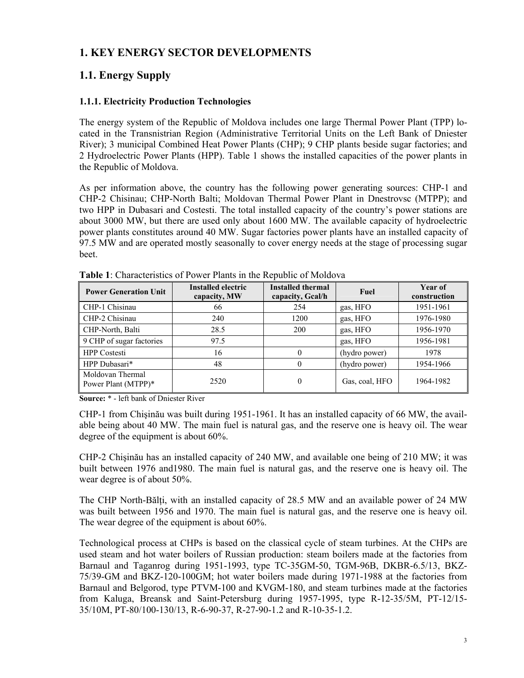# **1. KEY ENERGY SECTOR DEVELOPMENTS**

# **1.1. Energy Supply**

### **1.1.1. Electricity Production Technologies**

The energy system of the Republic of Moldova includes one large Thermal Power Plant (TPP) located in the Transnistrian Region (Administrative Territorial Units on the Left Bank of Dniester River); 3 municipal Combined Heat Power Plants (CHP); 9 CHP plants beside sugar factories; and 2 Hydroelectric Power Plants (HPP). Table 1 shows the installed capacities of the power plants in the Republic of Moldova.

As per information above, the country has the following power generating sources: CHP-1 and CHP-2 Chisinau; CHP-North Balti; Moldovan Thermal Power Plant in Dnestrovsc (MTPP); and two HPP in Dubasari and Costesti. The total installed capacity of the country's power stations are about 3000 MW, but there are used only about 1600 MW. The available capacity of hydroelectric power plants constitutes around 40 MW. Sugar factories power plants have an installed capacity of 97.5 MW and are operated mostly seasonally to cover energy needs at the stage of processing sugar beet.

| <b>Power Generation Unit</b>            | Installed electric<br>capacity, MW | <b>Installed thermal</b><br>capacity, Gcal/h | Fuel           | <b>Year of</b><br>construction |
|-----------------------------------------|------------------------------------|----------------------------------------------|----------------|--------------------------------|
| CHP-1 Chisinau                          | 66                                 | 254                                          | gas, HFO       | 1951-1961                      |
| CHP-2 Chisinau                          | 240                                | 1200                                         | gas, HFO       | 1976-1980                      |
| CHP-North, Balti                        | 28.5                               | 200                                          | gas, HFO       | 1956-1970                      |
| 9 CHP of sugar factories                | 97.5                               |                                              | gas, HFO       | 1956-1981                      |
| <b>HPP</b> Costesti                     | 16                                 | $\theta$                                     | (hydro power)  | 1978                           |
| HPP Dubasari*                           | 48                                 | 0                                            | (hydro power)  | 1954-1966                      |
| Moldovan Thermal<br>Power Plant (MTPP)* | 2520                               | $\theta$                                     | Gas, coal, HFO | 1964-1982                      |

**Table 1**: Characteristics of Power Plants in the Republic of Moldova

**Source:** \* - left bank of Dniester River

CHP-1 from Chişinău was built during 1951-1961. It has an installed capacity of 66 MW, the available being about 40 MW. The main fuel is natural gas, and the reserve one is heavy oil. The wear degree of the equipment is about 60%.

CHP-2 Chişinău has an installed capacity of 240 MW, and available one being of 210 MW; it was built between 1976 and1980. The main fuel is natural gas, and the reserve one is heavy oil. The wear degree is of about 50%.

The CHP North-Bălți, with an installed capacity of 28.5 MW and an available power of 24 MW was built between 1956 and 1970. The main fuel is natural gas, and the reserve one is heavy oil. The wear degree of the equipment is about 60%.

Technological process at CHPs is based on the classical cycle of steam turbines. At the CHPs are used steam and hot water boilers of Russian production: steam boilers made at the factories from Barnaul and Taganrog during 1951-1993, type TC-35GM-50, TGM-96B, DKBR-6.5/13, BKZ-75/39-GM and BKZ-120-100GM; hot water boilers made during 1971-1988 at the factories from Barnaul and Belgorod, type PTVM-100 and KVGM-180, and steam turbines made at the factories from Kaluga, Breansk and Saint-Petersburg during 1957-1995, type R-12-35/5M, PT-12/15- 35/10M, PT-80/100-130/13, R-6-90-37, R-27-90-1.2 and R-10-35-1.2.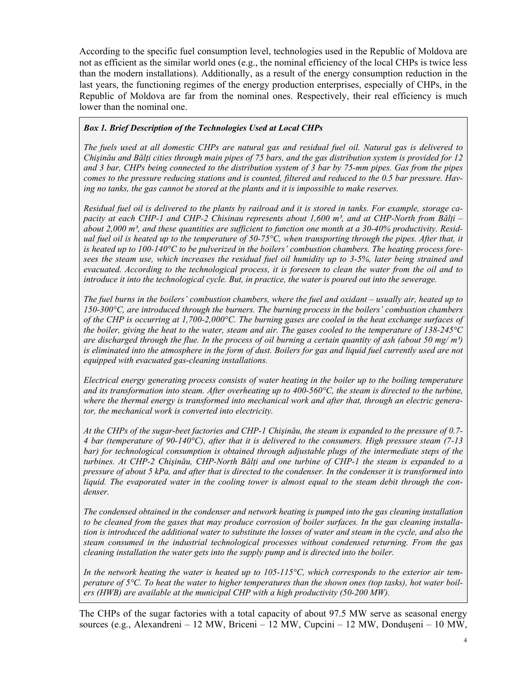According to the specific fuel consumption level, technologies used in the Republic of Moldova are not as efficient as the similar world ones (e.g., the nominal efficiency of the local CHPs is twice less than the modern installations). Additionally, as a result of the energy consumption reduction in the last years, the functioning regimes of the energy production enterprises, especially of CHPs, in the Republic of Moldova are far from the nominal ones. Respectively, their real efficiency is much lower than the nominal one.

#### *Box 1. Brief Description of the Technologies Used at Local CHPs*

*The fuels used at all domestic CHPs are natural gas and residual fuel oil. Natural gas is delivered to Chişinău and Bălţi cities through main pipes of 75 bars, and the gas distribution system is provided for 12 and 3 bar, CHPs being connected to the distribution system of 3 bar by 75-mm pipes. Gas from the pipes comes to the pressure reducing stations and is counted, filtered and reduced to the 0.5 bar pressure. Having no tanks, the gas cannot be stored at the plants and it is impossible to make reserves.* 

*Residual fuel oil is delivered to the plants by railroad and it is stored in tanks. For example, storage capacity at each CHP-1 and CHP-2 Chisinau represents about 1,600 m³, and at CHP-North from Bălţi – about 2,000 m³, and these quantities are sufficient to function one month at a 30-40% productivity. Residual fuel oil is heated up to the temperature of 50-75<sup>o</sup>C, when transporting through the pipes. After that, it is heated up to 100-140°C to be pulverized in the boilers' combustion chambers. The heating process foresees the steam use, which increases the residual fuel oil humidity up to 3-5%, later being strained and evacuated. According to the technological process, it is foreseen to clean the water from the oil and to introduce it into the technological cycle. But, in practice, the water is poured out into the sewerage.* 

*The fuel burns in the boilers' combustion chambers, where the fuel and oxidant – usually air, heated up to 150-300°C, are introduced through the burners. The burning process in the boilers' combustion chambers of the CHP is occurring at 1,700-2,000°C. The burning gases are cooled in the heat exchange surfaces of the boiler, giving the heat to the water, steam and air. The gases cooled to the temperature of 138-245°C are discharged through the flue. In the process of oil burning a certain quantity of ash (about 50 mg/ m³)*  is eliminated into the atmosphere in the form of dust. Boilers for gas and liquid fuel currently used are not *equipped with evacuated gas-cleaning installations.* 

*Electrical energy generating process consists of water heating in the boiler up to the boiling temperature and its transformation into steam. After overheating up to 400-560°C, the steam is directed to the turbine, where the thermal energy is transformed into mechanical work and after that, through an electric generator, the mechanical work is converted into electricity.* 

*At the CHPs of the sugar-beet factories and CHP-1 Chişinău, the steam is expanded to the pressure of 0.7- 4 bar (temperature of 90-140°C), after that it is delivered to the consumers. High pressure steam (7-13 bar)* for technological consumption is obtained through adjustable plugs of the intermediate steps of the *turbines. At CHP-2 Chişinău, CHP-North Bălţi and one turbine of CHP-1 the steam is expanded to a pressure of about 5 kPa, and after that is directed to the condenser. In the condenser it is transformed into liquid. The evaporated water in the cooling tower is almost equal to the steam debit through the condenser.* 

*The condensed obtained in the condenser and network heating is pumped into the gas cleaning installation to be cleaned from the gases that may produce corrosion of boiler surfaces. In the gas cleaning installation is introduced the additional water to substitute the losses of water and steam in the cycle, and also the steam consumed in the industrial technological processes without condensed returning. From the gas cleaning installation the water gets into the supply pump and is directed into the boiler.* 

*In the network heating the water is heated up to 105-115°C, which corresponds to the exterior air temperature of 5°C. To heat the water to higher temperatures than the shown ones (top tasks), hot water boilers (HWB) are available at the municipal CHP with a high productivity (50-200 MW).*

The CHPs of the sugar factories with a total capacity of about 97.5 MW serve as seasonal energy sources (e.g., Alexandreni – 12 MW, Briceni – 12 MW, Cupcini – 12 MW, Donduşeni – 10 MW,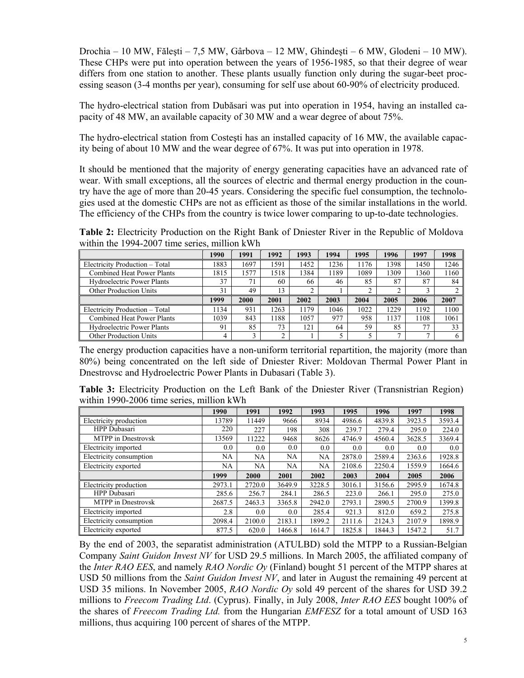Drochia – 10 MW, Făleşti – 7,5 MW, Gârbova – 12 MW, Ghindeşti – 6 MW, Glodeni – 10 MW). These CHPs were put into operation between the years of 1956-1985, so that their degree of wear differs from one station to another. These plants usually function only during the sugar-beet processing season (3-4 months per year), consuming for self use about 60-90% of electricity produced.

The hydro-electrical station from Dubăsari was put into operation in 1954, having an installed capacity of 48 MW, an available capacity of 30 MW and a wear degree of about 75%.

The hydro-electrical station from Costeşti has an installed capacity of 16 MW, the available capacity being of about 10 MW and the wear degree of 67%. It was put into operation in 1978.

It should be mentioned that the majority of energy generating capacities have an advanced rate of wear. With small exceptions, all the sources of electric and thermal energy production in the country have the age of more than 20-45 years. Considering the specific fuel consumption, the technologies used at the domestic CHPs are not as efficient as those of the similar installations in the world. The efficiency of the CHPs from the country is twice lower comparing to up-to-date technologies.

**Table 2:** Electricity Production on the Right Bank of Dniester River in the Republic of Moldova within the 1994-2007 time series, million kWh

|                                   | 1990 | 1991 | 1992 | 1993 | 1994 | 1995 | 1996 | 1997 | 1998 |
|-----------------------------------|------|------|------|------|------|------|------|------|------|
| Electricity Production - Total    | 1883 | 1697 | 591  | 1452 | 1236 | 1176 | 1398 | 1450 | 1246 |
| <b>Combined Heat Power Plants</b> | 1815 | 1577 | .518 | 1384 | 1189 | 1089 | 1309 | 360  | 1160 |
| <b>Hydroelectric Power Plants</b> | 37   | 71   | 60   | 66   | 46   | 85   | 87   | 87   | 84   |
| <b>Other Production Units</b>     | 31   | 49   | 13   |      |      |      | ◠    |      |      |
|                                   |      |      |      |      |      |      |      |      |      |
|                                   | 1999 | 2000 | 2001 | 2002 | 2003 | 2004 | 2005 | 2006 | 2007 |
| Electricity Production - Total    | 1134 | 931  | 263  | 1179 | 1046 | 1022 | 1229 | 192  | 1100 |
| <b>Combined Heat Power Plants</b> | 1039 | 843  | 188  | 1057 | 977  | 958  | 1137 | 108  | 1061 |
| <b>Hydroelectric Power Plants</b> | 91   | 85   | 73   | 121  | 64   | 59   | 85   | 77   | 33   |

The energy production capacities have a non-uniform territorial repartition, the majority (more than 80%) being concentrated on the left side of Dniester River: Moldovan Thermal Power Plant in Dnestrovsc and Hydroelectric Power Plants in Dubasari (Table 3).

**Table 3:** Electricity Production on the Left Bank of the Dniester River (Transnistrian Region) within 1990-2006 time series, million kWh

|                           | 1990   | 1991   | 1992   | 1993   | 1995   | 1996   | 1997   | 1998   |
|---------------------------|--------|--------|--------|--------|--------|--------|--------|--------|
| Electricity production    | 13789  | 11449  | 9666   | 8934   | 4986.6 | 4839.8 | 3923.5 | 3593.4 |
| HPP Dubasari              | 220    | 227    | 198.   | 308    | 239.7  | 279.4  | 295.0  | 224.0  |
| <b>MTPP</b> in Dnestrovsk | 13569  | 11222  | 9468   | 8626   | 4746.9 | 4560.4 | 3628.5 | 3369.4 |
| Electricity imported      | 0.0    | 0.0    | 0.0    | 0.0    | 0.0    | 0.0    | 0.0    | 0.0    |
| Electricity consumption   | NA     | NA     | NA     | NA     | 2878.0 | 2589.4 | 2363.6 | 1928.8 |
| Electricity exported      | NA     | NA     | NA     | NA     | 2108.6 | 2250.4 | 1559.9 | 1664.6 |
|                           |        |        |        |        |        |        |        |        |
|                           | 1999   | 2000   | 2001   | 2002   | 2003   | 2004   | 2005   | 2006   |
| Electricity production    | 2973.1 | 2720.0 | 3649.9 | 3228.5 | 3016.1 | 3156.6 | 2995.9 | 1674.8 |
| HPP Dubasari              | 285.6  | 256.7  | 284.1  | 286.5  | 223.0  | 266.1  | 295.0  | 275.0  |
| <b>MTPP</b> in Dnestrovsk | 2687.5 | 2463.3 | 3365.8 | 2942.0 | 2793.1 | 2890.5 | 2700.9 | 1399.8 |
| Electricity imported      | 2.8    | 0.0    | 0.0    | 285.4  | 921.3  | 812.0  | 659.2  | 275.8  |
| Electricity consumption   | 2098.4 | 2100.0 | 2183.1 | 1899.2 | 2111.6 | 2124.3 | 2107.9 | 1898.9 |

By the end of 2003, the separatist administration (ATULBD) sold the MTPP to a Russian-Belgian Company *Saint Guidon Invest NV* for USD 29.5 millions. In March 2005, the affiliated company of the *Inter RAO EES*, and namely *RAO Nordic Oy* (Finland) bought 51 percent of the MTPP shares at USD 50 millions from the *Saint Guidon Invest NV*, and later in August the remaining 49 percent at USD 35 milions. In November 2005, *RAO Nordic Oy* sold 49 percent of the shares for USD 39.2 millions to *Freecom Trading Ltd*. (Cyprus). Finally, in July 2008, *Inter RAO EES* bought 100% of the shares of *Freecom Trading Ltd.* from the Hungarian *EMFESZ* for a total amount of USD 163 millions, thus acquiring 100 percent of shares of the MTPP.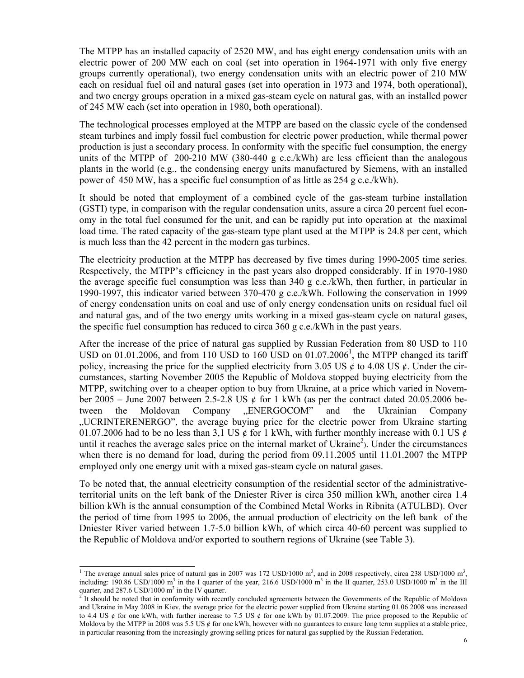The MTPP has an installed capacity of 2520 MW, and has eight energy condensation units with an electric power of 200 MW each on coal (set into operation in 1964-1971 with only five energy groups currently operational), two energy condensation units with an electric power of 210 MW each on residual fuel oil and natural gases (set into operation in 1973 and 1974, both operational), and two energy groups operation in a mixed gas-steam cycle on natural gas, with an installed power of 245 MW each (set into operation in 1980, both operational).

The technological processes employed at the MTPP are based on the classic cycle of the condensed steam turbines and imply fossil fuel combustion for electric power production, while thermal power production is just a secondary process. In conformity with the specific fuel consumption, the energy units of the MTPP of  $200-210$  MW (380-440 g c.e./kWh) are less efficient than the analogous plants in the world (e.g., the condensing energy units manufactured by Siemens, with an installed power of 450 MW, has a specific fuel consumption of as little as 254 g c.e./kWh).

It should be noted that employment of a combined cycle of the gas-steam turbine installation (GSTI) type, in comparison with the regular condensation units, assure a circa 20 percent fuel economy in the total fuel consumed for the unit, and can be rapidly put into operation at the maximal load time. The rated capacity of the gas-steam type plant used at the MTPP is 24.8 per cent, which is much less than the 42 percent in the modern gas turbines.

The electricity production at the MTPP has decreased by five times during 1990-2005 time series. Respectively, the MTPP's efficiency in the past years also dropped considerably. If in 1970-1980 the average specific fuel consumption was less than 340 g c.e./kWh, then further, in particular in 1990-1997, this indicator varied between 370-470 g c.e./kWh. Following the conservation in 1999 of energy condensation units on coal and use of only energy condensation units on residual fuel oil and natural gas, and of the two energy units working in a mixed gas-steam cycle on natural gases, the specific fuel consumption has reduced to circa  $360 \text{ g c.e.}/kWh$  in the past years.

After the increase of the price of natural gas supplied by Russian Federation from 80 USD to 110 USD on 01.01.2006, and from 110 USD to 160 USD on 01.07.2006<sup>1</sup>, the MTPP changed its tariff policy, increasing the price for the supplied electricity from 3.05 US  $\acute{\rm{e}}$  to 4.08 US  $\acute{\rm{e}}$ . Under the circumstances, starting November 2005 the Republic of Moldova stopped buying electricity from the MTPP, switching over to a cheaper option to buy from Ukraine, at a price which varied in November 2005 – June 2007 between 2.5-2.8 US  $\phi$  for 1 kWh (as per the contract dated 20.05.2006 between the Moldovan Company "ENERGOCOM" and the Ukrainian Company "UCRINTERENERGO", the average buying price for the electric power from Ukraine starting 01.07.2006 had to be no less than 3,1 US  $\phi$  for 1 kWh, with further monthly increase with 0.1 US  $\phi$ until it reaches the average sales price on the internal market of Ukraine<sup>2</sup>). Under the circumstances when there is no demand for load, during the period from 09.11.2005 until 11.01.2007 the MTPP employed only one energy unit with a mixed gas-steam cycle on natural gases.

To be noted that, the annual electricity consumption of the residential sector of the administrativeterritorial units on the left bank of the Dniester River is circa 350 million kWh, another circa 1.4 billion kWh is the annual consumption of the Combined Metal Works in Ribnita (ATULBD). Over the period of time from 1995 to 2006, the annual production of electricity on the left bank of the Dniester River varied between 1.7-5.0 billion kWh, of which circa 40-60 percent was supplied to the Republic of Moldova and/or exported to southern regions of Ukraine (see Table 3).

<sup>&</sup>lt;sup>1</sup> The average annual sales price of natural gas in 2007 was 172 USD/1000 m<sup>3</sup>, and in 2008 respectively, circa 238 USD/1000 m<sup>3</sup>, including:  $190.86$  USD/1000 m<sup>3</sup> in the I quarter of the year, 216.6 USD/1000 m<sup>3</sup> in the II quarter, 253.0 USD/1000 m<sup>3</sup> in the III quarter, and 287.6 USD/1000 m<sup>3</sup> in the IV quarter.<br><sup>2</sup> It should be noted that in conformity with recently concluded agreements between the Governments of the Republic of Moldova

and Ukraine in May 2008 in Kiev, the average price for the electric power supplied from Ukraine starting 01.06.2008 was increased to 4.4 US  $\oint$  for one kWh, with further increase to 7.5 US  $\oint$  for one kWh by 01.07.2009. The price proposed to the Republic of Moldova by the MTPP in 2008 was 5.5 US  $\acute{\epsilon}$  for one kWh, however with no guarantees to ensure long term supplies at a stable price, in particular reasoning from the increasingly growing selling prices for natural gas supplied by the Russian Federation.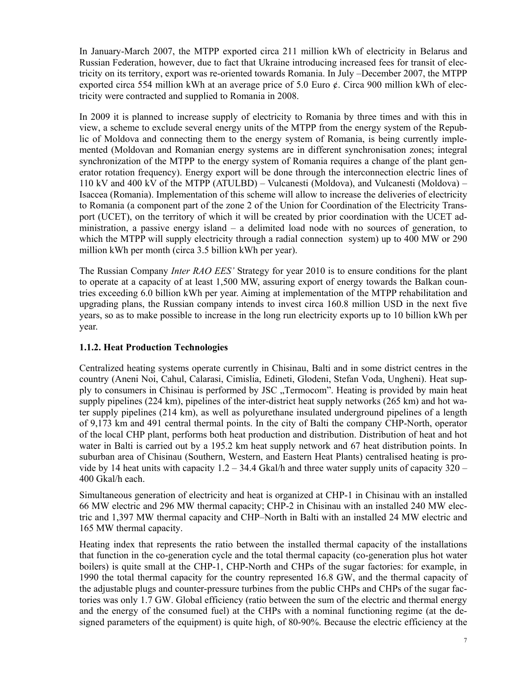In January-March 2007, the MTPP exported circa 211 million kWh of electricity in Belarus and Russian Federation, however, due to fact that Ukraine introducing increased fees for transit of electricity on its territory, export was re-oriented towards Romania. In July –December 2007, the MTPP exported circa 554 million kWh at an average price of 5.0 Euro  $\phi$ . Circa 900 million kWh of electricity were contracted and supplied to Romania in 2008.

In 2009 it is planned to increase supply of electricity to Romania by three times and with this in view, a scheme to exclude several energy units of the MTPP from the energy system of the Republic of Moldova and connecting them to the energy system of Romania, is being currently implemented (Moldovan and Romanian energy systems are in different synchronisation zones; integral synchronization of the MTPP to the energy system of Romania requires a change of the plant generator rotation frequency). Energy export will be done through the interconnection electric lines of 110 kV and 400 kV of the MTPP (ATULBD) – Vulcanesti (Moldova), and Vulcanesti (Moldova) – Isaccea (Romania). Implementation of this scheme will allow to increase the deliveries of electricity to Romania (a component part of the zone 2 of the Union for Coordination of the Electricity Transport (UCET), on the territory of which it will be created by prior coordination with the UCET administration, a passive energy island – a delimited load node with no sources of generation, to which the MTPP will supply electricity through a radial connection system) up to 400 MW or 290 million kWh per month (circa 3.5 billion kWh per year).

The Russian Company *Inter RAO EES'* Strategy for year 2010 is to ensure conditions for the plant to operate at a capacity of at least 1,500 MW, assuring export of energy towards the Balkan countries exceeding 6.0 billion kWh per year. Aiming at implementation of the MTPP rehabilitation and upgrading plans, the Russian company intends to invest circa 160.8 million USD in the next five years, so as to make possible to increase in the long run electricity exports up to 10 billion kWh per year.

### **1.1.2. Heat Production Technologies**

Centralized heating systems operate currently in Chisinau, Balti and in some district centres in the country (Aneni Noi, Cahul, Calarasi, Cimislia, Edineti, Glodeni, Stefan Voda, Ungheni). Heat supply to consumers in Chisinau is performed by JSC "Termocom". Heating is provided by main heat supply pipelines (224 km), pipelines of the inter-district heat supply networks (265 km) and hot water supply pipelines (214 km), as well as polyurethane insulated underground pipelines of a length of 9,173 km and 491 central thermal points. In the city of Balti the company CHP-North, operator of the local CHP plant, performs both heat production and distribution. Distribution of heat and hot water in Balti is carried out by a 195.2 km heat supply network and 67 heat distribution points. In suburban area of Chisinau (Southern, Western, and Eastern Heat Plants) centralised heating is provide by 14 heat units with capacity  $1.2 - 34.4$  Gkal/h and three water supply units of capacity  $320 -$ 400 Gkal/h each.

Simultaneous generation of electricity and heat is organized at CHP-1 in Chisinau with an installed 66 MW electric and 296 MW thermal capacity; CHP-2 in Chisinau with an installed 240 MW electric and 1,397 MW thermal capacity and CHP–North in Balti with an installed 24 MW electric and 165 MW thermal capacity.

Heating index that represents the ratio between the installed thermal capacity of the installations that function in the co-generation cycle and the total thermal capacity (co-generation plus hot water boilers) is quite small at the CHP-1, CHP-North and CHPs of the sugar factories: for example, in 1990 the total thermal capacity for the country represented 16.8 GW, and the thermal capacity of the adjustable plugs and counter-pressure turbines from the public CHPs and CHPs of the sugar factories was only 1.7 GW. Global efficiency (ratio between the sum of the electric and thermal energy and the energy of the consumed fuel) at the CHPs with a nominal functioning regime (at the designed parameters of the equipment) is quite high, of 80-90%. Because the electric efficiency at the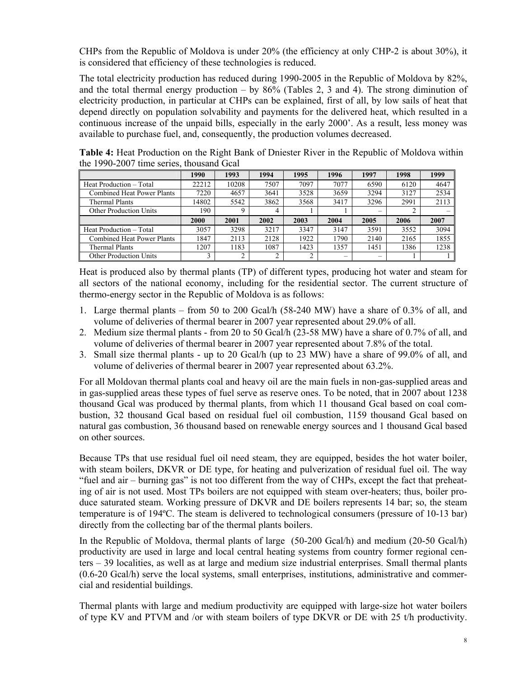CHPs from the Republic of Moldova is under 20% (the efficiency at only CHP-2 is about 30%), it is considered that efficiency of these technologies is reduced.

The total electricity production has reduced during 1990-2005 in the Republic of Moldova by 82%, and the total thermal energy production – by  $86\%$  (Tables 2, 3 and 4). The strong diminution of electricity production, in particular at CHPs can be explained, first of all, by low sails of heat that depend directly on population solvability and payments for the delivered heat, which resulted in a continuous increase of the unpaid bills, especially in the early 2000'. As a result, less money was available to purchase fuel, and, consequently, the production volumes decreased.

|                                   | 1990  | 1993  | 1994 | 1995 | 1996 | 1997 | 1998 | 1999 |
|-----------------------------------|-------|-------|------|------|------|------|------|------|
| Heat Production - Total           | 22212 | 10208 | 7507 | 7097 | 7077 | 6590 | 6120 | 4647 |
| <b>Combined Heat Power Plants</b> | 7220  | 4657  | 3641 | 3528 | 3659 | 3294 | 3127 | 2534 |
| Thermal Plants                    | 14802 | 5542  | 3862 | 3568 | 3417 | 3296 | 2991 | 2113 |
| <b>Other Production Units</b>     | 190   |       | Д    |      |      |      |      |      |
|                                   | 2000  | 2001  | 2002 | 2003 | 2004 | 2005 | 2006 | 2007 |
| Heat Production - Total           | 3057  | 3298  | 3217 | 3347 | 3147 | 3591 | 3552 | 3094 |
|                                   | 1847  |       |      | 1922 | 1790 | 2140 | 2165 | 1855 |
| <b>Combined Heat Power Plants</b> |       | 2113  | 2128 |      |      |      |      |      |
| Thermal Plants                    | 1207  | 1183  | 1087 | 1423 | 1357 | 1451 | 1386 | 1238 |

**Table 4:** Heat Production on the Right Bank of Dniester River in the Republic of Moldova within the 1990-2007 time series, thousand Gcal

Heat is produced also by thermal plants (TP) of different types, producing hot water and steam for all sectors of the national economy, including for the residential sector. The current structure of thermo-energy sector in the Republic of Moldova is as follows:

- 1. Large thermal plants from 50 to 200 Gcal/h (58-240 MW) have a share of 0.3% of all, and volume of deliveries of thermal bearer in 2007 year represented about 29.0% of all.
- 2. Medium size thermal plants from 20 to 50 Gcal/h (23-58 MW) have a share of 0.7% of all, and volume of deliveries of thermal bearer in 2007 year represented about 7.8% of the total.
- 3. Small size thermal plants up to 20 Gcal/h (up to 23 MW) have a share of 99.0% of all, and volume of deliveries of thermal bearer in 2007 year represented about 63.2%.

For all Moldovan thermal plants coal and heavy oil are the main fuels in non-gas-supplied areas and in gas-supplied areas these types of fuel serve as reserve ones. To be noted, that in 2007 about 1238 thousand Gcal was produced by thermal plants, from which 11 thousand Gcal based on coal combustion, 32 thousand Gcal based on residual fuel oil combustion, 1159 thousand Gcal based on natural gas combustion, 36 thousand based on renewable energy sources and 1 thousand Gcal based on other sources.

Because TPs that use residual fuel oil need steam, they are equipped, besides the hot water boiler, with steam boilers, DKVR or DE type, for heating and pulverization of residual fuel oil. The way "fuel and air – burning gas" is not too different from the way of CHPs, except the fact that preheating of air is not used. Most TPs boilers are not equipped with steam over-heaters; thus, boiler produce saturated steam. Working pressure of DKVR and DE boilers represents 14 bar; so, the steam temperature is of 194ºC. The steam is delivered to technological consumers (pressure of 10-13 bar) directly from the collecting bar of the thermal plants boilers.

In the Republic of Moldova, thermal plants of large (50-200 Gcal/h) and medium (20-50 Gcal/h) productivity are used in large and local central heating systems from country former regional centers – 39 localities, as well as at large and medium size industrial enterprises. Small thermal plants (0.6-20 Gcal/h) serve the local systems, small enterprises, institutions, administrative and commercial and residential buildings.

Thermal plants with large and medium productivity are equipped with large-size hot water boilers of type KV and PTVM and /or with steam boilers of type DKVR or DE with 25 t/h productivity.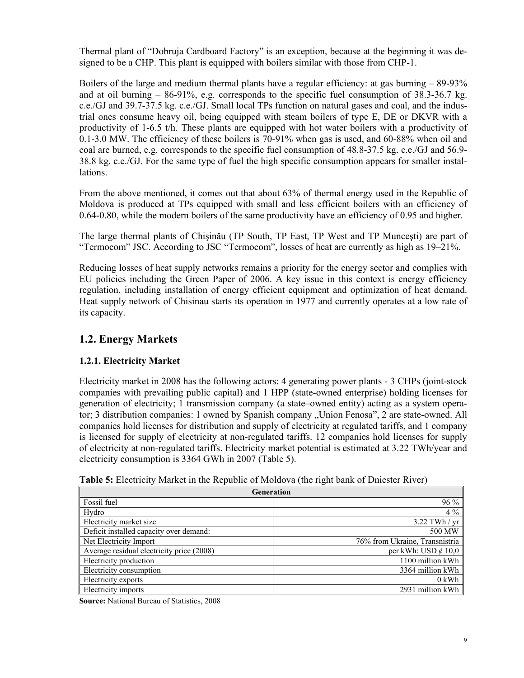Thermal plant of "Dobruja Cardboard Factory" is an exception, because at the beginning it was designed to be a CHP. This plant is equipped with boilers similar with those from CHP-1.

Boilers of the large and medium thermal plants have a regular efficiency: at gas burning – 89-93% and at oil burning  $-86-91\%$ , e.g. corresponds to the specific fuel consumption of  $38.3-36.7$  kg. c.e./GJ and 39.7-37.5 kg. c.e./GJ. Small local TPs function on natural gases and coal, and the industrial ones consume heavy oil, being equipped with steam boilers of type E, DE or DKVR with a productivity of 1-6.5 t/h. These plants are equipped with hot water boilers with a productivity of 0.1-3.0 MW. The efficiency of these boilers is 70-91% when gas is used, and 60-88% when oil and coal are burned, e.g. corresponds to the specific fuel consumption of 48.8-37.5 kg. c.e./GJ and 56.9- 38.8 kg. c.e./GJ. For the same type of fuel the high specific consumption appears for smaller installations.

From the above mentioned, it comes out that about 63% of thermal energy used in the Republic of Moldova is produced at TPs equipped with small and less efficient boilers with an efficiency of 0.64-0.80, while the modern boilers of the same productivity have an efficiency of 0.95 and higher.

The large thermal plants of Chişinău (TP South, TP East, TP West and TP Munceşti) are part of "Termocom" JSC. According to JSC "Termocom", losses of heat are currently as high as 19–21%.

Reducing losses of heat supply networks remains a priority for the energy sector and complies with EU policies including the Green Paper of 2006. A key issue in this context is energy efficiency regulation, including installation of energy efficient equipment and optimization of heat demand. Heat supply network of Chisinau starts its operation in 1977 and currently operates at a low rate of its capacity.

## **1.2. Energy Markets**

### **1.2.1. Electricity Market**

Electricity market in 2008 has the following actors: 4 generating power plants - 3 CHPs (joint-stock companies with prevailing public capital) and 1 HPP (state-owned enterprise) holding licenses for generation of electricity; 1 transmission company (a state–owned entity) acting as a system operator; 3 distribution companies: 1 owned by Spanish company "Union Fenosa", 2 are state-owned. All companies hold licenses for distribution and supply of electricity at regulated tariffs, and 1 company is licensed for supply of electricity at non-regulated tariffs. 12 companies hold licenses for supply of electricity at non-regulated tariffs. Electricity market potential is estimated at 3.22 TWh/year and electricity consumption is 3364 GWh in 2007 (Table 5).

|  | Table 5: Electricity Market in the Republic of Moldova (the right bank of Dniester River) |  |
|--|-------------------------------------------------------------------------------------------|--|
|  |                                                                                           |  |

|                                           | Generation                     |  |  |  |  |  |  |
|-------------------------------------------|--------------------------------|--|--|--|--|--|--|
| Fossil fuel                               | 96 %                           |  |  |  |  |  |  |
| Hydro                                     | $4\%$                          |  |  |  |  |  |  |
| Electricity market size                   | $3.22$ TWh / yr                |  |  |  |  |  |  |
| Deficit installed capacity over demand:   | 500 MW                         |  |  |  |  |  |  |
| Net Electricity Import                    | 76% from Ukraine, Transnistria |  |  |  |  |  |  |
| Average residual electricity price (2008) | per kWh: USD $\ell$ 10,0       |  |  |  |  |  |  |
| Electricity production                    | 1100 million kWh               |  |  |  |  |  |  |
| Electricity consumption                   | 3364 million kWh               |  |  |  |  |  |  |
| Electricity exports                       | $0$ kWh                        |  |  |  |  |  |  |
| Electricity imports                       | 2931 million kWh               |  |  |  |  |  |  |

**Source:** National Bureau of Statistics, 2008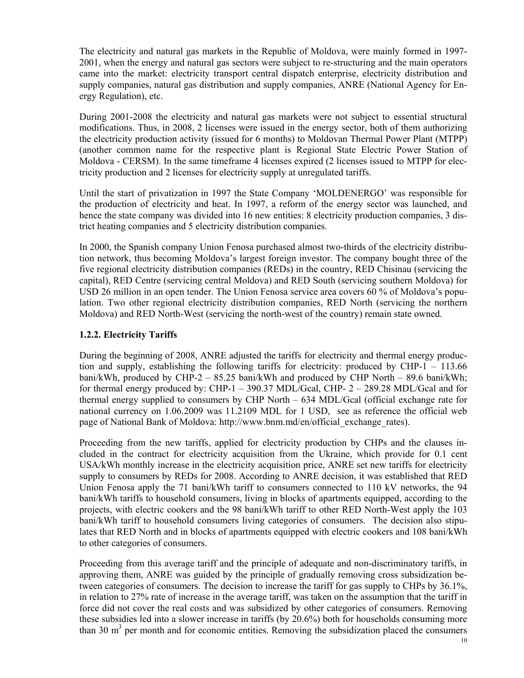The electricity and natural gas markets in the Republic of Moldova, were mainly formed in 1997- 2001, when the energy and natural gas sectors were subject to re-structuring and the main operators came into the market: electricity transport central dispatch enterprise, electricity distribution and supply companies, natural gas distribution and supply companies, ANRE (National Agency for Energy Regulation), etc.

During 2001-2008 the electricity and natural gas markets were not subject to essential structural modifications. Thus, in 2008, 2 licenses were issued in the energy sector, both of them authorizing the electricity production activity (issued for 6 months) to Moldovan Thermal Power Plant (MTPP) (another common name for the respective plant is Regional State Electric Power Station of Moldova - CERSM). In the same timeframe 4 licenses expired (2 licenses issued to MTPP for electricity production and 2 licenses for electricity supply at unregulated tariffs.

Until the start of privatization in 1997 the State Company 'MOLDENERGO' was responsible for the production of electricity and heat. In 1997, a reform of the energy sector was launched, and hence the state company was divided into 16 new entities: 8 electricity production companies, 3 district heating companies and 5 electricity distribution companies.

In 2000, the Spanish company Union Fenosa purchased almost two-thirds of the electricity distribution network, thus becoming Moldova's largest foreign investor. The company bought three of the five regional electricity distribution companies (REDs) in the country, RED Chisinau (servicing the capital), RED Centre (servicing central Moldova) and RED South (servicing southern Moldova) for USD 26 million in an open tender. The Union Fenosa service area covers 60 % of Moldova's population. Two other regional electricity distribution companies, RED North (servicing the northern Moldova) and RED North-West (servicing the north-west of the country) remain state owned.

### **1.2.2. Electricity Tariffs**

During the beginning of 2008, ANRE adjusted the tariffs for electricity and thermal energy production and supply, establishing the following tariffs for electricity: produced by CHP-1 – 113.66 bani/kWh, produced by CHP-2 – 85.25 bani/kWh and produced by CHP North – 89.6 bani/kWh; for thermal energy produced by: CHP-1 – 390.37 MDL/Gcal, CHP- 2 – 289.28 MDL/Gcal and for thermal energy supplied to consumers by CHP North – 634 MDL/Gcal (official exchange rate for national currency on 1.06.2009 was 11.2109 MDL for 1 USD, see as reference the official web page of National Bank of Moldova: http://www.bnm.md/en/official\_exchange\_rates).

Proceeding from the new tariffs, applied for electricity production by CHPs and the clauses included in the contract for electricity acquisition from the Ukraine, which provide for 0.1 cent USA/kWh monthly increase in the electricity acquisition price, ANRE set new tariffs for electricity supply to consumers by REDs for 2008. According to ANRE decision, it was established that RED Union Fenosa apply the 71 bani/kWh tariff to consumers connected to 110 kV networks, the 94 bani/kWh tariffs to household consumers, living in blocks of apartments equipped, according to the projects, with electric cookers and the 98 bani/kWh tariff to other RED North-West apply the 103 bani/kWh tariff to household consumers living categories of consumers. The decision also stipulates that RED North and in blocks of apartments equipped with electric cookers and 108 bani/kWh to other categories of consumers.

Proceeding from this average tariff and the principle of adequate and non-discriminatory tariffs, in approving them, ANRE was guided by the principle of gradually removing cross subsidization between categories of consumers. The decision to increase the tariff for gas supply to CHPs by 36.1%, in relation to 27% rate of increase in the average tariff, was taken on the assumption that the tariff in force did not cover the real costs and was subsidized by other categories of consumers. Removing these subsidies led into a slower increase in tariffs (by 20.6%) both for households consuming more than 30  $\text{m}^3$  per month and for economic entities. Removing the subsidization placed the consumers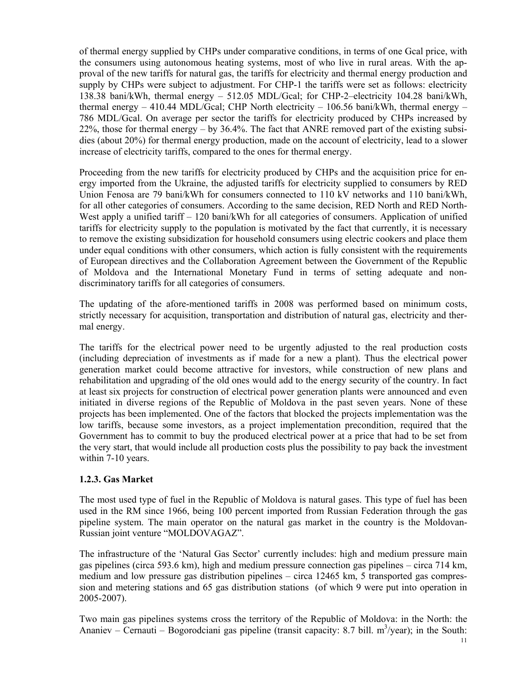of thermal energy supplied by CHPs under comparative conditions, in terms of one Gcal price, with the consumers using autonomous heating systems, most of who live in rural areas. With the approval of the new tariffs for natural gas, the tariffs for electricity and thermal energy production and supply by CHPs were subject to adjustment. For CHP-1 the tariffs were set as follows: electricity 138.38 bani/kWh, thermal energy – 512.05 MDL/Gcal; for CHP-2–electricity 104.28 bani/kWh, thermal energy – 410.44 MDL/Gcal; CHP North electricity – 106.56 bani/kWh, thermal energy – 786 MDL/Gcal. On average per sector the tariffs for electricity produced by CHPs increased by 22%, those for thermal energy – by 36.4%. The fact that ANRE removed part of the existing subsidies (about 20%) for thermal energy production, made on the account of electricity, lead to a slower increase of electricity tariffs, compared to the ones for thermal energy.

Proceeding from the new tariffs for electricity produced by CHPs and the acquisition price for energy imported from the Ukraine, the adjusted tariffs for electricity supplied to consumers by RED Union Fenosa are 79 bani/kWh for consumers connected to 110 kV networks and 110 bani/kWh, for all other categories of consumers. According to the same decision, RED North and RED North-West apply a unified tariff – 120 bani/kWh for all categories of consumers. Application of unified tariffs for electricity supply to the population is motivated by the fact that currently, it is necessary to remove the existing subsidization for household consumers using electric cookers and place them under equal conditions with other consumers, which action is fully consistent with the requirements of European directives and the Collaboration Agreement between the Government of the Republic of Moldova and the International Monetary Fund in terms of setting adequate and nondiscriminatory tariffs for all categories of consumers.

The updating of the afore-mentioned tariffs in 2008 was performed based on minimum costs, strictly necessary for acquisition, transportation and distribution of natural gas, electricity and thermal energy.

The tariffs for the electrical power need to be urgently adjusted to the real production costs (including depreciation of investments as if made for a new a plant). Thus the electrical power generation market could become attractive for investors, while construction of new plans and rehabilitation and upgrading of the old ones would add to the energy security of the country. In fact at least six projects for construction of electrical power generation plants were announced and even initiated in diverse regions of the Republic of Moldova in the past seven years. None of these projects has been implemented. One of the factors that blocked the projects implementation was the low tariffs, because some investors, as a project implementation precondition, required that the Government has to commit to buy the produced electrical power at a price that had to be set from the very start, that would include all production costs plus the possibility to pay back the investment within 7-10 years.

#### **1.2.3. Gas Market**

The most used type of fuel in the Republic of Moldova is natural gases. This type of fuel has been used in the RM since 1966, being 100 percent imported from Russian Federation through the gas pipeline system. The main operator on the natural gas market in the country is the Moldovan-Russian joint venture "MOLDOVAGAZ".

The infrastructure of the 'Natural Gas Sector' currently includes: high and medium pressure main gas pipelines (circa 593.6 km), high and medium pressure connection gas pipelines – circa 714 km, medium and low pressure gas distribution pipelines – circa 12465 km, 5 transported gas compression and metering stations and 65 gas distribution stations (of which 9 were put into operation in 2005-2007).

Two main gas pipelines systems cross the territory of the Republic of Moldova: in the North: the Ananiev – Cernauti – Bogorodciani gas pipeline (transit capacity: 8.7 bill.  $m^3$ /year); in the South: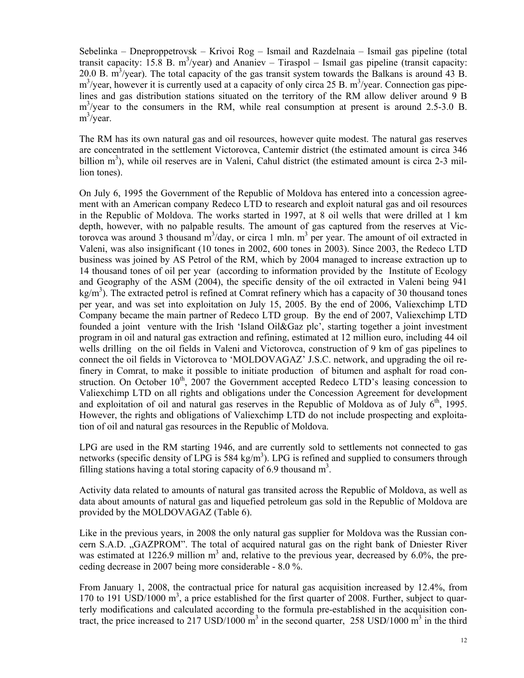Sebelinka – Dneproppetrovsk – Krivoi Rog – Ismail and Razdelnaia – Ismail gas pipeline (total transit capacity:  $15.\overline{8}$  B. m<sup>3</sup>/year) and Ananiev – Tiraspol – Ismail gas pipeline (transit capacity: 20.0 B.  $\text{m}^3$ /year). The total capacity of the gas transit system towards the Balkans is around 43 B.  $\text{m}^3/\text{year}$ , however it is currently used at a capacity of only circa 25 B.  $\text{m}^3/\text{year}$ . Connection gas pipelines and gas distribution stations situated on the territory of the RM allow deliver around 9 B m<sup>3</sup>/year to the consumers in the RM, while real consumption at present is around 2.5-3.0 B. m<sup>3</sup>/year.

The RM has its own natural gas and oil resources, however quite modest. The natural gas reserves are concentrated in the settlement Victorovca, Cantemir district (the estimated amount is circa 346 billion  $m<sup>3</sup>$ ), while oil reserves are in Valeni, Cahul district (the estimated amount is circa 2-3 million tones).

On July 6, 1995 the Government of the Republic of Moldova has entered into a concession agreement with an American company Redeco LTD to research and exploit natural gas and oil resources in the Republic of Moldova. The works started in 1997, at 8 oil wells that were drilled at 1 km depth, however, with no palpable results. The amount of gas captured from the reserves at Victorovca was around 3 thousand  $m^3$ /day, or circa 1 mln.  $m^3$  per year. The amount of oil extracted in Valeni, was also insignificant (10 tones in 2002, 600 tones in 2003). Since 2003, the Redeco LTD business was joined by AS Petrol of the RM, which by 2004 managed to increase extraction up to 14 thousand tones of oil per year (according to information provided by the Institute of Ecology and Geography of the ASM (2004), the specific density of the oil extracted in Valeni being 941 kg/m<sup>3</sup>). The extracted petrol is refined at Comrat refinery which has a capacity of 30 thousand tones per year, and was set into exploitation on July 15, 2005. By the end of 2006, Valiexchimp LTD Company became the main partner of Redeco LTD group. By the end of 2007, Valiexchimp LTD founded a joint venture with the Irish 'Island Oil&Gaz plc', starting together a joint investment program in oil and natural gas extraction and refining, estimated at 12 million euro, including 44 oil wells drilling on the oil fields in Valeni and Victorovca, construction of 9 km of gas pipelines to connect the oil fields in Victorovca to 'MOLDOVAGAZ' J.S.C. network, and upgrading the oil refinery in Comrat, to make it possible to initiate production of bitumen and asphalt for road construction. On October  $10^{th}$ , 2007 the Government accepted Redeco LTD's leasing concession to Valiexchimp LTD on all rights and obligations under the Concession Agreement for development and exploitation of oil and natural gas reserves in the Republic of Moldova as of July  $6<sup>th</sup>$ , 1995. However, the rights and obligations of Valiexchimp LTD do not include prospecting and exploitation of oil and natural gas resources in the Republic of Moldova.

LPG are used in the RM starting 1946, and are currently sold to settlements not connected to gas networks (specific density of LPG is  $584 \text{ kg/m}^3$ ). LPG is refined and supplied to consumers through filling stations having a total storing capacity of  $6.9$  thousand  $m<sup>3</sup>$ .

Activity data related to amounts of natural gas transited across the Republic of Moldova, as well as data about amounts of natural gas and liquefied petroleum gas sold in the Republic of Moldova are provided by the MOLDOVAGAZ (Table 6).

Like in the previous years, in 2008 the only natural gas supplier for Moldova was the Russian concern S.A.D. "GAZPROM". The total of acquired natural gas on the right bank of Dniester River was estimated at 1226.9 million  $m<sup>3</sup>$  and, relative to the previous year, decreased by 6.0%, the preceding decrease in 2007 being more considerable - 8.0 %.

From January 1, 2008, the contractual price for natural gas acquisition increased by 12.4%, from 170 to 191 USD/1000 m<sup>3</sup>, a price established for the first quarter of 2008. Further, subject to quarterly modifications and calculated according to the formula pre-established in the acquisition contract, the price increased to 217 USD/1000  $\text{m}^3$  in the second quarter, 258 USD/1000  $\text{m}^3$  in the third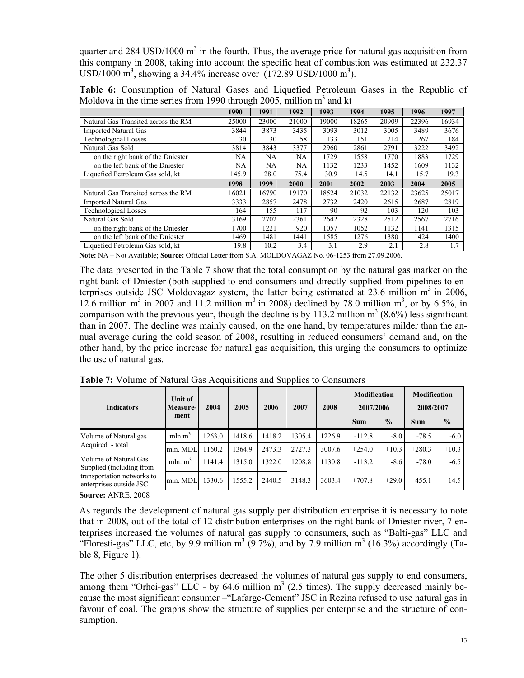quarter and 284 USD/1000  $m<sup>3</sup>$  in the fourth. Thus, the average price for natural gas acquisition from this company in 2008, taking into account the specific heat of combustion was estimated at 232.37 USD/1000 m<sup>3</sup>, showing a 34.4% increase over  $(172.89 \text{ USD}/1000 \text{ m}^3)$ .

**Table 6:** Consumption of Natural Gases and Liquefied Petroleum Gases in the Republic of Moldova in the time series from 1990 through 2005, million  $m<sup>3</sup>$  and kt

|                                     | 1990  | 1991  | 1992  | 1993  | 1994  | 1995  | 1996  | 1997  |
|-------------------------------------|-------|-------|-------|-------|-------|-------|-------|-------|
| Natural Gas Transited across the RM | 25000 | 23000 | 21000 | 19000 | 18265 | 20909 | 22396 | 16934 |
| <b>Imported Natural Gas</b>         | 3844  | 3873  | 3435  | 3093  | 3012  | 3005  | 3489  | 3676  |
| <b>Technological Losses</b>         | 30    | 30    | 58    | 133   | 151   | 214   | 267   | 184   |
| Natural Gas Sold                    | 3814  | 3843  | 3377  | 2960  | 2861  | 2791  | 3222  | 3492  |
| on the right bank of the Dniester   | NA    | NA    | NA    | 1729  | 1558  | 1770  | 1883  | 1729  |
| on the left bank of the Dniester    | NA    | NA    | NA    | 1132  | 1233  | 1452  | 1609  | 1132  |
| Liquefied Petroleum Gas sold, kt    | 145.9 | 128.0 | 75.4  | 30.9  | 14.5  | 14.1  | 15.7  | 19.3  |
|                                     |       |       |       |       |       |       |       |       |
|                                     | 1998  | 1999  | 2000  | 2001  | 2002  | 2003  | 2004  | 2005  |
| Natural Gas Transited across the RM | 16021 | 16790 | 19170 | 18524 | 21032 | 22132 | 23625 | 25017 |
| <b>Imported Natural Gas</b>         | 3333  | 2857  | 2478  | 2732  | 2420  | 2615  | 2687  | 2819  |
| <b>Technological Losses</b>         | 164   | 155   | 117   | 90    | 92    | 103   | 120   | 103   |
| Natural Gas Sold                    | 3169  | 2702  | 2361  | 2642  | 2328  | 2512  | 2567  | 2716  |
| on the right bank of the Dniester   | 1700  | 1221  | 920   | 1057  | 1052  | 1132  | 1141  | 1315  |
| on the left bank of the Dniester    | 1469  | 1481  | 1441  | 1585  | 1276  | 1380  | 1424  | 1400  |

**Note:** NA – Not Available; **Source:** Official Letter from S.A. MOLDOVAGAZ No. 06-1253 from 27.09.2006.

The data presented in the Table 7 show that the total consumption by the natural gas market on the right bank of Dniester (both supplied to end-consumers and directly supplied from pipelines to enterprises outside JSC Moldovagaz system, the latter being estimated at  $23.6$  million  $m<sup>3</sup>$  in 2006, 12.6 million m<sup>3</sup> in 2007 and 11.2 million m<sup>3</sup> in 2008) declined by 78.0 million m<sup>3</sup>, or by 6.5%, in comparison with the previous year, though the decline is by 113.2 million  $m^3$  (8.6%) less significant than in 2007. The decline was mainly caused, on the one hand, by temperatures milder than the annual average during the cold season of 2008, resulting in reduced consumers' demand and, on the other hand, by the price increase for natural gas acquisition, this urging the consumers to optimize the use of natural gas.

| <b>Indicators</b>                                     | Unit of<br>Measure- | 2004   | 2005   | 2006   | 2007   | 2008   | <b>Modification</b><br>2007/2006 |               | <b>Modification</b><br>2008/2007 |               |
|-------------------------------------------------------|---------------------|--------|--------|--------|--------|--------|----------------------------------|---------------|----------------------------------|---------------|
|                                                       | ment                |        |        |        |        |        | <b>Sum</b>                       | $\frac{0}{0}$ | <b>Sum</b>                       | $\frac{0}{0}$ |
| Volume of Natural gas                                 | mln.m <sup>3</sup>  | 1263.0 | 1418.6 | 1418.2 | 1305.4 | 1226.9 | $-112.8$                         | $-8.0$        | $-78.5$                          | $-6.0$        |
| Acquired - total                                      | mln. MDL            | 1160.2 | 1364.9 | 2473.3 | 2727.3 | 3007.6 | $+254.0$                         | $+10.3$       | $+280.3$                         | $+10.3$       |
| Volume of Natural Gas<br>Supplied (including from     | mln. $m3$           | 1141.4 | 1315.0 | 1322.0 | 1208.8 | 1130.8 | $-113.2$                         | $-8.6$        | $-78.0$                          | $-6.5$        |
| transportation networks to<br>enterprises outside JSC | mln. MDL            | 1330.6 | 1555.2 | 2440.5 | 3148.3 | 3603.4 | $+707.8$                         | $+29.0$       | $+455.1$                         | $+14.5$       |

**Table 7:** Volume of Natural Gas Acquisitions and Supplies to Consumers

**Source:** ANRE, 2008

As regards the development of natural gas supply per distribution enterprise it is necessary to note that in 2008, out of the total of 12 distribution enterprises on the right bank of Dniester river, 7 enterprises increased the volumes of natural gas supply to consumers, such as "Balti-gas" LLC and "Floresti-gas" LLC, etc, by 9.9 million  $m^3$  (9.7%), and by 7.9 million  $m^3$  (16.3%) accordingly (Table 8, Figure 1).

The other 5 distribution enterprises decreased the volumes of natural gas supply to end consumers, among them "Orhei-gas" LLC - by 64.6 million  $m<sup>3</sup>$  (2.5 times). The supply decreased mainly because the most significant consumer –"Lafarge-Cement" JSC in Rezina refused to use natural gas in favour of coal. The graphs show the structure of supplies per enterprise and the structure of consumption.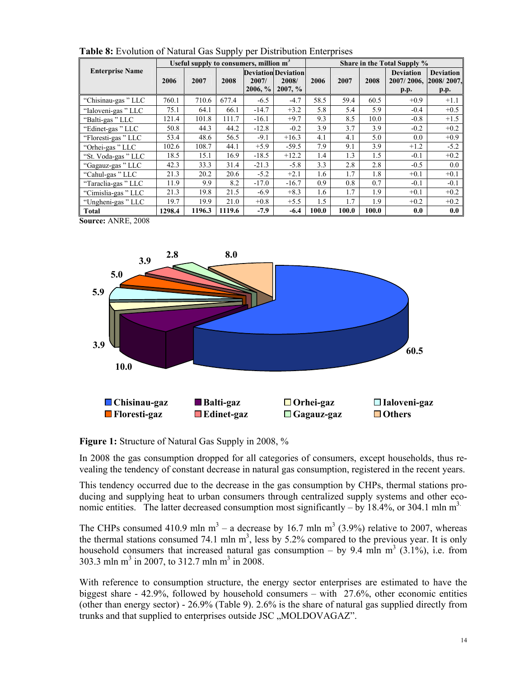|                                                |        | Useful supply to consumers, million m <sup>3</sup> |        |                     |                                                   | Share in the Total Supply % |       |       |                                        |                                        |  |
|------------------------------------------------|--------|----------------------------------------------------|--------|---------------------|---------------------------------------------------|-----------------------------|-------|-------|----------------------------------------|----------------------------------------|--|
| <b>Enterprise Name</b>                         | 2006   | 2007                                               | 2008   | 2007/<br>$2006, \%$ | <b>Deviation Deviation</b><br>2008/<br>$2007, \%$ | 2006                        | 2007  | 2008  | <b>Deviation</b><br>2007/2006,<br>p.p. | <b>Deviation</b><br>2008/2007,<br>p.p. |  |
| "Chisinau-gas" LLC                             | 760.1  | 710.6                                              | 677.4  | $-6.5$              | $-4.7$                                            | 58.5                        | 59.4  | 60.5  | $+0.9$                                 | $+1.1$                                 |  |
| "Ialoveni-gas" LLC                             | 75.1   | 64.1                                               | 66.1   | $-14.7$             | $+3.2$                                            | 5.8                         | 5.4   | 5.9   | $-0.4$                                 | $+0.5$                                 |  |
| "Balti-gas" LLC                                | 121.4  | 101.8                                              | 111.7  | $-16.1$             | $+9.7$                                            | 9.3                         | 8.5   | 10.0  | $-0.8$                                 | $+1.5$                                 |  |
| "Edinet-gas" LLC                               | 50.8   | 44.3                                               | 44.2   | $-12.8$             | $-0.2$                                            | 3.9                         | 3.7   | 3.9   | $-0.2$                                 | $+0.2$                                 |  |
| "Floresti-gas" LLC                             | 53.4   | 48.6                                               | 56.5   | $-9.1$              | $+16.3$                                           | 4.1                         | 4.1   | 5.0   | 0.0                                    | $+0.9$                                 |  |
| "Orhei-gas" LLC                                | 102.6  | 108.7                                              | 44.1   | $+5.9$              | $-59.5$                                           | 7.9                         | 9.1   | 3.9   | $+1.2$                                 | $-5.2$                                 |  |
| "St. Voda-gas" LLC                             | 18.5   | 15.1                                               | 16.9   | $-18.5$             | $+12.2$                                           | 1.4                         | 1.3   | 1.5   | $-0.1$                                 | $+0.2$                                 |  |
| "Gagauz-gas" LLC                               | 42.3   | 33.3                                               | 31.4   | $-21.3$             | $-5.8$                                            | 3.3                         | 2.8   | 2.8   | $-0.5$                                 | 0.0                                    |  |
| "Cahul-gas" LLC                                | 21.3   | 20.2                                               | 20.6   | $-5.2$              | $+2.1$                                            | 1.6                         | 1.7   | 1.8   | $+0.1$                                 | $+0.1$                                 |  |
| "Taraclia-gas" LLC                             | 11.9   | 9.9                                                | 8.2    | $-17.0$             | $-16.7$                                           | 0.9                         | 0.8   | 0.7   | $-0.1$                                 | $-0.1$                                 |  |
| "Cimislia-gas" LLC                             | 21.3   | 19.8                                               | 21.5   | $-6.9$              | $+8.3$                                            | 1.6                         | 1.7   | 1.9   | $+0.1$                                 | $+0.2$                                 |  |
| "Ungheni-gas" LLC                              | 19.7   | 19.9                                               | 21.0   | $+0.8$              | $+5.5$                                            | 1.5                         | 1.7   | 1.9   | $+0.2$                                 | $+0.2$                                 |  |
| <b>Total</b><br>$C_{\text{average}}$ ANDE 2009 | 1298.4 | 1196.3                                             | 1119.6 | $-7.9$              | $-6.4$                                            | 100.0                       | 100.0 | 100.0 | 0.0                                    | 0.0                                    |  |

**Table 8:** Evolution of Natural Gas Supply per Distribution Enterprises

**Source:** ANRE, 2008



**Figure 1:** Structure of Natural Gas Supply in 2008, %

In 2008 the gas consumption dropped for all categories of consumers, except households, thus revealing the tendency of constant decrease in natural gas consumption, registered in the recent years.

This tendency occurred due to the decrease in the gas consumption by CHPs, thermal stations producing and supplying heat to urban consumers through centralized supply systems and other economic entities. The latter decreased consumption most significantly – by 18.4%, or 304.1 mln  $m<sup>3</sup>$ .

The CHPs consumed 410.9 mln m<sup>3</sup> – a decrease by 16.7 mln m<sup>3</sup> (3.9%) relative to 2007, whereas the thermal stations consumed 74.1 mln  $m<sup>3</sup>$ , less by 5.2% compared to the previous year. It is only household consumers that increased natural gas consumption – by 9.4 mln  $m^3$  (3.1%), i.e. from 303.3 mln m<sup>3</sup> in 2007, to 312.7 mln m<sup>3</sup> in 2008.

With reference to consumption structure, the energy sector enterprises are estimated to have the biggest share - 42.9%, followed by household consumers – with 27.6%, other economic entities (other than energy sector) - 26.9% (Table 9). 2.6% is the share of natural gas supplied directly from trunks and that supplied to enterprises outside JSC "MOLDOVAGAZ".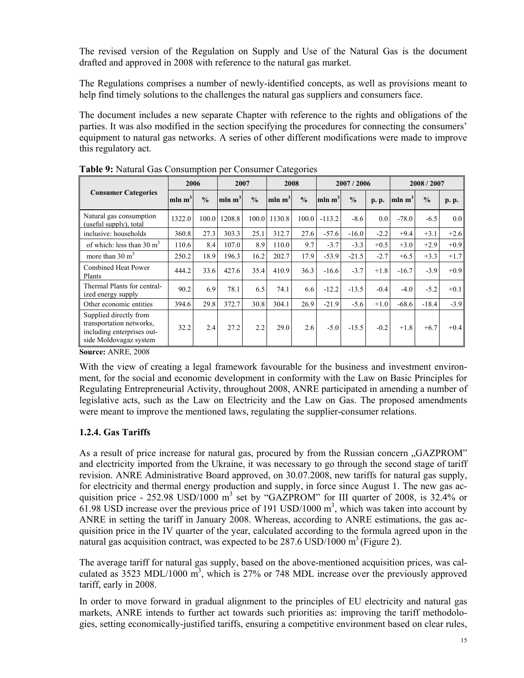The revised version of the Regulation on Supply and Use of the Natural Gas is the document drafted and approved in 2008 with reference to the natural gas market.

The Regulations comprises a number of newly-identified concepts, as well as provisions meant to help find timely solutions to the challenges the natural gas suppliers and consumers face.

The document includes a new separate Chapter with reference to the rights and obligations of the parties. It was also modified in the section specifying the procedures for connecting the consumers' equipment to natural gas networks. A series of other different modifications were made to improve this regulatory act.

|                                                                                                            |                    | <b>rapic 7.</b> Ivalural Gas Consumption per Consumer Categories |                    |               |                    |               |                    |               |           |                    |               |        |
|------------------------------------------------------------------------------------------------------------|--------------------|------------------------------------------------------------------|--------------------|---------------|--------------------|---------------|--------------------|---------------|-----------|--------------------|---------------|--------|
|                                                                                                            |                    | 2006<br>2007                                                     |                    | 2008          |                    | 2007/2006     |                    |               | 2008/2007 |                    |               |        |
| <b>Consumer Categories</b>                                                                                 | mln m <sup>3</sup> | $\frac{0}{0}$                                                    | mln m <sup>3</sup> | $\frac{0}{0}$ | mln m <sup>3</sup> | $\frac{0}{0}$ | mln m <sup>3</sup> | $\frac{0}{0}$ | p. p.     | mln m <sup>3</sup> | $\frac{0}{0}$ | p. p.  |
| Natural gas consumption<br>(useful supply), total                                                          | 1322.0             | 100.0                                                            | 1208.8             | 100.0         | 1130.8             | 100.0         | $-113.2$           | $-8.6$        | 0.0       | $-78.0$            | $-6.5$        | 0.0    |
| inclusive: households                                                                                      | 360.8              | 27.3                                                             | 303.3              | 25.1          | 312.7              | 27.6          | $-57.6$            | $-16.0$       | $-2.2$    | $+9.4$             | $+3.1$        | $+2.6$ |
| of which: less than $30 \text{ m}^3$                                                                       | 110.6              | 8.4                                                              | 107.0              | 8.9           | 110.0              | 9.7           | $-3.7$             | $-3.3$        | $+0.5$    | $+3.0$             | $+2.9$        | $+0.9$ |
| more than $30 \text{ m}^3$                                                                                 | 250.2              | 18.9                                                             | 196.3              | 16.2          | 202.7              | 17.9          | $-53.9$            | $-21.5$       | $-2.7$    | $+6.5$             | $+3.3$        | $+1.7$ |
| <b>Combined Heat Power</b><br>Plants                                                                       | 444.2              | 33.6                                                             | 427.6              | 35.4          | 410.9              | 36.3          | $-16.6$            | $-3.7$        | $+1.8$    | $-16.7$            | $-3.9$        | $+0.9$ |
| Thermal Plants for central-<br>ized energy supply                                                          | 90.2               | 6.9                                                              | 78.1               | 6.5           | 74.1               | 6.6           | $-12.2$            | $-13.5$       | $-0.4$    | $-4.0$             | $-5.2$        | $+0.1$ |
| Other economic entities                                                                                    | 394.6              | 29.8                                                             | 372.7              | 30.8          | 304.1              | 26.9          | $-21.9$            | $-5.6$        | $+1.0$    | $-68.6$            | $-18.4$       | $-3.9$ |
| Supplied directly from<br>transportation networks,<br>including enterprises out-<br>side Moldovagaz system | 32.2               | 2.4                                                              | 27.2               | 2.2           | 29.0               | 2.6           | $-5.0$             | $-15.5$       | $-0.2$    | $+1.8$             | $+6.7$        | $+0.4$ |

**Table 9:** Natural Gas Consumption per Consumer Categories

**Source:** ANRE, 2008

With the view of creating a legal framework favourable for the business and investment environment, for the social and economic development in conformity with the Law on Basic Principles for Regulating Entrepreneurial Activity, throughout 2008, ANRE participated in amending a number of legislative acts, such as the Law on Electricity and the Law on Gas. The proposed amendments were meant to improve the mentioned laws, regulating the supplier-consumer relations.

### **1.2.4. Gas Tariffs**

As a result of price increase for natural gas, procured by from the Russian concern ., GAZPROM" and electricity imported from the Ukraine, it was necessary to go through the second stage of tariff revision. ANRE Administrative Board approved, on 30.07.2008, new tariffs for natural gas supply, for electricity and thermal energy production and supply, in force since August 1. The new gas acquisition price - 252.98 USD/1000  $m^3$  set by "GAZPROM" for III quarter of 2008, is 32.4% or  $61.98$  USD increase over the previous price of 191 USD/1000 m<sup>3</sup>, which was taken into account by ANRE in setting the tariff in January 2008. Whereas, according to ANRE estimations, the gas acquisition price in the IV quarter of the year, calculated according to the formula agreed upon in the natural gas acquisition contract, was expected to be  $287.6 \text{ USD}/1000 \text{ m}^3$  (Figure 2).

The average tariff for natural gas supply, based on the above-mentioned acquisition prices, was calculated as  $3523 \text{ MDL}/1000 \text{ m}^3$ , which is  $27\%$  or 748 MDL increase over the previously approved tariff, early in 2008.

In order to move forward in gradual alignment to the principles of EU electricity and natural gas markets, ANRE intends to further act towards such priorities as: improving the tariff methodologies, setting economically-justified tariffs, ensuring a competitive environment based on clear rules,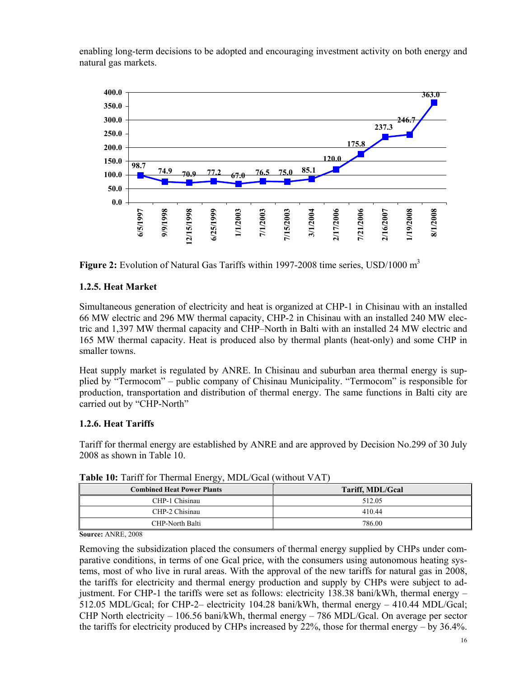enabling long-term decisions to be adopted and encouraging investment activity on both energy and natural gas markets.





### **1.2.5. Heat Market**

Simultaneous generation of electricity and heat is organized at CHP-1 in Chisinau with an installed 66 MW electric and 296 MW thermal capacity, CHP-2 in Chisinau with an installed 240 MW electric and 1,397 MW thermal capacity and CHP–North in Balti with an installed 24 MW electric and 165 MW thermal capacity. Heat is produced also by thermal plants (heat-only) and some CHP in smaller towns.

Heat supply market is regulated by ANRE. In Chisinau and suburban area thermal energy is supplied by "Termocom" – public company of Chisinau Municipality. "Termocom" is responsible for production, transportation and distribution of thermal energy. The same functions in Balti city are carried out by "CHP-North"

### **1.2.6. Heat Tariffs**

Tariff for thermal energy are established by ANRE and are approved by Decision No.299 of 30 July 2008 as shown in Table 10.

| <b>Combined Heat Power Plants</b> | Tariff, MDL/Gcal |
|-----------------------------------|------------------|
| CHP-1 Chisinau                    | 512.05           |
| CHP-2 Chisinau                    | 410.44           |
| CHP-North Balti                   | 786.00           |

**Table 10:** Tariff for Thermal Energy, MDL/Gcal (without VAT)

**Source:** ANRE, 2008

Removing the subsidization placed the consumers of thermal energy supplied by CHPs under comparative conditions, in terms of one Gcal price, with the consumers using autonomous heating systems, most of who live in rural areas. With the approval of the new tariffs for natural gas in 2008, the tariffs for electricity and thermal energy production and supply by CHPs were subject to adjustment. For CHP-1 the tariffs were set as follows: electricity 138.38 bani/kWh, thermal energy – 512.05 MDL/Gcal; for CHP-2– electricity 104.28 bani/kWh, thermal energy – 410.44 MDL/Gcal; CHP North electricity – 106.56 bani/kWh, thermal energy – 786 MDL/Gcal. On average per sector the tariffs for electricity produced by CHPs increased by 22%, those for thermal energy – by 36.4%.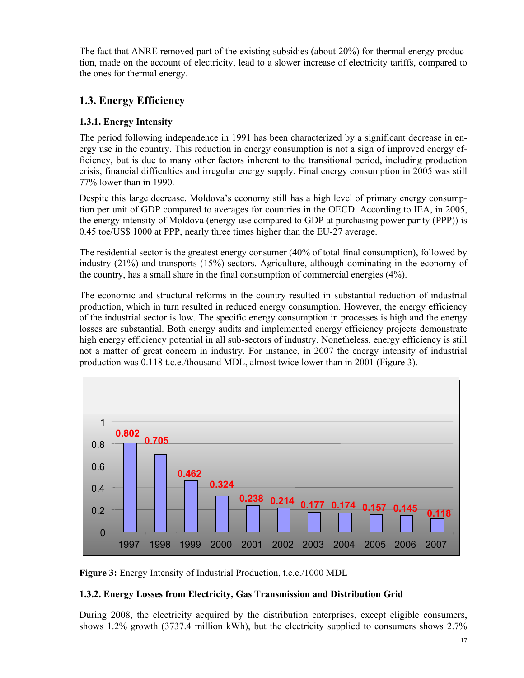The fact that ANRE removed part of the existing subsidies (about 20%) for thermal energy production, made on the account of electricity, lead to a slower increase of electricity tariffs, compared to the ones for thermal energy.

# **1.3. Energy Efficiency**

### **1.3.1. Energy Intensity**

The period following independence in 1991 has been characterized by a significant decrease in energy use in the country. This reduction in energy consumption is not a sign of improved energy efficiency, but is due to many other factors inherent to the transitional period, including production crisis, financial difficulties and irregular energy supply. Final energy consumption in 2005 was still 77% lower than in 1990.

Despite this large decrease, Moldova's economy still has a high level of primary energy consumption per unit of GDP compared to averages for countries in the OECD. According to IEA, in 2005, the energy intensity of Moldova (energy use compared to GDP at purchasing power parity (PPP)) is 0.45 toe/US\$ 1000 at PPP, nearly three times higher than the EU-27 average.

The residential sector is the greatest energy consumer (40% of total final consumption), followed by industry (21%) and transports (15%) sectors. Agriculture, although dominating in the economy of the country, has a small share in the final consumption of commercial energies (4%).

The economic and structural reforms in the country resulted in substantial reduction of industrial production, which in turn resulted in reduced energy consumption. However, the energy efficiency of the industrial sector is low. The specific energy consumption in processes is high and the energy losses are substantial. Both energy audits and implemented energy efficiency projects demonstrate high energy efficiency potential in all sub-sectors of industry. Nonetheless, energy efficiency is still not a matter of great concern in industry. For instance, in 2007 the energy intensity of industrial production was 0.118 t.c.e./thousand MDL, almost twice lower than in 2001 (Figure 3).



**Figure 3:** Energy Intensity of Industrial Production, t.c.e./1000 MDL

### **1.3.2. Energy Losses from Electricity, Gas Transmission and Distribution Grid**

During 2008, the electricity acquired by the distribution enterprises, except eligible consumers, shows 1.2% growth (3737.4 million kWh), but the electricity supplied to consumers shows 2.7%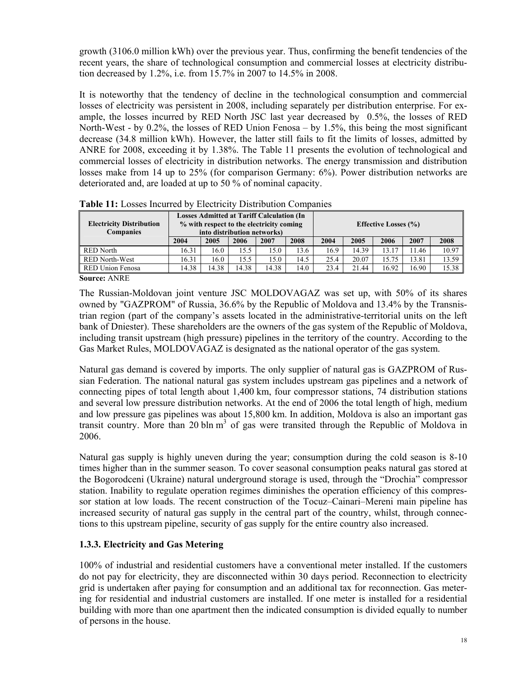growth (3106.0 million kWh) over the previous year. Thus, confirming the benefit tendencies of the recent years, the share of technological consumption and commercial losses at electricity distribution decreased by 1.2%, i.e. from 15.7% in 2007 to 14.5% in 2008.

It is noteworthy that the tendency of decline in the technological consumption and commercial losses of electricity was persistent in 2008, including separately per distribution enterprise. For example, the losses incurred by RED North JSC last year decreased by 0.5%, the losses of RED North-West - by 0.2%, the losses of RED Union Fenosa – by 1.5%, this being the most significant decrease (34.8 million kWh). However, the latter still fails to fit the limits of losses, admitted by ANRE for 2008, exceeding it by 1.38%. The Table 11 presents the evolution of technological and commercial losses of electricity in distribution networks. The energy transmission and distribution losses make from 14 up to 25% (for comparison Germany: 6%). Power distribution networks are deteriorated and, are loaded at up to 50 % of nominal capacity.

| <b>Electricity Distribution</b><br><b>Companies</b> | <b>Losses Admitted at Tariff Calculation (In</b><br>% with respect to the electricity coming<br>into distribution networks) |       |       | <b>Effective Losses (%)</b> |      |      |       |       |       |       |
|-----------------------------------------------------|-----------------------------------------------------------------------------------------------------------------------------|-------|-------|-----------------------------|------|------|-------|-------|-------|-------|
|                                                     | 2004                                                                                                                        | 2005  | 2006  | 2007                        | 2008 | 2004 | 2005  | 2006  | 2007  | 2008  |
| RED North                                           | 16.31                                                                                                                       | 16.0  | 15.5  | 15.0                        | 13.6 | 16.9 | 14.39 | 13.17 | 11.46 | 10.97 |
| <b>RED North-West</b>                               | 16.31                                                                                                                       | 16.0  | 15.5  | 15.0                        | 14.5 | 25.4 | 20.07 | 15.75 | 13.81 | 13.59 |
| <b>RED Union Fenosa</b>                             | 14.38                                                                                                                       | 14.38 | 14.38 | 14.38                       | 14.0 | 23.4 | 21.44 | 16.92 | 16.90 | 15.38 |

**Table 11:** Losses Incurred by Electricity Distribution Companies

**Source:** ANRE

The Russian-Moldovan joint venture JSC MOLDOVAGAZ was set up, with 50% of its shares owned by "GAZPROM" of Russia, 36.6% by the Republic of Moldova and 13.4% by the Transnistrian region (part of the company's assets located in the administrative-territorial units on the left bank of Dniester). These shareholders are the owners of the gas system of the Republic of Moldova, including transit upstream (high pressure) pipelines in the territory of the country. According to the Gas Market Rules, MOLDOVAGAZ is designated as the national operator of the gas system.

Natural gas demand is covered by imports. The only supplier of natural gas is GAZPROM of Russian Federation. The national natural gas system includes upstream gas pipelines and a network of connecting pipes of total length about 1,400 km, four compressor stations, 74 distribution stations and several low pressure distribution networks. At the end of 2006 the total length of high, medium and low pressure gas pipelines was about 15,800 km. In addition, Moldova is also an important gas transit country. More than 20 bln  $m<sup>3</sup>$  of gas were transited through the Republic of Moldova in 2006.

Natural gas supply is highly uneven during the year; consumption during the cold season is 8-10 times higher than in the summer season. To cover seasonal consumption peaks natural gas stored at the Bogorodceni (Ukraine) natural underground storage is used, through the "Drochia" compressor station. Inability to regulate operation regimes diminishes the operation efficiency of this compressor station at low loads. The recent construction of the Tocuz–Cainari–Mereni main pipeline has increased security of natural gas supply in the central part of the country, whilst, through connections to this upstream pipeline, security of gas supply for the entire country also increased.

### **1.3.3. Electricity and Gas Metering**

100% of industrial and residential customers have a conventional meter installed. If the customers do not pay for electricity, they are disconnected within 30 days period. Reconnection to electricity grid is undertaken after paying for consumption and an additional tax for reconnection. Gas metering for residential and industrial customers are installed. If one meter is installed for a residential building with more than one apartment then the indicated consumption is divided equally to number of persons in the house.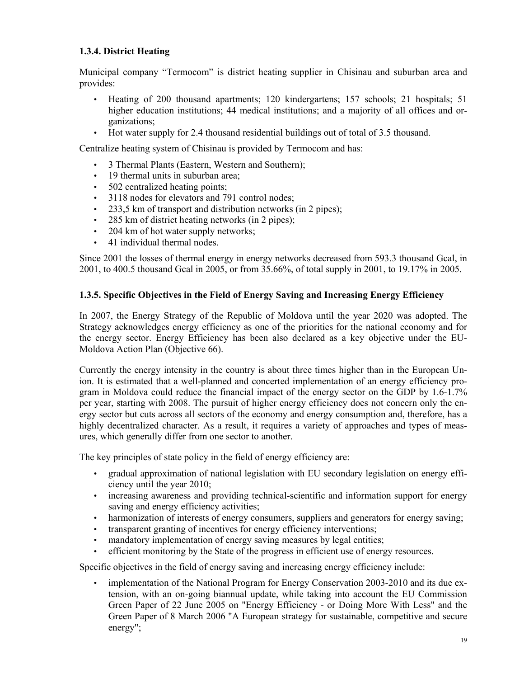### **1.3.4. District Heating**

Municipal company "Termocom" is district heating supplier in Chisinau and suburban area and provides:

- Heating of 200 thousand apartments; 120 kindergartens; 157 schools; 21 hospitals; 51 higher education institutions; 44 medical institutions; and a majority of all offices and organizations;
- Hot water supply for 2.4 thousand residential buildings out of total of 3.5 thousand.

Centralize heating system of Chisinau is provided by Termocom and has:

- 3 Thermal Plants (Eastern, Western and Southern);
- 19 thermal units in suburban area;
- 502 centralized heating points;
- 3118 nodes for elevators and 791 control nodes;
- 233.5 km of transport and distribution networks (in 2 pipes);
- 285 km of district heating networks (in 2 pipes);
- 204 km of hot water supply networks;
- 41 individual thermal nodes.

Since 2001 the losses of thermal energy in energy networks decreased from 593.3 thousand Gcal, in 2001, to 400.5 thousand Gcal in 2005, or from 35.66%, of total supply in 2001, to 19.17% in 2005.

### **1.3.5. Specific Objectives in the Field of Energy Saving and Increasing Energy Efficiency**

In 2007, the Energy Strategy of the Republic of Moldova until the year 2020 was adopted. The Strategy acknowledges energy efficiency as one of the priorities for the national economy and for the energy sector. Energy Efficiency has been also declared as a key objective under the EU-Moldova Action Plan (Objective 66).

Currently the energy intensity in the country is about three times higher than in the European Union. It is estimated that a well-planned and concerted implementation of an energy efficiency program in Moldova could reduce the financial impact of the energy sector on the GDP by 1.6-1.7% per year, starting with 2008. The pursuit of higher energy efficiency does not concern only the energy sector but cuts across all sectors of the economy and energy consumption and, therefore, has a highly decentralized character. As a result, it requires a variety of approaches and types of measures, which generally differ from one sector to another.

The key principles of state policy in the field of energy efficiency are:

- gradual approximation of national legislation with EU secondary legislation on energy efficiency until the year 2010;
- increasing awareness and providing technical-scientific and information support for energy saving and energy efficiency activities;
- harmonization of interests of energy consumers, suppliers and generators for energy saving;
- transparent granting of incentives for energy efficiency interventions;
- mandatory implementation of energy saving measures by legal entities;
- efficient monitoring by the State of the progress in efficient use of energy resources.

Specific objectives in the field of energy saving and increasing energy efficiency include:

• implementation of the National Program for Energy Conservation 2003-2010 and its due extension, with an on-going biannual update, while taking into account the EU Commission Green Paper of 22 June 2005 on "Energy Efficiency - or Doing More With Less" and the Green Paper of 8 March 2006 "A European strategy for sustainable, competitive and secure energy";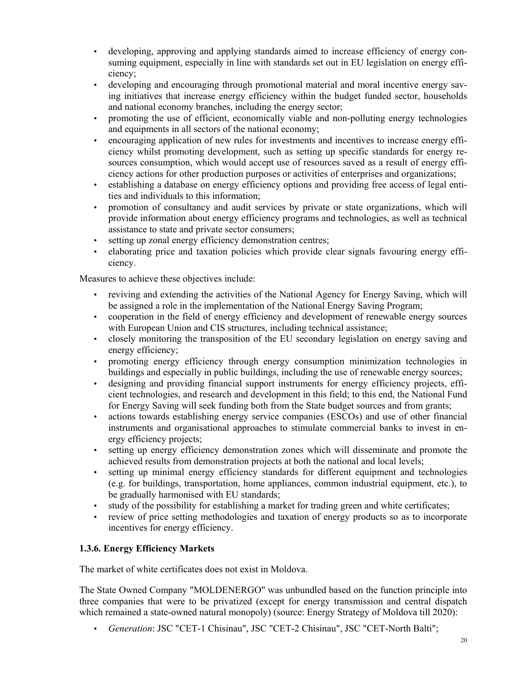- developing, approving and applying standards aimed to increase efficiency of energy consuming equipment, especially in line with standards set out in EU legislation on energy efficiency;
- developing and encouraging through promotional material and moral incentive energy saving initiatives that increase energy efficiency within the budget funded sector, households and national economy branches, including the energy sector;
- promoting the use of efficient, economically viable and non-polluting energy technologies and equipments in all sectors of the national economy;
- encouraging application of new rules for investments and incentives to increase energy efficiency whilst promoting development, such as setting up specific standards for energy resources consumption, which would accept use of resources saved as a result of energy efficiency actions for other production purposes or activities of enterprises and organizations;
- establishing a database on energy efficiency options and providing free access of legal entities and individuals to this information;
- promotion of consultancy and audit services by private or state organizations, which will provide information about energy efficiency programs and technologies, as well as technical assistance to state and private sector consumers;
- setting up zonal energy efficiency demonstration centres;
- elaborating price and taxation policies which provide clear signals favouring energy efficiency.

Measures to achieve these objectives include:

- reviving and extending the activities of the National Agency for Energy Saving, which will be assigned a role in the implementation of the National Energy Saving Program;
- cooperation in the field of energy efficiency and development of renewable energy sources with European Union and CIS structures, including technical assistance;
- closely monitoring the transposition of the EU secondary legislation on energy saving and energy efficiency;
- promoting energy efficiency through energy consumption minimization technologies in buildings and especially in public buildings, including the use of renewable energy sources;
- designing and providing financial support instruments for energy efficiency projects, efficient technologies, and research and development in this field; to this end, the National Fund for Energy Saving will seek funding both from the State budget sources and from grants;
- actions towards establishing energy service companies (ESCOs) and use of other financial instruments and organisational approaches to stimulate commercial banks to invest in energy efficiency projects;
- setting up energy efficiency demonstration zones which will disseminate and promote the achieved results from demonstration projects at both the national and local levels;
- setting up minimal energy efficiency standards for different equipment and technologies (e.g. for buildings, transportation, home appliances, common industrial equipment, etc.), to be gradually harmonised with EU standards;
- study of the possibility for establishing a market for trading green and white certificates;
- review of price setting methodologies and taxation of energy products so as to incorporate incentives for energy efficiency.

### **1.3.6. Energy Efficiency Markets**

The market of white certificates does not exist in Moldova.

The State Owned Company "MOLDENERGO" was unbundled based on the function principle into three companies that were to be privatized (except for energy transmission and central dispatch which remained a state-owned natural monopoly) (source: Energy Strategy of Moldova till 2020):

• *Generation*: JSC "CET-1 Chisinau", JSC "CET-2 Chisinau", JSC "CET-North Balti";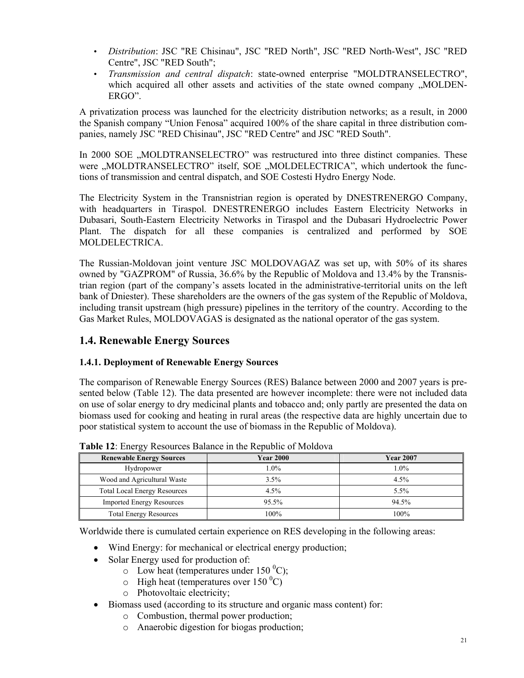- *Distribution*: JSC "RE Chisinau", JSC "RED North", JSC "RED North-West", JSC "RED Centre", JSC "RED South";
- *Transmission and central dispatch*: state-owned enterprise "MOLDTRANSELECTRO", which acquired all other assets and activities of the state owned company "MOLDEN-ERGO".

A privatization process was launched for the electricity distribution networks; as a result, in 2000 the Spanish company "Union Fenosa" acquired 100% of the share capital in three distribution companies, namely JSC "RED Chisinau", JSC "RED Centre" and JSC "RED South".

In 2000 SOE "MOLDTRANSELECTRO" was restructured into three distinct companies. These were ..MOLDTRANSELECTRO" itself, SOE ..MOLDELECTRICA", which undertook the functions of transmission and central dispatch, and SOE Costesti Hydro Energy Node.

The Electricity System in the Transnistrian region is operated by DNESTRENERGO Company, with headquarters in Tiraspol. DNESTRENERGO includes Eastern Electricity Networks in Dubasari, South-Eastern Electricity Networks in Tiraspol and the Dubasari Hydroelectric Power Plant. The dispatch for all these companies is centralized and performed by SOE MOLDELECTRICA.

The Russian-Moldovan joint venture JSC MOLDOVAGAZ was set up, with 50% of its shares owned by "GAZPROM" of Russia, 36.6% by the Republic of Moldova and 13.4% by the Transnistrian region (part of the company's assets located in the administrative-territorial units on the left bank of Dniester). These shareholders are the owners of the gas system of the Republic of Moldova, including transit upstream (high pressure) pipelines in the territory of the country. According to the Gas Market Rules, MOLDOVAGAS is designated as the national operator of the gas system.

### **1.4. Renewable Energy Sources**

### **1.4.1. Deployment of Renewable Energy Sources**

The comparison of Renewable Energy Sources (RES) Balance between 2000 and 2007 years is presented below (Table 12). The data presented are however incomplete: there were not included data on use of solar energy to dry medicinal plants and tobacco and; only partly are presented the data on biomass used for cooking and heating in rural areas (the respective data are highly uncertain due to poor statistical system to account the use of biomass in the Republic of Moldova).

| <b>Renewable Energy Sources</b>     | <b>Year 2000</b> | <b>Year 2007</b> |
|-------------------------------------|------------------|------------------|
| Hydropower                          | $1.0\%$          | $.0\%$           |
| Wood and Agricultural Waste         | 3.5%             | $4.5\%$          |
| <b>Total Local Energy Resources</b> | $4.5\%$          | $5.5\%$          |
| <b>Imported Energy Resources</b>    | $95.5\%$         | 94.5%            |
| <b>Total Energy Resources</b>       | 100%             | 100%             |

**Table 12**: Energy Resources Balance in the Republic of Moldova

Worldwide there is cumulated certain experience on RES developing in the following areas:

- Wind Energy: for mechanical or electrical energy production;
- Solar Energy used for production of:
	- $\circ$  Low heat (temperatures under 150 °C);
	- $\circ$  High heat (temperatures over 150 °C)
	- o Photovoltaic electricity;
- Biomass used (according to its structure and organic mass content) for:
	- o Combustion, thermal power production;
	- o Anaerobic digestion for biogas production;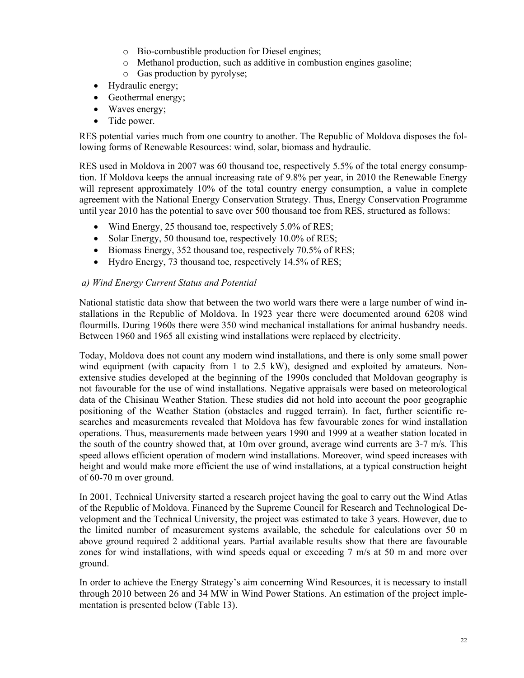- o Bio-combustible production for Diesel engines;
- o Methanol production, such as additive in combustion engines gasoline;
- o Gas production by pyrolyse;
- Hydraulic energy;
- Geothermal energy;
- Waves energy;
- Tide power.

RES potential varies much from one country to another. The Republic of Moldova disposes the following forms of Renewable Resources: wind, solar, biomass and hydraulic.

RES used in Moldova in 2007 was 60 thousand toe, respectively 5.5% of the total energy consumption. If Moldova keeps the annual increasing rate of 9.8% per year, in 2010 the Renewable Energy will represent approximately 10% of the total country energy consumption, a value in complete agreement with the National Energy Conservation Strategy. Thus, Energy Conservation Programme until year 2010 has the potential to save over 500 thousand toe from RES, structured as follows:

- Wind Energy, 25 thousand toe, respectively 5.0% of RES;
- Solar Energy, 50 thousand toe, respectively 10.0% of RES;
- Biomass Energy, 352 thousand toe, respectively 70.5% of RES;
- Hydro Energy, 73 thousand toe, respectively 14.5% of RES;

#### *a) Wind Energy Current Status and Potential*

National statistic data show that between the two world wars there were a large number of wind installations in the Republic of Moldova. In 1923 year there were documented around 6208 wind flourmills. During 1960s there were 350 wind mechanical installations for animal husbandry needs. Between 1960 and 1965 all existing wind installations were replaced by electricity.

Today, Moldova does not count any modern wind installations, and there is only some small power wind equipment (with capacity from 1 to 2.5 kW), designed and exploited by amateurs. Nonextensive studies developed at the beginning of the 1990s concluded that Moldovan geography is not favourable for the use of wind installations. Negative appraisals were based on meteorological data of the Chisinau Weather Station. These studies did not hold into account the poor geographic positioning of the Weather Station (obstacles and rugged terrain). In fact, further scientific researches and measurements revealed that Moldova has few favourable zones for wind installation operations. Thus, measurements made between years 1990 and 1999 at a weather station located in the south of the country showed that, at 10m over ground, average wind currents are 3-7 m/s. This speed allows efficient operation of modern wind installations. Moreover, wind speed increases with height and would make more efficient the use of wind installations, at a typical construction height of 60-70 m over ground.

In 2001, Technical University started a research project having the goal to carry out the Wind Atlas of the Republic of Moldova. Financed by the Supreme Council for Research and Technological Development and the Technical University, the project was estimated to take 3 years. However, due to the limited number of measurement systems available, the schedule for calculations over 50 m above ground required 2 additional years. Partial available results show that there are favourable zones for wind installations, with wind speeds equal or exceeding 7 m/s at 50 m and more over ground.

In order to achieve the Energy Strategy's aim concerning Wind Resources, it is necessary to install through 2010 between 26 and 34 MW in Wind Power Stations. An estimation of the project implementation is presented below (Table 13).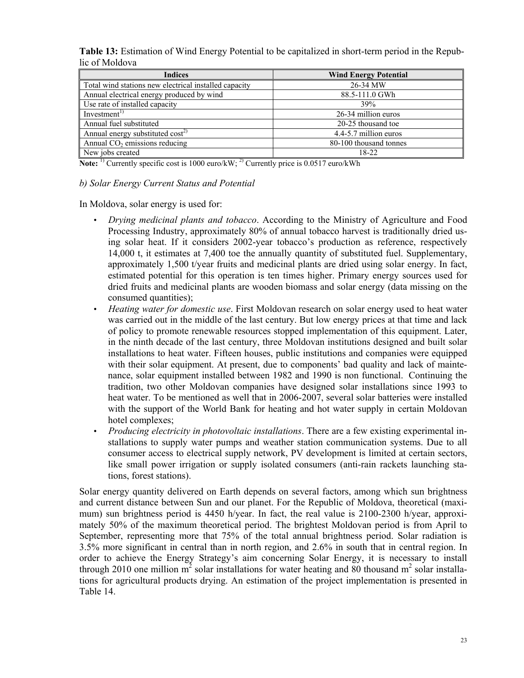**Table 13:** Estimation of Wind Energy Potential to be capitalized in short-term period in the Republic of Moldova

| <b>Indices</b>                                        | <b>Wind Energy Potential</b> |
|-------------------------------------------------------|------------------------------|
| Total wind stations new electrical installed capacity | 26-34 MW                     |
| Annual electrical energy produced by wind             | 88.5-111.0 GWh               |
| Use rate of installed capacity                        | 39%                          |
| Investment <sup>1</sup>                               | 26-34 million euros          |
| Annual fuel substituted                               | 20-25 thousand toe           |
| Annual energy substituted cost <sup>2)</sup>          | 4.4-5.7 million euros        |
| Annual $CO2$ emissions reducing                       | 80-100 thousand tonnes       |
| New jobs created                                      | 18-22                        |

**Note:** <sup>1)</sup> Currently specific cost is 1000 euro/kW; <sup>2)</sup> Currently price is 0.0517 euro/kWh

#### *b) Solar Energy Current Status and Potential*

In Moldova, solar energy is used for:

- *Drying medicinal plants and tobacco*. According to the Ministry of Agriculture and Food Processing Industry, approximately 80% of annual tobacco harvest is traditionally dried using solar heat. If it considers 2002-year tobacco's production as reference, respectively 14,000 t, it estimates at 7,400 toe the annually quantity of substituted fuel. Supplementary, approximately 1,500 t/year fruits and medicinal plants are dried using solar energy. In fact, estimated potential for this operation is ten times higher. Primary energy sources used for dried fruits and medicinal plants are wooden biomass and solar energy (data missing on the consumed quantities);
- *Heating water for domestic use*. First Moldovan research on solar energy used to heat water was carried out in the middle of the last century. But low energy prices at that time and lack of policy to promote renewable resources stopped implementation of this equipment. Later, in the ninth decade of the last century, three Moldovan institutions designed and built solar installations to heat water. Fifteen houses, public institutions and companies were equipped with their solar equipment. At present, due to components' bad quality and lack of maintenance, solar equipment installed between 1982 and 1990 is non functional. Continuing the tradition, two other Moldovan companies have designed solar installations since 1993 to heat water. To be mentioned as well that in 2006-2007, several solar batteries were installed with the support of the World Bank for heating and hot water supply in certain Moldovan hotel complexes;
- *Producing electricity in photovoltaic installations*. There are a few existing experimental installations to supply water pumps and weather station communication systems. Due to all consumer access to electrical supply network, PV development is limited at certain sectors, like small power irrigation or supply isolated consumers (anti-rain rackets launching stations, forest stations).

Solar energy quantity delivered on Earth depends on several factors, among which sun brightness and current distance between Sun and our planet. For the Republic of Moldova, theoretical (maximum) sun brightness period is 4450 h/year. In fact, the real value is 2100-2300 h/year, approximately 50% of the maximum theoretical period. The brightest Moldovan period is from April to September, representing more that 75% of the total annual brightness period. Solar radiation is 3.5% more significant in central than in north region, and 2.6% in south that in central region. In order to achieve the Energy Strategy's aim concerning Solar Energy, it is necessary to install through 2010 one million  $m^2$  solar installations for water heating and 80 thousand  $m^2$  solar installations for agricultural products drying. An estimation of the project implementation is presented in Table 14.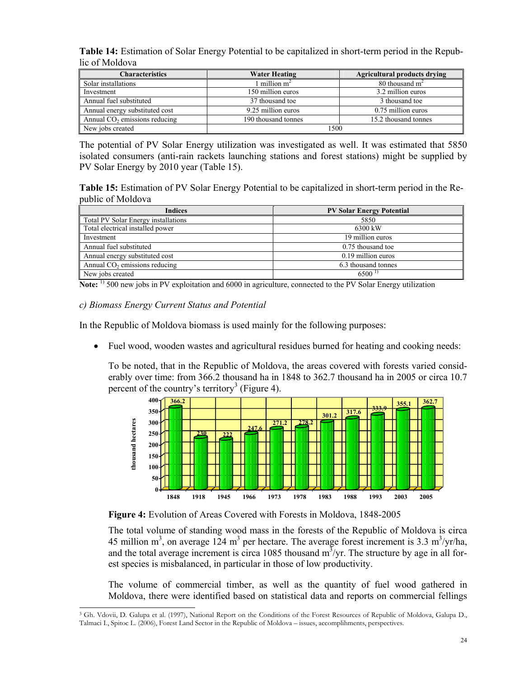**Table 14:** Estimation of Solar Energy Potential to be capitalized in short-term period in the Republic of Moldova

| <b>Characteristics</b>                    | <b>Water Heating</b> | <b>Agricultural products drying</b> |
|-------------------------------------------|----------------------|-------------------------------------|
| Solar installations                       | million $m^2$        | 80 thousand $m2$                    |
| Investment                                | 150 million euros    | 3.2 million euros                   |
| Annual fuel substituted                   | 37 thousand toe      | 3 thousand toe                      |
| Annual energy substituted cost            | 9.25 million euros   | 0.75 million euros                  |
| Annual CO <sub>2</sub> emissions reducing | 190 thousand tonnes  | 15.2 thousand tonnes                |
| New jobs created                          | 1500                 |                                     |

The potential of PV Solar Energy utilization was investigated as well. It was estimated that 5850 isolated consumers (anti-rain rackets launching stations and forest stations) might be supplied by PV Solar Energy by 2010 year (Table 15).

**Table 15:** Estimation of PV Solar Energy Potential to be capitalized in short-term period in the Republic of Moldova

| <b>Indices</b>                             | <b>PV Solar Energy Potential</b> |
|--------------------------------------------|----------------------------------|
| <b>Total PV Solar Energy installations</b> | 5850                             |
| Total electrical installed power           | 6300 kW                          |
| Investment                                 | 19 million euros                 |
| Annual fuel substituted                    | 0.75 thousand toe                |
| Annual energy substituted cost             | 0.19 million euros               |
| Annual $CO2$ emissions reducing            | 6.3 thousand tonnes              |
| New jobs created                           | 6500 <sup>1</sup>                |

**Note:** <sup>1)</sup> 500 new jobs in PV exploitation and 6000 in agriculture, connected to the PV Solar Energy utilization

#### *c) Biomass Energy Current Status and Potential*

j

In the Republic of Moldova biomass is used mainly for the following purposes:

• Fuel wood, wooden wastes and agricultural residues burned for heating and cooking needs:

To be noted, that in the Republic of Moldova, the areas covered with forests varied considerably over time: from 366.2 thousand ha in 1848 to 362.7 thousand ha in 2005 or circa 10.7 percent of the country's territory<sup>3</sup> (Figure 4).



**Figure 4:** Evolution of Areas Covered with Forests in Moldova, 1848-2005

The total volume of standing wood mass in the forests of the Republic of Moldova is circa 45 million m<sup>3</sup>, on average 124 m<sup>3</sup> per hectare. The average forest increment is 3.3 m<sup>3</sup>/yr/ha, and the total average increment is circa 1085 thousand  $m^3$ /yr. The structure by age in all forest species is misbalanced, in particular in those of low productivity.

The volume of commercial timber, as well as the quantity of fuel wood gathered in Moldova, there were identified based on statistical data and reports on commercial fellings

<sup>3</sup> Gh. Vdovii, D. Galupa et al. (1997), National Report on the Conditions of the Forest Resources of Republic of Moldova, Galupa D., Talmaci I., Spitoc L. (2006), Forest Land Sector in the Republic of Moldova – issues, accomplihments, perspectives.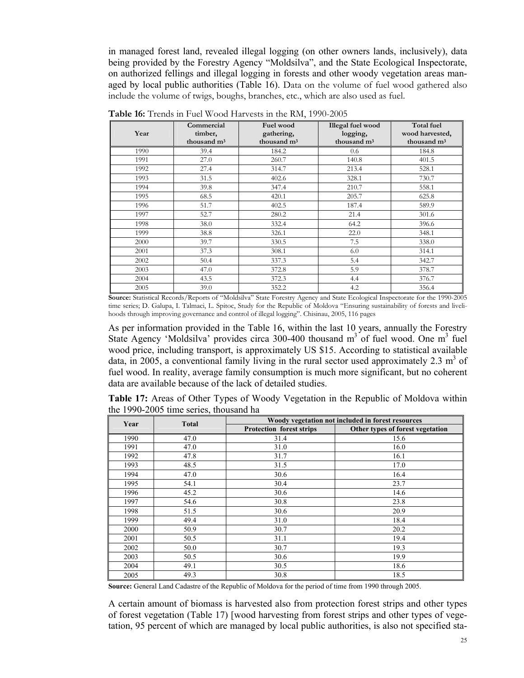in managed forest land, revealed illegal logging (on other owners lands, inclusively), data being provided by the Forestry Agency "Moldsilva", and the State Ecological Inspectorate, on authorized fellings and illegal logging in forests and other woody vegetation areas managed by local public authorities (Table 16). Data on the volume of fuel wood gathered also include the volume of twigs, boughs, branches, etc., which are also used as fuel.

| Year | Commercial<br>timber,<br>thousand $m3$ | Fuel wood<br>gathering,<br>thousand m <sup>3</sup> | Illegal fuel wood<br>logging,<br>thousand m <sup>3</sup> | <b>Total fuel</b><br>wood harvested,<br>thousand m <sup>3</sup> |
|------|----------------------------------------|----------------------------------------------------|----------------------------------------------------------|-----------------------------------------------------------------|
|      |                                        |                                                    |                                                          |                                                                 |
| 1990 | 39.4                                   | 184.2                                              | 0.6                                                      | 184.8                                                           |
| 1991 | 27.0                                   | 260.7                                              | 140.8                                                    | 401.5                                                           |
| 1992 | 27.4                                   | 314.7                                              | 213.4                                                    | 528.1                                                           |
| 1993 | 31.5                                   | 402.6                                              | 328.1                                                    | 730.7                                                           |
| 1994 | 39.8                                   | 347.4                                              | 210.7                                                    | 558.1                                                           |
| 1995 | 68.5                                   | 420.1                                              | 205.7                                                    | 625.8                                                           |
| 1996 | 51.7                                   | 402.5                                              | 187.4                                                    | 589.9                                                           |
| 1997 | 52.7                                   | 280.2                                              | 21.4                                                     | 301.6                                                           |
| 1998 | 38.0                                   | 332.4                                              | 64.2                                                     | 396.6                                                           |
| 1999 | 38.8                                   | 326.1                                              | 22.0                                                     | 348.1                                                           |
| 2000 | 39.7                                   | 330.5                                              | 7.5                                                      | 338.0                                                           |
| 2001 | 37.3                                   | 308.1                                              | 6.0                                                      | 314.1                                                           |
| 2002 | 50.4                                   | 337.3                                              | 5.4                                                      | 342.7                                                           |
| 2003 | 47.0                                   | 372.8                                              | 5.9                                                      | 378.7                                                           |
| 2004 | 43.5                                   | 372.3                                              | 4.4                                                      | 376.7                                                           |
| 2005 | 39.0                                   | 352.2                                              | 4.2                                                      | 356.4                                                           |

**Table 16:** Trends in Fuel Wood Harvests in the RM, 1990-2005

**Source:** Statistical Records/Reports of "Moldsilva" State Forestry Agency and State Ecological Inspectorate for the 1990-2005 time series; D. Galupa, I. Talmaci, L. Spitoc, Study for the Republic of Moldova "Ensuring sustainability of forests and livelihoods through improving governance and control of illegal logging". Chisinau, 2005, 116 pages

As per information provided in the Table 16, within the last 10 years, annually the Forestry State Agency 'Moldsilva' provides circa 300-400 thousand  $m<sup>3</sup>$  of fuel wood. One  $m<sup>3</sup>$  fuel wood price, including transport, is approximately US \$15. According to statistical available data, in 2005, a conventional family living in the rural sector used approximately 2.3  $m<sup>3</sup>$  of fuel wood. In reality, average family consumption is much more significant, but no coherent data are available because of the lack of detailed studies.

**Table 17:** Areas of Other Types of Woody Vegetation in the Republic of Moldova within the 1990-2005 time series, thousand ha

| Year | <b>Total</b> | Woody vegetation not included in forest resources |                                  |  |
|------|--------------|---------------------------------------------------|----------------------------------|--|
|      |              | <b>Protection forest strips</b>                   | Other types of forest vegetation |  |
| 1990 | 47.0         | 31.4                                              | 15.6                             |  |
| 1991 | 47.0         | 31.0                                              | 16.0                             |  |
| 1992 | 47.8         | 31.7                                              | 16.1                             |  |
| 1993 | 48.5         | 31.5                                              | 17.0                             |  |
| 1994 | 47.0         | 30.6                                              | 16.4                             |  |
| 1995 | 54.1         | 30.4                                              | 23.7                             |  |
| 1996 | 45.2         | 30.6                                              | 14.6                             |  |
| 1997 | 54.6         | 30.8                                              | 23.8                             |  |
| 1998 | 51.5         | 30.6                                              | 20.9                             |  |
| 1999 | 49.4         | 31.0                                              | 18.4                             |  |
| 2000 | 50.9         | 30.7                                              | 20.2                             |  |
| 2001 | 50.5         | 31.1                                              | 19.4                             |  |
| 2002 | 50.0         | 30.7                                              | 19.3                             |  |
| 2003 | 50.5         | 30.6                                              | 19.9                             |  |
| 2004 | 49.1         | 30.5                                              | 18.6                             |  |
| 2005 | 49.3         | 30.8                                              | 18.5                             |  |

**Source:** General Land Cadastre of the Republic of Moldova for the period of time from 1990 through 2005.

A certain amount of biomass is harvested also from protection forest strips and other types of forest vegetation (Table 17) [wood harvesting from forest strips and other types of vegetation, 95 percent of which are managed by local public authorities, is also not specified sta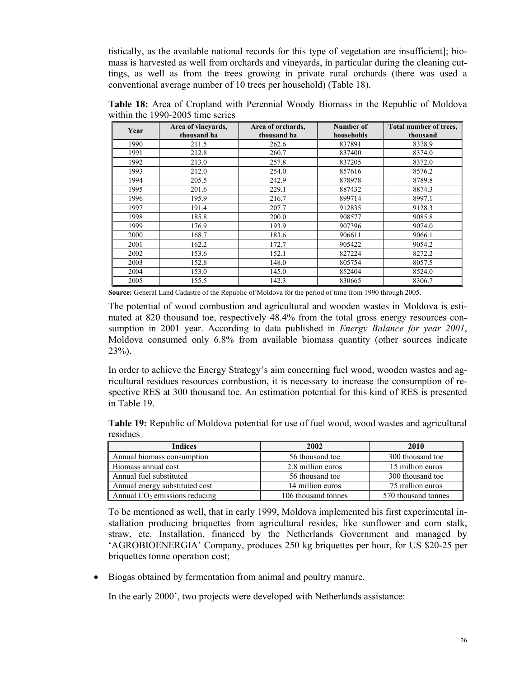tistically, as the available national records for this type of vegetation are insufficient]; biomass is harvested as well from orchards and vineyards, in particular during the cleaning cuttings, as well as from the trees growing in private rural orchards (there was used a conventional average number of 10 trees per household) (Table 18).

**Table 18:** Area of Cropland with Perennial Woody Biomass in the Republic of Moldova within the 1990-2005 time series

| Year | Area of vineyards,<br>thousand ha | Area of orchards,<br>thousand ha | Number of<br>households | Total number of trees,<br>thousand |
|------|-----------------------------------|----------------------------------|-------------------------|------------------------------------|
| 1990 | 211.5                             | 262.6                            | 837891                  | 8378.9                             |
| 1991 | 212.8                             | 260.7                            | 837400                  | 8374.0                             |
| 1992 | 213.0                             | 257.8                            | 837205                  | 8372.0                             |
| 1993 | 212.0                             | 254.0                            | 857616                  | 8576.2                             |
| 1994 | 205.5                             | 242.9                            | 878978                  | 8789.8                             |
| 1995 | 201.6                             | 229.1                            | 887432                  | 8874.3                             |
| 1996 | 195.9                             | 216.7                            | 899714                  | 8997.1                             |
| 1997 | 191.4                             | 207.7                            | 912835                  | 9128.3                             |
| 1998 | 185.8                             | 200.0                            | 908577                  | 9085.8                             |
| 1999 | 176.9                             | 193.9                            | 907396                  | 9074.0                             |
| 2000 | 168.7                             | 183.6                            | 906611                  | 9066.1                             |
| 2001 | 162.2                             | 172.7                            | 905422                  | 9054.2                             |
| 2002 | 153.6                             | 152.1                            | 827224                  | 8272.2                             |
| 2003 | 152.8                             | 148.0                            | 805754                  | 8057.5                             |
| 2004 | 153.0                             | 145.0                            | 852404                  | 8524.0                             |
| 2005 | 155.5                             | 142.3                            | 830665                  | 8306.7                             |

**Source:** General Land Cadastre of the Republic of Moldova for the period of time from 1990 through 2005.

The potential of wood combustion and agricultural and wooden wastes in Moldova is estimated at 820 thousand toe, respectively 48.4% from the total gross energy resources consumption in 2001 year. According to data published in *Energy Balance for year 2001*, Moldova consumed only 6.8% from available biomass quantity (other sources indicate 23%).

In order to achieve the Energy Strategy's aim concerning fuel wood, wooden wastes and agricultural residues resources combustion, it is necessary to increase the consumption of respective RES at 300 thousand toe. An estimation potential for this kind of RES is presented in Table 19.

**Table 19:** Republic of Moldova potential for use of fuel wood, wood wastes and agricultural residues

| Indices                         | 2002                | 2010                |
|---------------------------------|---------------------|---------------------|
| Annual biomass consumption      | 56 thousand toe     | 300 thousand toe    |
| Biomass annual cost             | 2.8 million euros   | 15 million euros    |
| Annual fuel substituted         | 56 thousand toe     | 300 thousand toe    |
| Annual energy substituted cost  | 14 million euros    | 75 million euros    |
| Annual $CO2$ emissions reducing | 106 thousand tonnes | 570 thousand tonnes |

To be mentioned as well, that in early 1999, Moldova implemented his first experimental installation producing briquettes from agricultural resides, like sunflower and corn stalk, straw, etc. Installation, financed by the Netherlands Government and managed by 'AGROBIOENERGIA' Company, produces 250 kg briquettes per hour, for US \$20-25 per briquettes tonne operation cost;

• Biogas obtained by fermentation from animal and poultry manure.

In the early 2000', two projects were developed with Netherlands assistance: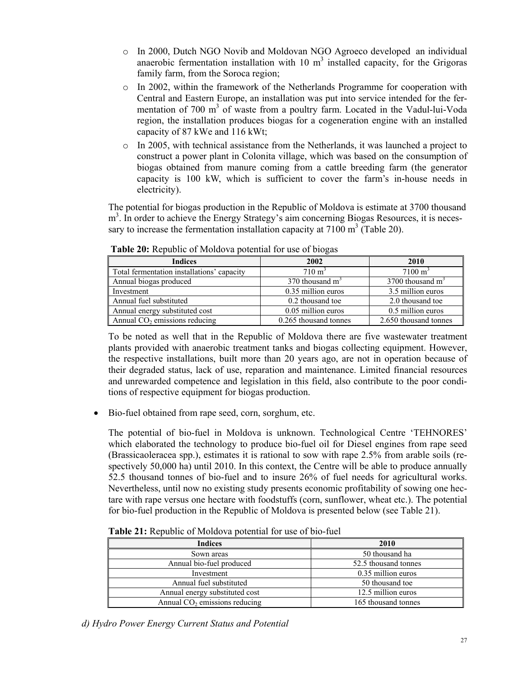- o In 2000, Dutch NGO Novib and Moldovan NGO Agroeco developed an individual anaerobic fermentation installation with  $10 \text{ m}^3$  installed capacity, for the Grigoras family farm, from the Soroca region;
- o In 2002, within the framework of the Netherlands Programme for cooperation with Central and Eastern Europe, an installation was put into service intended for the fermentation of 700  $m<sup>3</sup>$  of waste from a poultry farm. Located in the Vadul-lui-Voda region, the installation produces biogas for a cogeneration engine with an installed capacity of 87 kWe and 116 kWt;
- $\circ$  In 2005, with technical assistance from the Netherlands, it was launched a project to construct a power plant in Colonita village, which was based on the consumption of biogas obtained from manure coming from a cattle breeding farm (the generator capacity is 100 kW, which is sufficient to cover the farm's in-house needs in electricity).

The potential for biogas production in the Republic of Moldova is estimate at 3700 thousand m<sup>3</sup>. In order to achieve the Energy Strategy's aim concerning Biogas Resources, it is necessary to increase the fermentation installation capacity at  $7100 \text{ m}^3$  (Table 20).

| <b>Indices</b>                             | 2002                  | 2010                  |
|--------------------------------------------|-----------------------|-----------------------|
| Total fermentation installations' capacity | $710 \text{ m}^3$     | $7100 \text{ m}^3$    |
| Annual biogas produced                     | 370 thousand $m3$     | 3700 thousand $m3$    |
| Investment                                 | 0.35 million euros    | 3.5 million euros     |
| Annual fuel substituted                    | 0.2 thousand toe      | 2.0 thousand toe      |
| Annual energy substituted cost             | 0.05 million euros    | 0.5 million euros     |
| Annual $CO2$ emissions reducing            | 0.265 thousand tonnes | 2.650 thousand tonnes |

 **Table 20:** Republic of Moldova potential for use of biogas

To be noted as well that in the Republic of Moldova there are five wastewater treatment plants provided with anaerobic treatment tanks and biogas collecting equipment. However, the respective installations, built more than 20 years ago, are not in operation because of their degraded status, lack of use, reparation and maintenance. Limited financial resources and unrewarded competence and legislation in this field, also contribute to the poor conditions of respective equipment for biogas production.

• Bio-fuel obtained from rape seed, corn, sorghum, etc.

The potential of bio-fuel in Moldova is unknown. Technological Centre 'TEHNORES' which elaborated the technology to produce bio-fuel oil for Diesel engines from rape seed (Brassicaoleracea spp.), estimates it is rational to sow with rape 2.5% from arable soils (respectively 50,000 ha) until 2010. In this context, the Centre will be able to produce annually 52.5 thousand tonnes of bio-fuel and to insure 26% of fuel needs for agricultural works. Nevertheless, until now no existing study presents economic profitability of sowing one hectare with rape versus one hectare with foodstuffs (corn, sunflower, wheat etc.). The potential for bio-fuel production in the Republic of Moldova is presented below (see Table 21).

| <b>Indices</b>                  | 2010                 |
|---------------------------------|----------------------|
| Sown areas                      | 50 thousand ha       |
| Annual bio-fuel produced        | 52.5 thousand tonnes |
| Investment                      | 0.35 million euros   |
| Annual fuel substituted         | 50 thousand toe      |
| Annual energy substituted cost  | 12.5 million euros   |
| Annual $CO2$ emissions reducing | 165 thousand tonnes  |

**Table 21:** Republic of Moldova potential for use of bio-fuel

*d) Hydro Power Energy Current Status and Potential*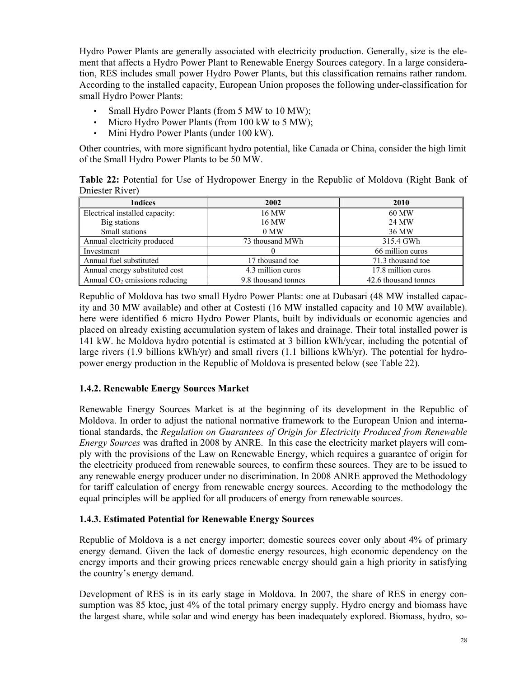Hydro Power Plants are generally associated with electricity production. Generally, size is the element that affects a Hydro Power Plant to Renewable Energy Sources category. In a large consideration, RES includes small power Hydro Power Plants, but this classification remains rather random. According to the installed capacity, European Union proposes the following under-classification for small Hydro Power Plants:

- Small Hydro Power Plants (from 5 MW to 10 MW);
- Micro Hydro Power Plants (from 100 kW to 5 MW);
- Mini Hydro Power Plants (under 100 kW).

Other countries, with more significant hydro potential, like Canada or China, consider the high limit of the Small Hydro Power Plants to be 50 MW.

**Table 22:** Potential for Use of Hydropower Energy in the Republic of Moldova (Right Bank of Dniester River)

| <b>Indices</b>                  | 2002                | 2010                 |
|---------------------------------|---------------------|----------------------|
| Electrical installed capacity:  | 16 MW               | 60 MW                |
| Big stations                    | 16 MW               | 24 MW                |
| Small stations                  | 0 MW                | 36 MW                |
| Annual electricity produced     | 73 thousand MWh     | 315.4 GWh            |
| Investment                      |                     | 66 million euros     |
| Annual fuel substituted         | 17 thousand toe     | 71.3 thousand toe    |
| Annual energy substituted cost  | 4.3 million euros   | 17.8 million euros   |
| Annual $CO2$ emissions reducing | 9.8 thousand tonnes | 42.6 thousand tonnes |

Republic of Moldova has two small Hydro Power Plants: one at Dubasari (48 MW installed capacity and 30 MW available) and other at Costesti (16 MW installed capacity and 10 MW available). here were identified 6 micro Hydro Power Plants, built by individuals or economic agencies and placed on already existing accumulation system of lakes and drainage. Their total installed power is 141 kW. he Moldova hydro potential is estimated at 3 billion kWh/year, including the potential of large rivers (1.9 billions kWh/yr) and small rivers (1.1 billions kWh/yr). The potential for hydropower energy production in the Republic of Moldova is presented below (see Table 22).

### **1.4.2. Renewable Energy Sources Market**

Renewable Energy Sources Market is at the beginning of its development in the Republic of Moldova. In order to adjust the national normative framework to the European Union and international standards, the *Regulation on Guarantees of Origin for Electricity Produced from Renewable Energy Sources* was drafted in 2008 by ANRE. In this case the electricity market players will comply with the provisions of the Law on Renewable Energy, which requires a guarantee of origin for the electricity produced from renewable sources, to confirm these sources. They are to be issued to any renewable energy producer under no discrimination. In 2008 ANRE approved the Methodology for tariff calculation of energy from renewable energy sources. According to the methodology the equal principles will be applied for all producers of energy from renewable sources.

#### **1.4.3. Estimated Potential for Renewable Energy Sources**

Republic of Moldova is a net energy importer; domestic sources cover only about 4% of primary energy demand. Given the lack of domestic energy resources, high economic dependency on the energy imports and their growing prices renewable energy should gain a high priority in satisfying the country's energy demand.

Development of RES is in its early stage in Moldova. In 2007, the share of RES in energy consumption was 85 ktoe, just 4% of the total primary energy supply. Hydro energy and biomass have the largest share, while solar and wind energy has been inadequately explored. Biomass, hydro, so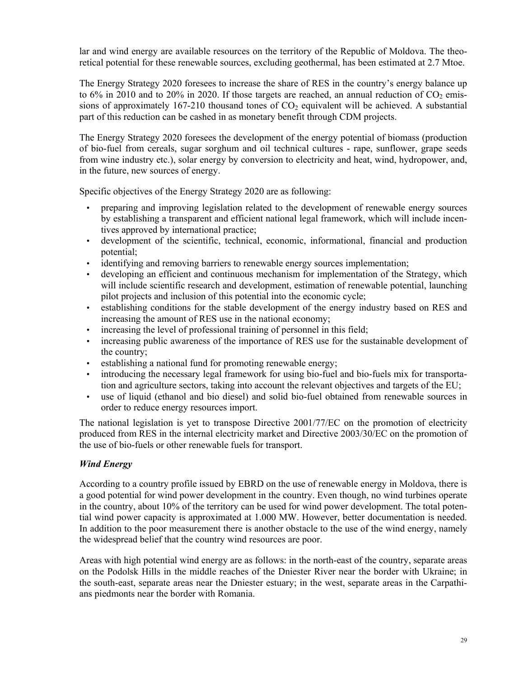lar and wind energy are available resources on the territory of the Republic of Moldova. The theoretical potential for these renewable sources, excluding geothermal, has been estimated at 2.7 Mtoe.

The Energy Strategy 2020 foresees to increase the share of RES in the country's energy balance up to 6% in 2010 and to 20% in 2020. If those targets are reached, an annual reduction of  $CO<sub>2</sub>$  emissions of approximately 167-210 thousand tones of  $CO<sub>2</sub>$  equivalent will be achieved. A substantial part of this reduction can be cashed in as monetary benefit through CDM projects.

The Energy Strategy 2020 foresees the development of the energy potential of biomass (production of bio-fuel from cereals, sugar sorghum and oil technical cultures - rape, sunflower, grape seeds from wine industry etc.), solar energy by conversion to electricity and heat, wind, hydropower, and, in the future, new sources of energy.

Specific objectives of the Energy Strategy 2020 are as following:

- preparing and improving legislation related to the development of renewable energy sources by establishing a transparent and efficient national legal framework, which will include incentives approved by international practice;
- development of the scientific, technical, economic, informational, financial and production potential;
- identifying and removing barriers to renewable energy sources implementation;
- developing an efficient and continuous mechanism for implementation of the Strategy, which will include scientific research and development, estimation of renewable potential, launching pilot projects and inclusion of this potential into the economic cycle;
- establishing conditions for the stable development of the energy industry based on RES and increasing the amount of RES use in the national economy;
- increasing the level of professional training of personnel in this field;
- increasing public awareness of the importance of RES use for the sustainable development of the country;
- establishing a national fund for promoting renewable energy;
- introducing the necessary legal framework for using bio-fuel and bio-fuels mix for transportation and agriculture sectors, taking into account the relevant objectives and targets of the EU;
- use of liquid (ethanol and bio diesel) and solid bio-fuel obtained from renewable sources in order to reduce energy resources import.

The national legislation is yet to transpose Directive 2001/77/EC on the promotion of electricity produced from RES in the internal electricity market and Directive 2003/30/EC on the promotion of the use of bio-fuels or other renewable fuels for transport.

### *Wind Energy*

According to a country profile issued by EBRD on the use of renewable energy in Moldova, there is a good potential for wind power development in the country. Even though, no wind turbines operate in the country, about 10% of the territory can be used for wind power development. The total potential wind power capacity is approximated at 1.000 MW. However, better documentation is needed. In addition to the poor measurement there is another obstacle to the use of the wind energy, namely the widespread belief that the country wind resources are poor.

Areas with high potential wind energy are as follows: in the north-east of the country, separate areas on the Podolsk Hills in the middle reaches of the Dniester River near the border with Ukraine; in the south-east, separate areas near the Dniester estuary; in the west, separate areas in the Carpathians piedmonts near the border with Romania.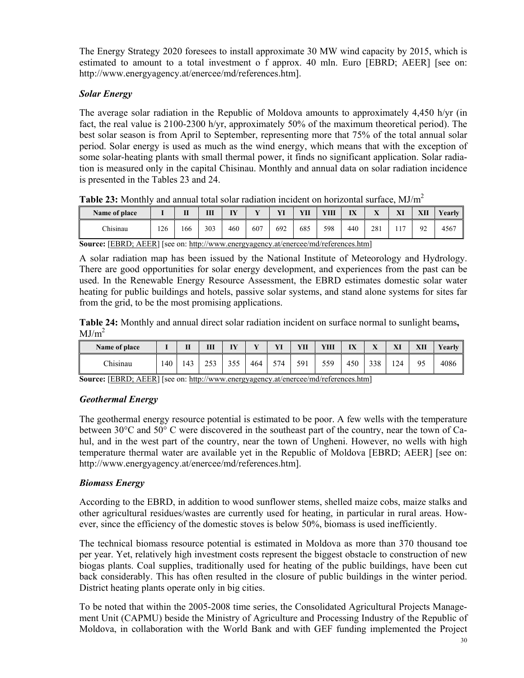The Energy Strategy 2020 foresees to install approximate 30 MW wind capacity by 2015, which is estimated to amount to a total investment o f approx. 40 mln. Euro [EBRD; AEER] [see on: http://www.energyagency.at/enercee/md/references.htm].

### *Solar Energy*

The average solar radiation in the Republic of Moldova amounts to approximately 4,450 h/yr (in fact, the real value is 2100-2300 h/yr, approximately 50% of the maximum theoretical period). The best solar season is from April to September, representing more that 75% of the total annual solar period. Solar energy is used as much as the wind energy, which means that with the exception of some solar-heating plants with small thermal power, it finds no significant application. Solar radiation is measured only in the capital Chisinau. Monthly and annual data on solar radiation incidence is presented in the Tables 23 and 24.

| <b>Table 20.</b> Informate and annual total bolds radiation morgent on horizontal barrace, inf/m |     |     |     |     |     |     |     |      |     |     |  |     |        |
|--------------------------------------------------------------------------------------------------|-----|-----|-----|-----|-----|-----|-----|------|-----|-----|--|-----|--------|
| Name of place                                                                                    |     |     | ш   | ĪŸ  |     |     |     | YIII | IX  |     |  | XІI | Yearlv |
| Chisinau                                                                                         | 126 | 166 | 303 | 460 | 607 | 692 | 685 | 598  | 440 | 281 |  | 92  | 4567   |

**Table 23:** Monthly and annual total solar radiation incident on horizontal surface, MJ/m<sup>2</sup>

**Source:** [EBRD; AEER] [see on: http://www.energyagency.at/enercee/md/references.htm]

A solar radiation map has been issued by the National Institute of Meteorology and Hydrology. There are good opportunities for solar energy development, and experiences from the past can be used. In the Renewable Energy Resource Assessment, the EBRD estimates domestic solar water heating for public buildings and hotels, passive solar systems, and stand alone systems for sites far from the grid, to be the most promising applications.

**Table 24:** Monthly and annual direct solar radiation incident on surface normal to sunlight beams**,**   $MJ/m<sup>2</sup>$ 

| Name of place |    | п<br> | Ш   | TV<br>. . | $\mathbf{r}$ | <b>XZE</b> | YП         | YШ          | IX  | $\mathbf{r}$<br>$\overline{A}$ | VI<br>ЛI | XII | <b>Vearly</b> |
|---------------|----|-------|-----|-----------|--------------|------------|------------|-------------|-----|--------------------------------|----------|-----|---------------|
| Chisinau      | 40 | .43   | 253 | 355       | 464          | 574        | 591<br>J J | 559<br>JJ J | 450 | 338                            | 124      | 95  | 4086          |

**Source:** [EBRD; AEER] [see on: http://www.energyagency.at/enercee/md/references.htm]

### *Geothermal Energy*

The geothermal energy resource potential is estimated to be poor. A few wells with the temperature between 30°C and 50° C were discovered in the southeast part of the country, near the town of Cahul, and in the west part of the country, near the town of Ungheni. However, no wells with high temperature thermal water are available yet in the Republic of Moldova [EBRD; AEER] [see on: http://www.energyagency.at/enercee/md/references.htm].

### *Biomass Energy*

According to the EBRD, in addition to wood sunflower stems, shelled maize cobs, maize stalks and other agricultural residues/wastes are currently used for heating, in particular in rural areas. However, since the efficiency of the domestic stoves is below 50%, biomass is used inefficiently.

The technical biomass resource potential is estimated in Moldova as more than 370 thousand toe per year. Yet, relatively high investment costs represent the biggest obstacle to construction of new biogas plants. Coal supplies, traditionally used for heating of the public buildings, have been cut back considerably. This has often resulted in the closure of public buildings in the winter period. District heating plants operate only in big cities.

To be noted that within the 2005-2008 time series, the Consolidated Agricultural Projects Management Unit (CAPMU) beside the Ministry of Agriculture and Processing Industry of the Republic of Moldova, in collaboration with the World Bank and with GEF funding implemented the Project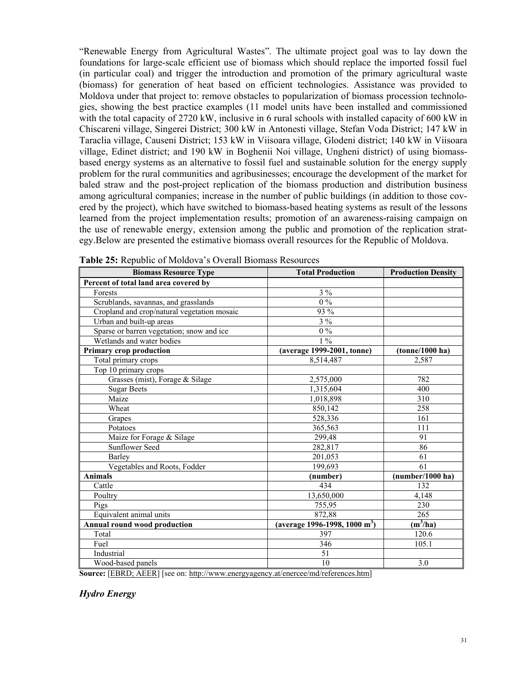"Renewable Energy from Agricultural Wastes". The ultimate project goal was to lay down the foundations for large-scale efficient use of biomass which should replace the imported fossil fuel (in particular coal) and trigger the introduction and promotion of the primary agricultural waste (biomass) for generation of heat based on efficient technologies. Assistance was provided to Moldova under that project to: remove obstacles to popularization of biomass procession technologies, showing the best practice examples (11 model units have been installed and commissioned with the total capacity of 2720 kW, inclusive in 6 rural schools with installed capacity of 600 kW in Chiscareni village, Singerei District; 300 kW in Antonesti village, Stefan Voda District; 147 kW in Taraclia village, Causeni District; 153 kW in Viisoara village, Glodeni district; 140 kW in Viisoara village, Edinet district; and 190 kW in Boghenii Noi village, Ungheni district) of using biomassbased energy systems as an alternative to fossil fuel and sustainable solution for the energy supply problem for the rural communities and agribusinesses; encourage the development of the market for baled straw and the post-project replication of the biomass production and distribution business among agricultural companies; increase in the number of public buildings (in addition to those covered by the project), which have switched to biomass-based heating systems as result of the lessons learned from the project implementation results; promotion of an awareness-raising campaign on the use of renewable energy, extension among the public and promotion of the replication strategy.Below are presented the estimative biomass overall resources for the Republic of Moldova.

| <b>Biomass Resource Type</b>                | <b>Total Production</b>                   | <b>Production Density</b> |  |  |
|---------------------------------------------|-------------------------------------------|---------------------------|--|--|
| Percent of total land area covered by       |                                           |                           |  |  |
| Forests                                     | $3\%$                                     |                           |  |  |
| Scrublands, savannas, and grasslands        | $0\%$                                     |                           |  |  |
| Cropland and crop/natural vegetation mosaic | 93 %                                      |                           |  |  |
| Urban and built-up areas                    | $3\%$                                     |                           |  |  |
| Sparse or barren vegetation; snow and ice   | $0\%$                                     |                           |  |  |
| Wetlands and water bodies                   | $1\%$                                     |                           |  |  |
| <b>Primary crop production</b>              | (average 1999-2001, tonne)                | (tonne/1000 ha)           |  |  |
| Total primary crops                         | 8,514,487                                 | 2,587                     |  |  |
| Top 10 primary crops                        |                                           |                           |  |  |
| Grasses (mist), Forage & Silage             | 2,575,000                                 | 782                       |  |  |
| <b>Sugar Beets</b>                          | 1,315,604                                 | 400                       |  |  |
| Maize                                       | 1,018,898                                 | 310                       |  |  |
| Wheat                                       | 850,142                                   | 258                       |  |  |
| Grapes                                      | 528,336                                   | 161                       |  |  |
| Potatoes                                    | 365,563                                   | 111                       |  |  |
| Maize for Forage & Silage                   | 299,48                                    | 91                        |  |  |
| <b>Sunflower Seed</b>                       | 282,817                                   | 86                        |  |  |
| Barley                                      | 201,053                                   | 61                        |  |  |
| Vegetables and Roots, Fodder                | 199.693                                   | 61                        |  |  |
| <b>Animals</b>                              | (number)                                  | (number/1000 ha)          |  |  |
| Cattle                                      | 434                                       | 132                       |  |  |
| Poultry                                     | 13,650,000                                | 4,148                     |  |  |
| Pigs                                        | 755,95                                    | 230                       |  |  |
| Equivalent animal units                     | 872,88                                    | 265                       |  |  |
| <b>Annual round wood production</b>         | (average 1996-1998, 1000 m <sup>3</sup> ) | $(m^3/ha)$                |  |  |
| Total                                       | 397                                       | 120.6                     |  |  |
| Fuel                                        | 346                                       | 105.1                     |  |  |
| Industrial                                  | 51                                        |                           |  |  |
| Wood-based panels                           | 10                                        | 3.0                       |  |  |

|  |  | <b>Table 25:</b> Republic of Moldova's Overall Biomass Resources |  |  |  |
|--|--|------------------------------------------------------------------|--|--|--|
|--|--|------------------------------------------------------------------|--|--|--|

**Source:** [EBRD; AEER] [see on: http://www.energyagency.at/enercee/md/references.htm]

#### *Hydro Energy*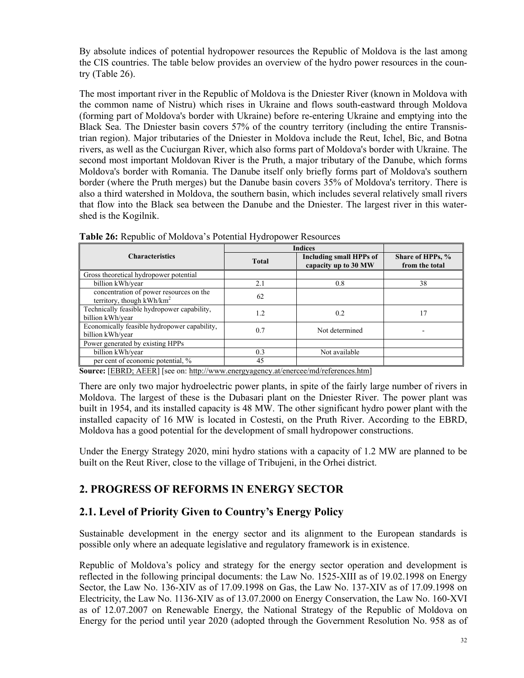By absolute indices of potential hydropower resources the Republic of Moldova is the last among the CIS countries. The table below provides an overview of the hydro power resources in the country (Table 26).

The most important river in the Republic of Moldova is the Dniester River (known in Moldova with the common name of Nistru) which rises in Ukraine and flows south-eastward through Moldova (forming part of Moldova's border with Ukraine) before re-entering Ukraine and emptying into the Black Sea. The Dniester basin covers 57% of the country territory (including the entire Transnistrian region). Major tributaries of the Dniester in Moldova include the Reut, Ichel, Bic, and Botna rivers, as well as the Cuciurgan River, which also forms part of Moldova's border with Ukraine. The second most important Moldovan River is the Pruth, a major tributary of the Danube, which forms Moldova's border with Romania. The Danube itself only briefly forms part of Moldova's southern border (where the Pruth merges) but the Danube basin covers 35% of Moldova's territory. There is also a third watershed in Moldova, the southern basin, which includes several relatively small rivers that flow into the Black sea between the Danube and the Dniester. The largest river in this watershed is the Kogilnik.

| <b>Characteristics</b>                                                 | <b>Total</b> | Including small HPPs of<br>capacity up to 30 MW | Share of HPPs, %<br>from the total |
|------------------------------------------------------------------------|--------------|-------------------------------------------------|------------------------------------|
| Gross theoretical hydropower potential                                 |              |                                                 |                                    |
| billion kWh/year                                                       | 2.1          | 0.8                                             | 38                                 |
| concentration of power resources on the<br>territory, though $kWh/km2$ | 62           |                                                 |                                    |
| Technically feasible hydropower capability,<br>billion kWh/year        | 1.2          | 0.2                                             | 17                                 |
| Economically feasible hydropower capability,<br>billion kWh/year       | 0.7          | Not determined                                  |                                    |
| Power generated by existing HPPs                                       |              |                                                 |                                    |
| billion kWh/year                                                       | 0.3          | Not available                                   |                                    |
| per cent of economic potential, %<br>-------------                     | 45           |                                                 |                                    |

**Table 26:** Republic of Moldova's Potential Hydropower Resources

**Source:** [EBRD; AEER] [see on: http://www.energyagency.at/enercee/md/references.htm]

There are only two major hydroelectric power plants, in spite of the fairly large number of rivers in Moldova. The largest of these is the Dubasari plant on the Dniester River. The power plant was built in 1954, and its installed capacity is 48 MW. The other significant hydro power plant with the installed capacity of 16 MW is located in Costesti, on the Pruth River. According to the EBRD, Moldova has a good potential for the development of small hydropower constructions.

Under the Energy Strategy 2020, mini hydro stations with a capacity of 1.2 MW are planned to be built on the Reut River, close to the village of Tribujeni, in the Orhei district.

# **2. PROGRESS OF REFORMS IN ENERGY SECTOR**

### **2.1. Level of Priority Given to Country's Energy Policy**

Sustainable development in the energy sector and its alignment to the European standards is possible only where an adequate legislative and regulatory framework is in existence.

Republic of Moldova's policy and strategy for the energy sector operation and development is reflected in the following principal documents: the Law No. 1525-XIII as of 19.02.1998 on Energy Sector, the Law No. 136-XIV as of 17.09.1998 on Gas, the Law No. 137-XIV as of 17.09.1998 on Electricity, the Law No. 1136-XIV as of 13.07.2000 on Energy Conservation, the Law No. 160-XVI as of 12.07.2007 on Renewable Energy, the National Strategy of the Republic of Moldova on Energy for the period until year 2020 (adopted through the Government Resolution No. 958 as of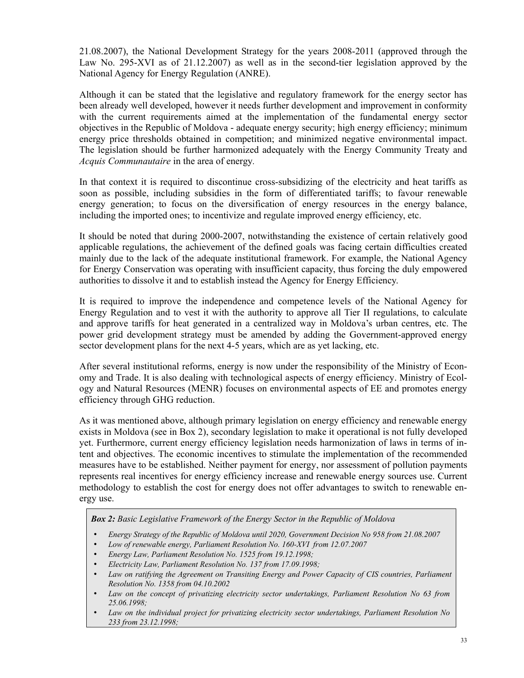21.08.2007), the National Development Strategy for the years 2008-2011 (approved through the Law No. 295-XVI as of 21.12.2007) as well as in the second-tier legislation approved by the National Agency for Energy Regulation (ANRE).

Although it can be stated that the legislative and regulatory framework for the energy sector has been already well developed, however it needs further development and improvement in conformity with the current requirements aimed at the implementation of the fundamental energy sector objectives in the Republic of Moldova - adequate energy security; high energy efficiency; minimum energy price thresholds obtained in competition; and minimized negative environmental impact. The legislation should be further harmonized adequately with the Energy Community Treaty and *Acquis Communautaire* in the area of energy*.*

In that context it is required to discontinue cross-subsidizing of the electricity and heat tariffs as soon as possible, including subsidies in the form of differentiated tariffs; to favour renewable energy generation; to focus on the diversification of energy resources in the energy balance, including the imported ones; to incentivize and regulate improved energy efficiency, etc.

It should be noted that during 2000-2007, notwithstanding the existence of certain relatively good applicable regulations, the achievement of the defined goals was facing certain difficulties created mainly due to the lack of the adequate institutional framework. For example, the National Agency for Energy Conservation was operating with insufficient capacity, thus forcing the duly empowered authorities to dissolve it and to establish instead the Agency for Energy Efficiency.

It is required to improve the independence and competence levels of the National Agency for Energy Regulation and to vest it with the authority to approve all Tier II regulations, to calculate and approve tariffs for heat generated in a centralized way in Moldova's urban centres, etc. The power grid development strategy must be amended by adding the Government-approved energy sector development plans for the next 4-5 years, which are as yet lacking, etc.

After several institutional reforms, energy is now under the responsibility of the Ministry of Economy and Trade. It is also dealing with technological aspects of energy efficiency. Ministry of Ecology and Natural Resources (MENR) focuses on environmental aspects of EE and promotes energy efficiency through GHG reduction.

As it was mentioned above, although primary legislation on energy efficiency and renewable energy exists in Moldova (see in Box 2), secondary legislation to make it operational is not fully developed yet. Furthermore, current energy efficiency legislation needs harmonization of laws in terms of intent and objectives. The economic incentives to stimulate the implementation of the recommended measures have to be established. Neither payment for energy, nor assessment of pollution payments represents real incentives for energy efficiency increase and renewable energy sources use. Current methodology to establish the cost for energy does not offer advantages to switch to renewable energy use.

*Box 2: Basic Legislative Framework of the Energy Sector in the Republic of Moldova* 

- *Energy Strategy of the Republic of Moldova until 2020, Government Decision No 958 from 21.08.2007*
- *Low of renewable energy, Parliament Resolution No. 160-XVI from 12.07.2007*
- *Energy Law, Parliament Resolution No. 1525 from 19.12.1998;*
- *Electricity Law, Parliament Resolution No. 137 from 17.09.1998;*
- *Law on ratifying the Agreement on Transiting Energy and Power Capacity of CIS countries, Parliament Resolution No. 1358 from 04.10.2002*
- *Law on the concept of privatizing electricity sector undertakings, Parliament Resolution No 63 from 25.06.1998;*
- *Law on the individual project for privatizing electricity sector undertakings, Parliament Resolution No 233 from 23.12.1998;*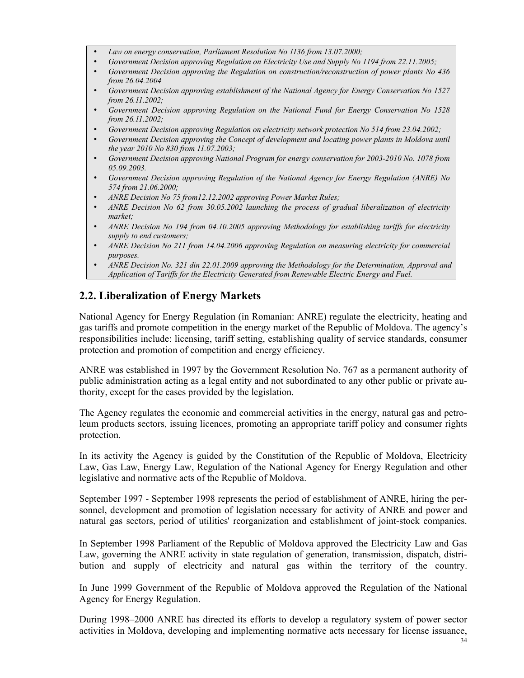- *Law on energy conservation, Parliament Resolution No 1136 from 13.07.2000;*
- *Government Decision approving Regulation on Electricity Use and Supply No 1194 from 22.11.2005;*
- *Government Decision approving the Regulation on construction/reconstruction of power plants No 436 from 26.04.2004*
- *Government Decision approving establishment of the National Agency for Energy Conservation No 1527 from 26.11.2002;*
- *Government Decision approving Regulation on the National Fund for Energy Conservation No 1528 from 26.11.2002;*
- *Government Decision approving Regulation on electricity network protection No 514 from 23.04.2002;*
- *Government Decision approving the Concept of development and locating power plants in Moldova until the year 2010 No 830 from 11.07.2003;*
- *Government Decision approving National Program for energy conservation for 2003-2010 No. 1078 from 05.09.2003.*
- *Government Decision approving Regulation of the National Agency for Energy Regulation (ANRE) No 574 from 21.06.2000;*
- *ANRE Decision No 75 from12.12.2002 approving Power Market Rules;*
- *ANRE Decision No 62 from 30.05.2002 launching the process of gradual liberalization of electricity market;*
- *ANRE Decision No 194 from 04.10.2005 approving Methodology for establishing tariffs for electricity supply to end customers;*
- *ANRE Decision No 211 from 14.04.2006 approving Regulation on measuring electricity for commercial purposes.*
- *ANRE Decision No. 321 din 22.01.2009 approving the Methodology for the Determination, Approval and Application of Tariffs for the Electricity Generated from Renewable Electric Energy and Fuel.*

### **2.2. Liberalization of Energy Markets**

National Agency for Energy Regulation (in Romanian: ANRE) regulate the electricity, heating and gas tariffs and promote competition in the energy market of the Republic of Moldova. The agency's responsibilities include: licensing, tariff setting, establishing quality of service standards, consumer protection and promotion of competition and energy efficiency.

ANRE was established in 1997 by the Government Resolution No. 767 as a permanent authority of public administration acting as a legal entity and not subordinated to any other public or private authority, except for the cases provided by the legislation.

The Agency regulates the economic and commercial activities in the energy, natural gas and petroleum products sectors, issuing licences, promoting an appropriate tariff policy and consumer rights protection.

In its activity the Agency is guided by the Constitution of the Republic of Moldova, Electricity Law, Gas Law, Energy Law, Regulation of the National Agency for Energy Regulation and other legislative and normative acts of the Republic of Moldova.

September 1997 - September 1998 represents the period of establishment of ANRE, hiring the personnel, development and promotion of legislation necessary for activity of ANRE and power and natural gas sectors, period of utilities' reorganization and establishment of joint-stock companies.

In September 1998 Parliament of the Republic of Moldova approved the Electricity Law and Gas Law, governing the ANRE activity in state regulation of generation, transmission, dispatch, distribution and supply of electricity and natural gas within the territory of the country.

In June 1999 Government of the Republic of Moldova approved the Regulation of the National Agency for Energy Regulation.

During 1998–2000 ANRE has directed its efforts to develop a regulatory system of power sector activities in Moldova, developing and implementing normative acts necessary for license issuance,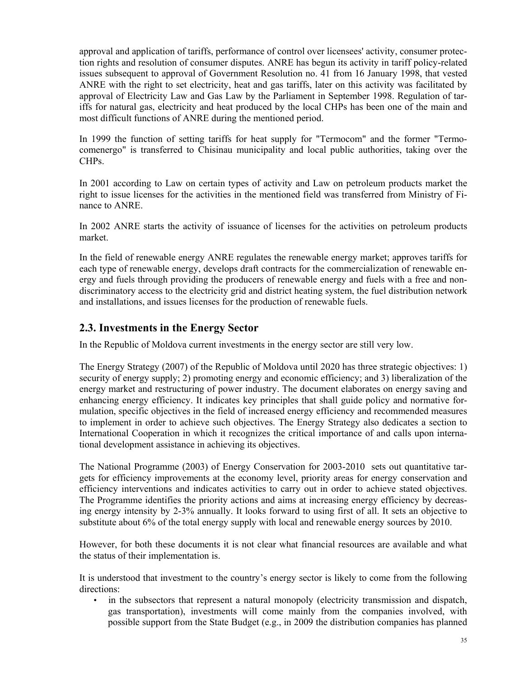approval and application of tariffs, performance of control over licensees' activity, consumer protection rights and resolution of consumer disputes. ANRE has begun its activity in tariff policy-related issues subsequent to approval of Government Resolution no. 41 from 16 January 1998, that vested ANRE with the right to set electricity, heat and gas tariffs, later on this activity was facilitated by approval of Electricity Law and Gas Law by the Parliament in September 1998. Regulation of tariffs for natural gas, electricity and heat produced by the local CHPs has been one of the main and most difficult functions of ANRE during the mentioned period.

In 1999 the function of setting tariffs for heat supply for "Termocom" and the former "Termocomenergo" is transferred to Chisinau municipality and local public authorities, taking over the CHPs.

In 2001 according to Law on certain types of activity and Law on petroleum products market the right to issue licenses for the activities in the mentioned field was transferred from Ministry of Finance to ANRE.

In 2002 ANRE starts the activity of issuance of licenses for the activities on petroleum products market.

In the field of renewable energy ANRE regulates the renewable energy market; approves tariffs for each type of renewable energy, develops draft contracts for the commercialization of renewable energy and fuels through providing the producers of renewable energy and fuels with a free and nondiscriminatory access to the electricity grid and district heating system, the fuel distribution network and installations, and issues licenses for the production of renewable fuels.

### **2.3. Investments in the Energy Sector**

In the Republic of Moldova current investments in the energy sector are still very low.

The Energy Strategy (2007) of the Republic of Moldova until 2020 has three strategic objectives: 1) security of energy supply; 2) promoting energy and economic efficiency; and 3) liberalization of the energy market and restructuring of power industry. The document elaborates on energy saving and enhancing energy efficiency. It indicates key principles that shall guide policy and normative formulation, specific objectives in the field of increased energy efficiency and recommended measures to implement in order to achieve such objectives. The Energy Strategy also dedicates a section to International Cooperation in which it recognizes the critical importance of and calls upon international development assistance in achieving its objectives.

The National Programme (2003) of Energy Conservation for 2003-2010 sets out quantitative targets for efficiency improvements at the economy level, priority areas for energy conservation and efficiency interventions and indicates activities to carry out in order to achieve stated objectives. The Programme identifies the priority actions and aims at increasing energy efficiency by decreasing energy intensity by 2-3% annually. It looks forward to using first of all. It sets an objective to substitute about 6% of the total energy supply with local and renewable energy sources by 2010.

However, for both these documents it is not clear what financial resources are available and what the status of their implementation is.

It is understood that investment to the country's energy sector is likely to come from the following directions:

• in the subsectors that represent a natural monopoly (electricity transmission and dispatch, gas transportation), investments will come mainly from the companies involved, with possible support from the State Budget (e.g., in 2009 the distribution companies has planned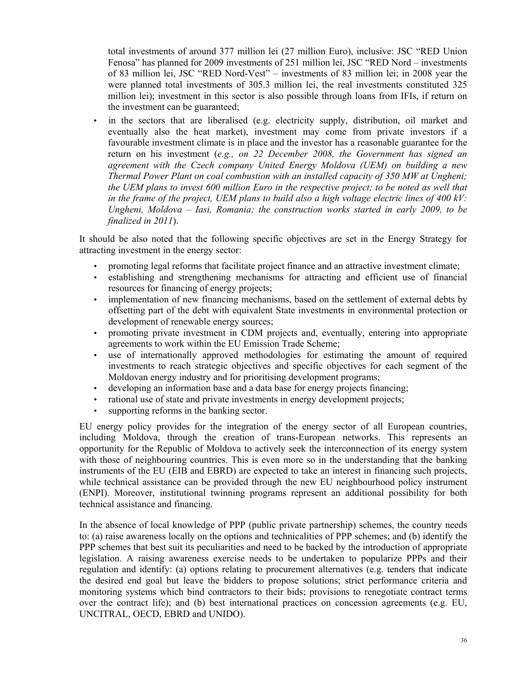total investments of around 377 million lei (27 million Euro), inclusive: JSC "RED Union Fenosa" has planned for 2009 investments of 251 million lei, JSC "RED Nord – investments of 83 million lei, JSC "RED Nord-Vest" – investments of 83 million lei; in 2008 year the were planned total investments of 305.3 million lei, the real investments constituted 325 million lei); investment in this sector is also possible through loans from IFIs, if return on the investment can be guaranteed;

• in the sectors that are liberalised (e.g. electricity supply, distribution, oil market and eventually also the heat market), investment may come from private investors if a favourable investment climate is in place and the investor has a reasonable guarantee for the return on his investment (*e.g., on 22 December 2008, the Government has signed an agreement with the Czech company United Energy Moldova (UEM) on building a new Thermal Power Plant on coal combustion with an installed capacity of 350 MW at Ungheni; the UEM plans to invest 600 million Euro in the respective project; to be noted as well that in the frame of the project, UEM plans to build also a high voltage electric lines of 400 kV: Ungheni, Moldova – Iasi, Romania; the construction works started in early 2009, to be finalized in 2011*).

It should be also noted that the following specific objectives are set in the Energy Strategy for attracting investment in the energy sector:

- promoting legal reforms that facilitate project finance and an attractive investment climate;
- establishing and strengthening mechanisms for attracting and efficient use of financial resources for financing of energy projects;
- implementation of new financing mechanisms, based on the settlement of external debts by offsetting part of the debt with equivalent State investments in environmental protection or development of renewable energy sources;
- promoting private investment in CDM projects and, eventually, entering into appropriate agreements to work within the EU Emission Trade Scheme;
- use of internationally approved methodologies for estimating the amount of required investments to reach strategic objectives and specific objectives for each segment of the Moldovan energy industry and for prioritising development programs;
- developing an information base and a data base for energy projects financing;
- rational use of state and private investments in energy development projects;
- supporting reforms in the banking sector.

EU energy policy provides for the integration of the energy sector of all European countries, including Moldova, through the creation of trans-European networks. This represents an opportunity for the Republic of Moldova to actively seek the interconnection of its energy system with those of neighbouring countries. This is even more so in the understanding that the banking instruments of the EU (EIB and EBRD) are expected to take an interest in financing such projects, while technical assistance can be provided through the new EU neighbourhood policy instrument (ENPI). Moreover, institutional twinning programs represent an additional possibility for both technical assistance and financing.

In the absence of local knowledge of PPP (public private partnership) schemes, the country needs to: (a) raise awareness locally on the options and technicalities of PPP schemes; and (b) identify the PPP schemes that best suit its peculiarities and need to be backed by the introduction of appropriate legislation. A raising awareness exercise needs to be undertaken to popularize PPPs and their regulation and identify: (a) options relating to procurement alternatives (e.g. tenders that indicate the desired end goal but leave the bidders to propose solutions; strict performance criteria and monitoring systems which bind contractors to their bids; provisions to renegotiate contract terms over the contract life); and (b) best international practices on concession agreements (e.g. EU, UNCITRAL, OECD, EBRD and UNIDO).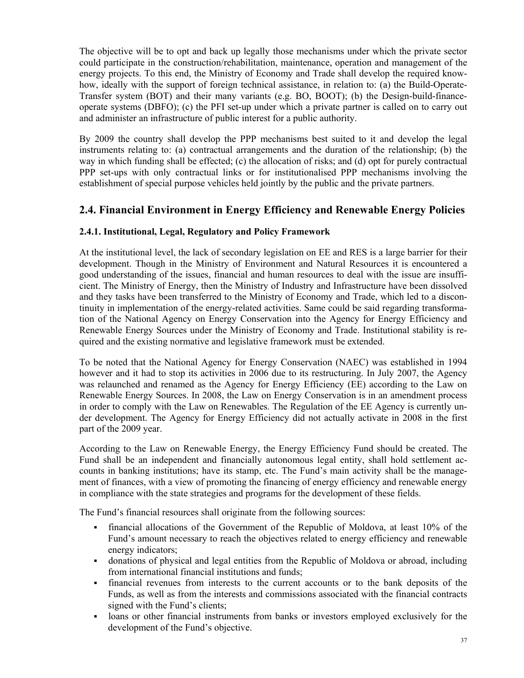The objective will be to opt and back up legally those mechanisms under which the private sector could participate in the construction/rehabilitation, maintenance, operation and management of the energy projects. To this end, the Ministry of Economy and Trade shall develop the required knowhow, ideally with the support of foreign technical assistance, in relation to: (a) the Build-Operate-Transfer system (BOT) and their many variants (e.g. BO, BOOT); (b) the Design-build-financeoperate systems (DBFO); (c) the PFI set-up under which a private partner is called on to carry out and administer an infrastructure of public interest for a public authority.

By 2009 the country shall develop the PPP mechanisms best suited to it and develop the legal instruments relating to: (a) contractual arrangements and the duration of the relationship; (b) the way in which funding shall be effected; (c) the allocation of risks; and (d) opt for purely contractual PPP set-ups with only contractual links or for institutionalised PPP mechanisms involving the establishment of special purpose vehicles held jointly by the public and the private partners.

### **2.4. Financial Environment in Energy Efficiency and Renewable Energy Policies**

### **2.4.1. Institutional, Legal, Regulatory and Policy Framework**

At the institutional level, the lack of secondary legislation on EE and RES is a large barrier for their development. Though in the Ministry of Environment and Natural Resources it is encountered a good understanding of the issues, financial and human resources to deal with the issue are insufficient. The Ministry of Energy, then the Ministry of Industry and Infrastructure have been dissolved and they tasks have been transferred to the Ministry of Economy and Trade, which led to a discontinuity in implementation of the energy-related activities. Same could be said regarding transformation of the National Agency on Energy Conservation into the Agency for Energy Efficiency and Renewable Energy Sources under the Ministry of Economy and Trade. Institutional stability is required and the existing normative and legislative framework must be extended.

To be noted that the National Agency for Energy Conservation (NAEC) was established in 1994 however and it had to stop its activities in 2006 due to its restructuring. In July 2007, the Agency was relaunched and renamed as the Agency for Energy Efficiency (EE) according to the Law on Renewable Energy Sources. In 2008, the Law on Energy Conservation is in an amendment process in order to comply with the Law on Renewables. The Regulation of the EE Agency is currently under development. The Agency for Energy Efficiency did not actually activate in 2008 in the first part of the 2009 year.

According to the Law on Renewable Energy, the Energy Efficiency Fund should be created. The Fund shall be an independent and financially autonomous legal entity, shall hold settlement accounts in banking institutions; have its stamp, etc. The Fund's main activity shall be the management of finances, with a view of promoting the financing of energy efficiency and renewable energy in compliance with the state strategies and programs for the development of these fields.

The Fund's financial resources shall originate from the following sources:

- financial allocations of the Government of the Republic of Moldova, at least 10% of the Fund's amount necessary to reach the objectives related to energy efficiency and renewable energy indicators;
- donations of physical and legal entities from the Republic of Moldova or abroad, including from international financial institutions and funds;
- financial revenues from interests to the current accounts or to the bank deposits of the Funds, as well as from the interests and commissions associated with the financial contracts signed with the Fund's clients;
- loans or other financial instruments from banks or investors employed exclusively for the development of the Fund's objective.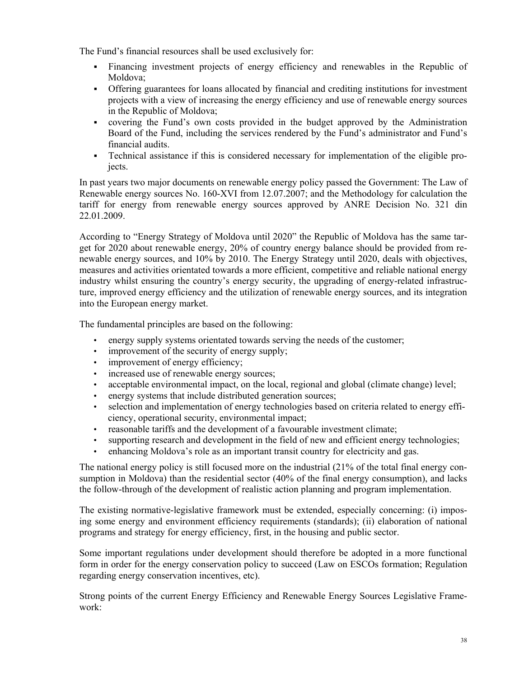The Fund's financial resources shall be used exclusively for:

- Financing investment projects of energy efficiency and renewables in the Republic of Moldova;
- Offering guarantees for loans allocated by financial and crediting institutions for investment projects with a view of increasing the energy efficiency and use of renewable energy sources in the Republic of Moldova;
- covering the Fund's own costs provided in the budget approved by the Administration Board of the Fund, including the services rendered by the Fund's administrator and Fund's financial audits.
- Technical assistance if this is considered necessary for implementation of the eligible projects.

In past years two major documents on renewable energy policy passed the Government: The Law of Renewable energy sources No. 160-XVI from 12.07.2007; and the Methodology for calculation the tariff for energy from renewable energy sources approved by ANRE Decision No. 321 din 22.01.2009.

According to "Energy Strategy of Moldova until 2020" the Republic of Moldova has the same target for 2020 about renewable energy, 20% of country energy balance should be provided from renewable energy sources, and 10% by 2010. The Energy Strategy until 2020, deals with objectives, measures and activities orientated towards a more efficient, competitive and reliable national energy industry whilst ensuring the country's energy security, the upgrading of energy-related infrastructure, improved energy efficiency and the utilization of renewable energy sources, and its integration into the European energy market.

The fundamental principles are based on the following:

- energy supply systems orientated towards serving the needs of the customer;
- improvement of the security of energy supply;
- improvement of energy efficiency;
- increased use of renewable energy sources;
- acceptable environmental impact, on the local, regional and global (climate change) level;
- energy systems that include distributed generation sources;
- selection and implementation of energy technologies based on criteria related to energy efficiency, operational security, environmental impact;
- reasonable tariffs and the development of a favourable investment climate;
- supporting research and development in the field of new and efficient energy technologies;
- enhancing Moldova's role as an important transit country for electricity and gas.

The national energy policy is still focused more on the industrial (21% of the total final energy consumption in Moldova) than the residential sector (40% of the final energy consumption), and lacks the follow-through of the development of realistic action planning and program implementation.

The existing normative-legislative framework must be extended, especially concerning: (i) imposing some energy and environment efficiency requirements (standards); (ii) elaboration of national programs and strategy for energy efficiency, first, in the housing and public sector.

Some important regulations under development should therefore be adopted in a more functional form in order for the energy conservation policy to succeed (Law on ESCOs formation; Regulation regarding energy conservation incentives, etc).

Strong points of the current Energy Efficiency and Renewable Energy Sources Legislative Framework: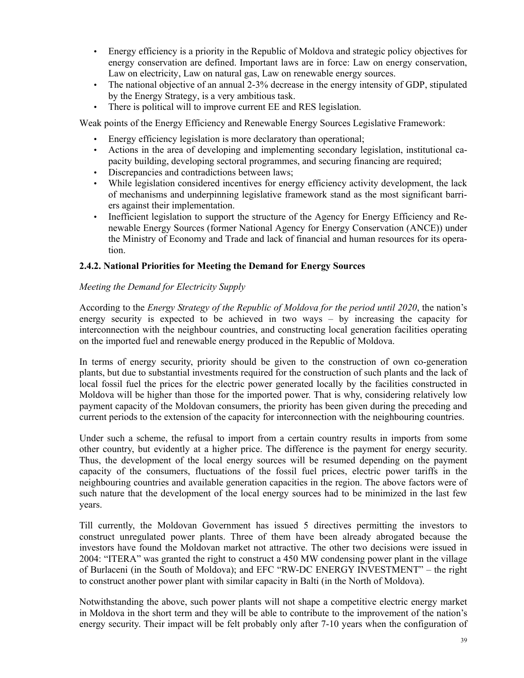- Energy efficiency is a priority in the Republic of Moldova and strategic policy objectives for energy conservation are defined. Important laws are in force: Law on energy conservation, Law on electricity, Law on natural gas, Law on renewable energy sources.
- The national objective of an annual 2-3% decrease in the energy intensity of GDP, stipulated by the Energy Strategy, is a very ambitious task.
- There is political will to improve current EE and RES legislation.

Weak points of the Energy Efficiency and Renewable Energy Sources Legislative Framework:

- Energy efficiency legislation is more declaratory than operational;
- Actions in the area of developing and implementing secondary legislation, institutional capacity building, developing sectoral programmes, and securing financing are required;
- Discrepancies and contradictions between laws;
- While legislation considered incentives for energy efficiency activity development, the lack of mechanisms and underpinning legislative framework stand as the most significant barriers against their implementation.
- Inefficient legislation to support the structure of the Agency for Energy Efficiency and Renewable Energy Sources (former National Agency for Energy Conservation (ANCE)) under the Ministry of Economy and Trade and lack of financial and human resources for its operation.

#### **2.4.2. National Priorities for Meeting the Demand for Energy Sources**

#### *Meeting the Demand for Electricity Supply*

According to the *Energy Strategy of the Republic of Moldova for the period until 2020*, the nation's energy security is expected to be achieved in two ways – by increasing the capacity for interconnection with the neighbour countries, and constructing local generation facilities operating on the imported fuel and renewable energy produced in the Republic of Moldova.

In terms of energy security, priority should be given to the construction of own co-generation plants, but due to substantial investments required for the construction of such plants and the lack of local fossil fuel the prices for the electric power generated locally by the facilities constructed in Moldova will be higher than those for the imported power. That is why, considering relatively low payment capacity of the Moldovan consumers, the priority has been given during the preceding and current periods to the extension of the capacity for interconnection with the neighbouring countries.

Under such a scheme, the refusal to import from a certain country results in imports from some other country, but evidently at a higher price. The difference is the payment for energy security. Thus, the development of the local energy sources will be resumed depending on the payment capacity of the consumers, fluctuations of the fossil fuel prices, electric power tariffs in the neighbouring countries and available generation capacities in the region. The above factors were of such nature that the development of the local energy sources had to be minimized in the last few years.

Till currently, the Moldovan Government has issued 5 directives permitting the investors to construct unregulated power plants. Three of them have been already abrogated because the investors have found the Moldovan market not attractive. The other two decisions were issued in 2004: "ITERA" was granted the right to construct a 450 MW condensing power plant in the village of Burlaceni (in the South of Moldova); and EFC "RW-DC ENERGY INVESTMENT" – the right to construct another power plant with similar capacity in Balti (in the North of Moldova).

Notwithstanding the above, such power plants will not shape a competitive electric energy market in Moldova in the short term and they will be able to contribute to the improvement of the nation's energy security. Their impact will be felt probably only after 7-10 years when the configuration of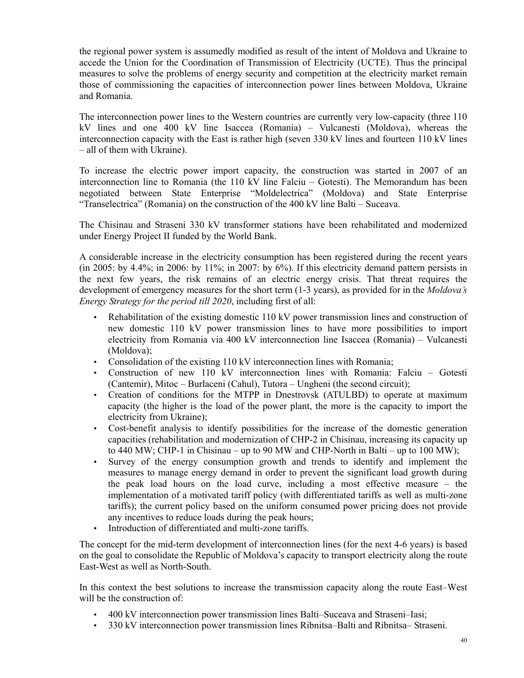the regional power system is assumedly modified as result of the intent of Moldova and Ukraine to accede the Union for the Coordination of Transmission of Electricity (UCTE). Thus the principal measures to solve the problems of energy security and competition at the electricity market remain those of commissioning the capacities of interconnection power lines between Moldova, Ukraine and Romania.

The interconnection power lines to the Western countries are currently very low-capacity (three 110 kV lines and one 400 kV line Isaccea (Romania) – Vulcanesti (Moldova), whereas the interconnection capacity with the East is rather high (seven 330 kV lines and fourteen 110 kV lines – all of them with Ukraine).

To increase the electric power import capacity, the construction was started in 2007 of an interconnection line to Romania (the 110 kV line Falciu – Gotesti). The Memorandum has been negotiated between State Enterprise "Moldelectrica" (Moldova) and State Enterprise "Transelectrica" (Romania) on the construction of the 400 kV line Balti – Suceava.

The Chisinau and Straseni 330 kV transformer stations have been rehabilitated and modernized under Energy Project II funded by the World Bank.

A considerable increase in the electricity consumption has been registered during the recent years (in 2005: by 4.4%; in 2006: by 11%; in 2007: by  $6\%$ ). If this electricity demand pattern persists in the next few years, the risk remains of an electric energy crisis. That threat requires the development of emergency measures for the short term (1-3 years), as provided for in the *Moldova's Energy Strategy for the period till 2020*, including first of all:

- Rehabilitation of the existing domestic 110 kV power transmission lines and construction of new domestic 110 kV power transmission lines to have more possibilities to import electricity from Romania via 400 kV interconnection line Isaccea (Romania) – Vulcanesti (Moldova);
- Consolidation of the existing 110 kV interconnection lines with Romania;
- Construction of new 110 kV interconnection lines with Romania: Falciu Gotesti (Cantemir), Mitoc – Burlaceni (Cahul), Tutora – Ungheni (the second circuit);
- Creation of conditions for the MTPP in Dnestrovsk (ATULBD) to operate at maximum capacity (the higher is the load of the power plant, the more is the capacity to import the electricity from Ukraine);
- Cost-benefit analysis to identify possibilities for the increase of the domestic generation capacities (rehabilitation and modernization of CHP-2 in Chisinau, increasing its capacity up to 440 MW; CHP-1 in Chisinau – up to 90 MW and CHP-North in Balti – up to 100 MW);
- Survey of the energy consumption growth and trends to identify and implement the measures to manage energy demand in order to prevent the significant load growth during the peak load hours on the load curve, including a most effective measure – the implementation of a motivated tariff policy (with differentiated tariffs as well as multi-zone tariffs); the current policy based on the uniform consumed power pricing does not provide any incentives to reduce loads during the peak hours;
- Introduction of differentiated and multi-zone tariffs.

The concept for the mid-term development of interconnection lines (for the next 4-6 years) is based on the goal to consolidate the Republic of Moldova's capacity to transport electricity along the route East-West as well as North-South.

In this context the best solutions to increase the transmission capacity along the route East–West will be the construction of:

- 400 kV interconnection power transmission lines Balti–Suceava and Straseni–Iasi;
- 330 kV interconnection power transmission lines Ribnitsa–Balti and Ribnitsa– Straseni.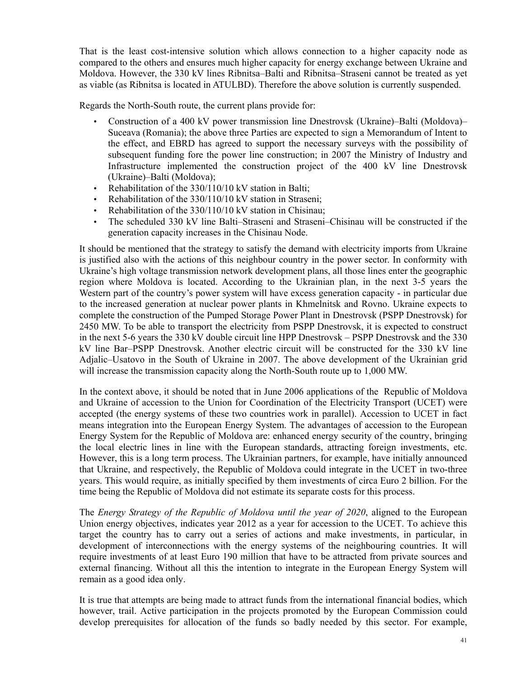That is the least cost-intensive solution which allows connection to a higher capacity node as compared to the others and ensures much higher capacity for energy exchange between Ukraine and Moldova. However, the 330 kV lines Ribnitsa–Balti and Ribnitsa–Straseni cannot be treated as yet as viable (as Ribnitsa is located in ATULBD). Therefore the above solution is currently suspended.

Regards the North-South route, the current plans provide for:

- Construction of a 400 kV power transmission line Dnestrovsk (Ukraine)–Balti (Moldova)– Suceava (Romania); the above three Parties are expected to sign a Memorandum of Intent to the effect, and EBRD has agreed to support the necessary surveys with the possibility of subsequent funding fore the power line construction; in 2007 the Ministry of Industry and Infrastructure implemented the construction project of the 400 kV line Dnestrovsk (Ukraine)–Balti (Moldova);
- Rehabilitation of the 330/110/10 kV station in Balti;
- Rehabilitation of the 330/110/10 kV station in Straseni:
- Rehabilitation of the 330/110/10 kV station in Chisinau;
- The scheduled 330 kV line Balti–Straseni and Straseni–Chisinau will be constructed if the generation capacity increases in the Chisinau Node.

It should be mentioned that the strategy to satisfy the demand with electricity imports from Ukraine is justified also with the actions of this neighbour country in the power sector. In conformity with Ukraine's high voltage transmission network development plans, all those lines enter the geographic region where Moldova is located. According to the Ukrainian plan, in the next 3-5 years the Western part of the country's power system will have excess generation capacity - in particular due to the increased generation at nuclear power plants in Khmelnitsk and Rovno. Ukraine expects to complete the construction of the Pumped Storage Power Plant in Dnestrovsk (PSPP Dnestrovsk) for 2450 MW. To be able to transport the electricity from PSPP Dnestrovsk, it is expected to construct in the next 5-6 years the 330 kV double circuit line HPP Dnestrovsk – PSPP Dnestrovsk and the 330 kV line Bar–PSPP Dnestrovsk. Another electric circuit will be constructed for the 330 kV line Adjalic–Usatovo in the South of Ukraine in 2007. The above development of the Ukrainian grid will increase the transmission capacity along the North-South route up to 1,000 MW.

In the context above, it should be noted that in June 2006 applications of the Republic of Moldova and Ukraine of accession to the Union for Coordination of the Electricity Transport (UCET) were accepted (the energy systems of these two countries work in parallel). Accession to UCET in fact means integration into the European Energy System. The advantages of accession to the European Energy System for the Republic of Moldova are: enhanced energy security of the country, bringing the local electric lines in line with the European standards, attracting foreign investments, etc. However, this is a long term process. The Ukrainian partners, for example, have initially announced that Ukraine, and respectively, the Republic of Moldova could integrate in the UCET in two-three years. This would require, as initially specified by them investments of circa Euro 2 billion. For the time being the Republic of Moldova did not estimate its separate costs for this process.

The *Energy Strategy of the Republic of Moldova until the year of 2020*, aligned to the European Union energy objectives, indicates year 2012 as a year for accession to the UCET. To achieve this target the country has to carry out a series of actions and make investments, in particular, in development of interconnections with the energy systems of the neighbouring countries. It will require investments of at least Euro 190 million that have to be attracted from private sources and external financing. Without all this the intention to integrate in the European Energy System will remain as a good idea only.

It is true that attempts are being made to attract funds from the international financial bodies, which however, trail. Active participation in the projects promoted by the European Commission could develop prerequisites for allocation of the funds so badly needed by this sector. For example,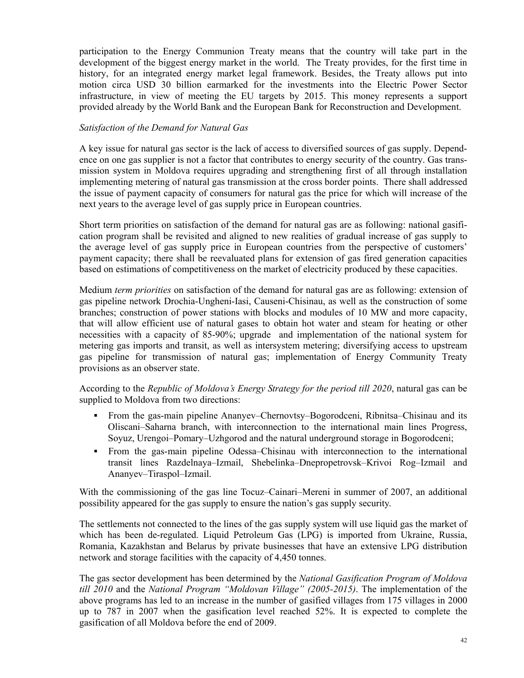participation to the Energy Communion Treaty means that the country will take part in the development of the biggest energy market in the world. The Treaty provides, for the first time in history, for an integrated energy market legal framework. Besides, the Treaty allows put into motion circa USD 30 billion earmarked for the investments into the Electric Power Sector infrastructure, in view of meeting the EU targets by 2015. This money represents a support provided already by the World Bank and the European Bank for Reconstruction and Development.

#### *Satisfaction of the Demand for Natural Gas*

A key issue for natural gas sector is the lack of access to diversified sources of gas supply. Dependence on one gas supplier is not a factor that contributes to energy security of the country. Gas transmission system in Moldova requires upgrading and strengthening first of all through installation implementing metering of natural gas transmission at the cross border points. There shall addressed the issue of payment capacity of consumers for natural gas the price for which will increase of the next years to the average level of gas supply price in European countries.

Short term priorities on satisfaction of the demand for natural gas are as following: national gasification program shall be revisited and aligned to new realities of gradual increase of gas supply to the average level of gas supply price in European countries from the perspective of customers' payment capacity; there shall be reevaluated plans for extension of gas fired generation capacities based on estimations of competitiveness on the market of electricity produced by these capacities.

Medium *term priorities* on satisfaction of the demand for natural gas are as following: extension of gas pipeline network Drochia-Ungheni-Iasi, Causeni-Chisinau, as well as the construction of some branches; construction of power stations with blocks and modules of 10 MW and more capacity, that will allow efficient use of natural gases to obtain hot water and steam for heating or other necessities with a capacity of 85-90%; upgrade and implementation of the national system for metering gas imports and transit, as well as intersystem metering; diversifying access to upstream gas pipeline for transmission of natural gas; implementation of Energy Community Treaty provisions as an observer state.

According to the *Republic of Moldova's Energy Strategy for the period till 2020*, natural gas can be supplied to Moldova from two directions:

- From the gas-main pipeline Ananyev–Chernovtsy–Bogorodceni, Ribnitsa–Chisinau and its Oliscani–Saharna branch, with interconnection to the international main lines Progress, Soyuz, Urengoi–Pomary–Uzhgorod and the natural underground storage in Bogorodceni;
- From the gas-main pipeline Odessa–Chisinau with interconnection to the international transit lines Razdelnaya–Izmail, Shebelinka–Dnepropetrovsk–Krivoi Rog–Izmail and Ananyev–Tiraspol–Izmail.

With the commissioning of the gas line Tocuz–Cainari–Mereni in summer of 2007, an additional possibility appeared for the gas supply to ensure the nation's gas supply security.

The settlements not connected to the lines of the gas supply system will use liquid gas the market of which has been de-regulated. Liquid Petroleum Gas (LPG) is imported from Ukraine, Russia, Romania, Kazakhstan and Belarus by private businesses that have an extensive LPG distribution network and storage facilities with the capacity of 4,450 tonnes.

The gas sector development has been determined by the *National Gasification Program of Moldova till 2010* and the *National Program "Moldovan Village" (2005-2015)*. The implementation of the above programs has led to an increase in the number of gasified villages from 175 villages in 2000 up to 787 in 2007 when the gasification level reached 52%. It is expected to complete the gasification of all Moldova before the end of 2009.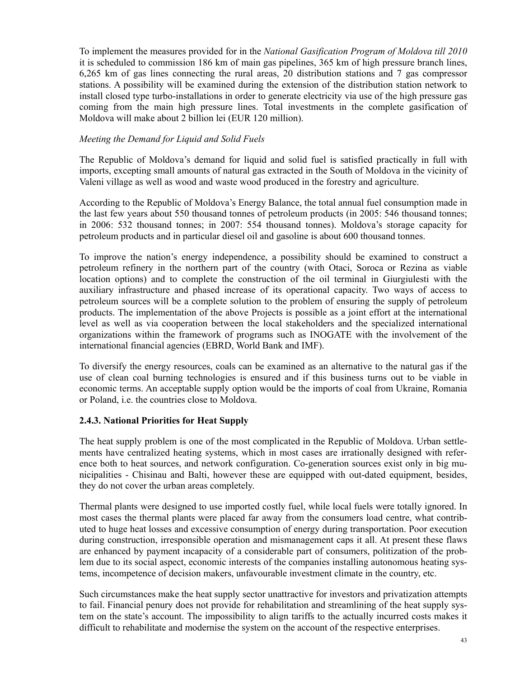To implement the measures provided for in the *National Gasification Program of Moldova till 2010* it is scheduled to commission 186 km of main gas pipelines, 365 km of high pressure branch lines, 6,265 km of gas lines connecting the rural areas, 20 distribution stations and 7 gas compressor stations. A possibility will be examined during the extension of the distribution station network to install closed type turbo-installations in order to generate electricity via use of the high pressure gas coming from the main high pressure lines. Total investments in the complete gasification of Moldova will make about 2 billion lei (EUR 120 million).

### *Meeting the Demand for Liquid and Solid Fuels*

The Republic of Moldova's demand for liquid and solid fuel is satisfied practically in full with imports, excepting small amounts of natural gas extracted in the South of Moldova in the vicinity of Valeni village as well as wood and waste wood produced in the forestry and agriculture.

According to the Republic of Moldova's Energy Balance, the total annual fuel consumption made in the last few years about 550 thousand tonnes of petroleum products (in 2005: 546 thousand tonnes; in 2006: 532 thousand tonnes; in 2007: 554 thousand tonnes). Moldova's storage capacity for petroleum products and in particular diesel oil and gasoline is about 600 thousand tonnes.

To improve the nation's energy independence, a possibility should be examined to construct a petroleum refinery in the northern part of the country (with Otaci, Soroca or Rezina as viable location options) and to complete the construction of the oil terminal in Giurgiulesti with the auxiliary infrastructure and phased increase of its operational capacity. Two ways of access to petroleum sources will be a complete solution to the problem of ensuring the supply of petroleum products. The implementation of the above Projects is possible as a joint effort at the international level as well as via cooperation between the local stakeholders and the specialized international organizations within the framework of programs such as INOGATE with the involvement of the international financial agencies (EBRD, World Bank and IMF).

To diversify the energy resources, coals can be examined as an alternative to the natural gas if the use of clean coal burning technologies is ensured and if this business turns out to be viable in economic terms. An acceptable supply option would be the imports of coal from Ukraine, Romania or Poland, i.e. the countries close to Moldova.

### **2.4.3. National Priorities for Heat Supply**

The heat supply problem is one of the most complicated in the Republic of Moldova. Urban settlements have centralized heating systems, which in most cases are irrationally designed with reference both to heat sources, and network configuration. Co-generation sources exist only in big municipalities - Chisinau and Balti, however these are equipped with out-dated equipment, besides, they do not cover the urban areas completely.

Thermal plants were designed to use imported costly fuel, while local fuels were totally ignored. In most cases the thermal plants were placed far away from the consumers load centre, what contributed to huge heat losses and excessive consumption of energy during transportation. Poor execution during construction, irresponsible operation and mismanagement caps it all. At present these flaws are enhanced by payment incapacity of a considerable part of consumers, politization of the problem due to its social aspect, economic interests of the companies installing autonomous heating systems, incompetence of decision makers, unfavourable investment climate in the country, etc.

Such circumstances make the heat supply sector unattractive for investors and privatization attempts to fail. Financial penury does not provide for rehabilitation and streamlining of the heat supply system on the state's account. The impossibility to align tariffs to the actually incurred costs makes it difficult to rehabilitate and modernise the system on the account of the respective enterprises.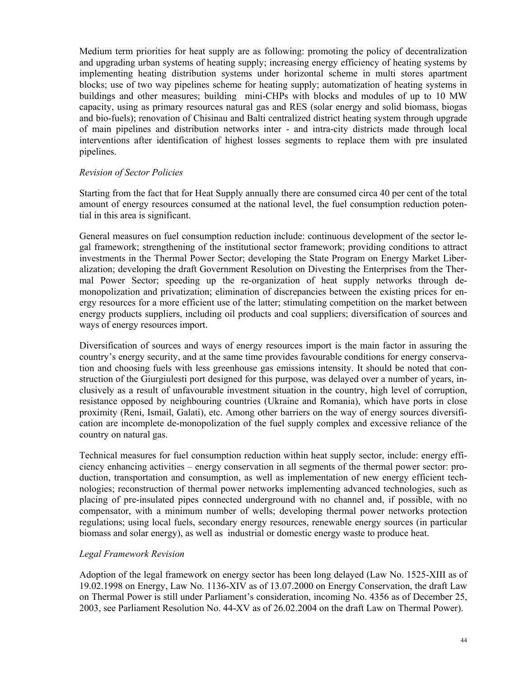Medium term priorities for heat supply are as following: promoting the policy of decentralization and upgrading urban systems of heating supply; increasing energy efficiency of heating systems by implementing heating distribution systems under horizontal scheme in multi stores apartment blocks; use of two way pipelines scheme for heating supply; automatization of heating systems in buildings and other measures; building mini-CHPs with blocks and modules of up to 10 MW capacity, using as primary resources natural gas and RES (solar energy and solid biomass, biogas and bio-fuels); renovation of Chisinau and Balti centralized district heating system through upgrade of main pipelines and distribution networks inter - and intra-city districts made through local interventions after identification of highest losses segments to replace them with pre insulated pipelines.

#### *Revision of Sector Policies*

Starting from the fact that for Heat Supply annually there are consumed circa 40 per cent of the total amount of energy resources consumed at the national level, the fuel consumption reduction potential in this area is significant.

General measures on fuel consumption reduction include: continuous development of the sector legal framework; strengthening of the institutional sector framework; providing conditions to attract investments in the Thermal Power Sector; developing the State Program on Energy Market Liberalization; developing the draft Government Resolution on Divesting the Enterprises from the Thermal Power Sector; speeding up the re-organization of heat supply networks through demonopolization and privatization; elimination of discrepancies between the existing prices for energy resources for a more efficient use of the latter; stimulating competition on the market between energy products suppliers, including oil products and coal suppliers; diversification of sources and ways of energy resources import.

Diversification of sources and ways of energy resources import is the main factor in assuring the country's energy security, and at the same time provides favourable conditions for energy conservation and choosing fuels with less greenhouse gas emissions intensity. It should be noted that construction of the Giurgiulesti port designed for this purpose, was delayed over a number of years, inclusively as a result of unfavourable investment situation in the country, high level of corruption, resistance opposed by neighbouring countries (Ukraine and Romania), which have ports in close proximity (Reni, Ismail, Galati), etc. Among other barriers on the way of energy sources diversification are incomplete de-monopolization of the fuel supply complex and excessive reliance of the country on natural gas.

Technical measures for fuel consumption reduction within heat supply sector, include: energy efficiency enhancing activities – energy conservation in all segments of the thermal power sector: production, transportation and consumption, as well as implementation of new energy efficient technologies; reconstruction of thermal power networks implementing advanced technologies, such as placing of pre-insulated pipes connected underground with no channel and, if possible, with no compensator, with a minimum number of wells; developing thermal power networks protection regulations; using local fuels, secondary energy resources, renewable energy sources (in particular biomass and solar energy), as well as industrial or domestic energy waste to produce heat.

#### *Legal Framework Revision*

Adoption of the legal framework on energy sector has been long delayed (Law No. 1525-XIII as of 19.02.1998 on Energy, Law No. 1136-XIV as of 13.07.2000 on Energy Conservation, the draft Law on Thermal Power is still under Parliament's consideration, incoming No. 4356 as of December 25, 2003, see Parliament Resolution No. 44-XV as of 26.02.2004 on the draft Law on Thermal Power).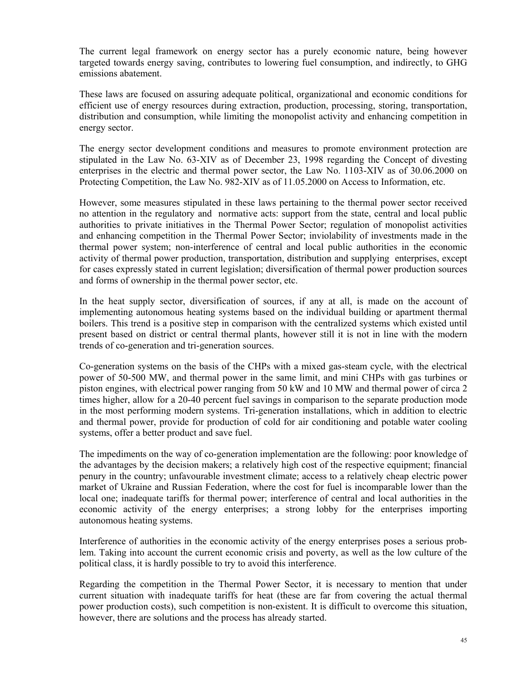The current legal framework on energy sector has a purely economic nature, being however targeted towards energy saving, contributes to lowering fuel consumption, and indirectly, to GHG emissions abatement.

These laws are focused on assuring adequate political, organizational and economic conditions for efficient use of energy resources during extraction, production, processing, storing, transportation, distribution and consumption, while limiting the monopolist activity and enhancing competition in energy sector.

The energy sector development conditions and measures to promote environment protection are stipulated in the Law No. 63-XIV as of December 23, 1998 regarding the Concept of divesting enterprises in the electric and thermal power sector, the Law No. 1103-XIV as of 30.06.2000 on Protecting Competition, the Law No. 982-XIV as of 11.05.2000 on Access to Information, etc.

However, some measures stipulated in these laws pertaining to the thermal power sector received no attention in the regulatory and normative acts: support from the state, central and local public authorities to private initiatives in the Thermal Power Sector; regulation of monopolist activities and enhancing competition in the Thermal Power Sector; inviolability of investments made in the thermal power system; non-interference of central and local public authorities in the economic activity of thermal power production, transportation, distribution and supplying enterprises, except for cases expressly stated in current legislation; diversification of thermal power production sources and forms of ownership in the thermal power sector, etc.

In the heat supply sector, diversification of sources, if any at all, is made on the account of implementing autonomous heating systems based on the individual building or apartment thermal boilers. This trend is a positive step in comparison with the centralized systems which existed until present based on district or central thermal plants, however still it is not in line with the modern trends of co-generation and tri-generation sources.

Co-generation systems on the basis of the CHPs with a mixed gas-steam cycle, with the electrical power of 50-500 MW, and thermal power in the same limit, and mini CHPs with gas turbines or piston engines, with electrical power ranging from 50 kW and 10 MW and thermal power of circa 2 times higher, allow for a 20-40 percent fuel savings in comparison to the separate production mode in the most performing modern systems. Tri-generation installations, which in addition to electric and thermal power, provide for production of cold for air conditioning and potable water cooling systems, offer a better product and save fuel.

The impediments on the way of co-generation implementation are the following: poor knowledge of the advantages by the decision makers; a relatively high cost of the respective equipment; financial penury in the country; unfavourable investment climate; access to a relatively cheap electric power market of Ukraine and Russian Federation, where the cost for fuel is incomparable lower than the local one; inadequate tariffs for thermal power; interference of central and local authorities in the economic activity of the energy enterprises; a strong lobby for the enterprises importing autonomous heating systems.

Interference of authorities in the economic activity of the energy enterprises poses a serious problem. Taking into account the current economic crisis and poverty, as well as the low culture of the political class, it is hardly possible to try to avoid this interference.

Regarding the competition in the Thermal Power Sector, it is necessary to mention that under current situation with inadequate tariffs for heat (these are far from covering the actual thermal power production costs), such competition is non-existent. It is difficult to overcome this situation, however, there are solutions and the process has already started.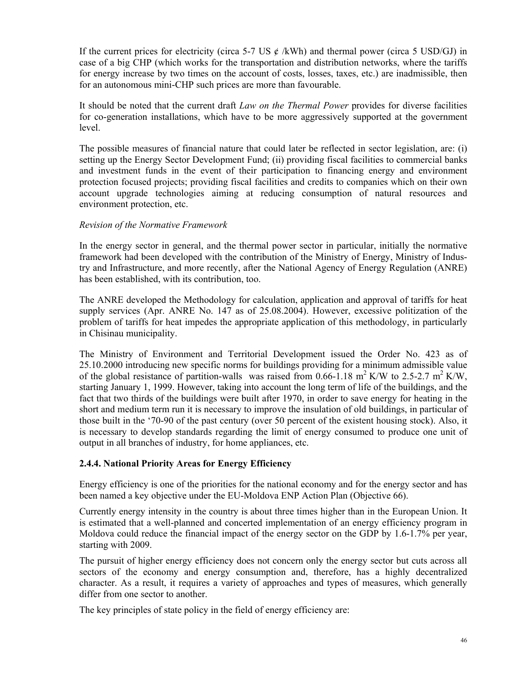If the current prices for electricity (circa 5-7 US  $\acute{\text{c}}$  /kWh) and thermal power (circa 5 USD/GJ) in case of a big CHP (which works for the transportation and distribution networks, where the tariffs for energy increase by two times on the account of costs, losses, taxes, etc.) are inadmissible, then for an autonomous mini-CHP such prices are more than favourable.

It should be noted that the current draft *Law on the Thermal Power* provides for diverse facilities for co-generation installations, which have to be more aggressively supported at the government level.

The possible measures of financial nature that could later be reflected in sector legislation, are: (i) setting up the Energy Sector Development Fund; (ii) providing fiscal facilities to commercial banks and investment funds in the event of their participation to financing energy and environment protection focused projects; providing fiscal facilities and credits to companies which on their own account upgrade technologies aiming at reducing consumption of natural resources and environment protection, etc.

#### *Revision of the Normative Framework*

In the energy sector in general, and the thermal power sector in particular, initially the normative framework had been developed with the contribution of the Ministry of Energy, Ministry of Industry and Infrastructure, and more recently, after the National Agency of Energy Regulation (ANRE) has been established, with its contribution, too.

The ANRE developed the Methodology for calculation, application and approval of tariffs for heat supply services (Apr. ANRE No. 147 as of 25.08.2004). However, excessive politization of the problem of tariffs for heat impedes the appropriate application of this methodology, in particularly in Chisinau municipality.

The Ministry of Environment and Territorial Development issued the Order No. 423 as of 25.10.2000 introducing new specific norms for buildings providing for a minimum admissible value of the global resistance of partition-walls was raised from 0.66-1.18 m<sup>2</sup> K/W to 2.5-2.7 m<sup>2</sup> K/W, starting January 1, 1999. However, taking into account the long term of life of the buildings, and the fact that two thirds of the buildings were built after 1970, in order to save energy for heating in the short and medium term run it is necessary to improve the insulation of old buildings, in particular of those built in the '70-90 of the past century (over 50 percent of the existent housing stock). Also, it is necessary to develop standards regarding the limit of energy consumed to produce one unit of output in all branches of industry, for home appliances, etc.

### **2.4.4. National Priority Areas for Energy Efficiency**

Energy efficiency is one of the priorities for the national economy and for the energy sector and has been named a key objective under the EU-Moldova ENP Action Plan (Objective 66).

Currently energy intensity in the country is about three times higher than in the European Union. It is estimated that a well-planned and concerted implementation of an energy efficiency program in Moldova could reduce the financial impact of the energy sector on the GDP by 1.6-1.7% per year, starting with 2009.

The pursuit of higher energy efficiency does not concern only the energy sector but cuts across all sectors of the economy and energy consumption and, therefore, has a highly decentralized character. As a result, it requires a variety of approaches and types of measures, which generally differ from one sector to another.

The key principles of state policy in the field of energy efficiency are: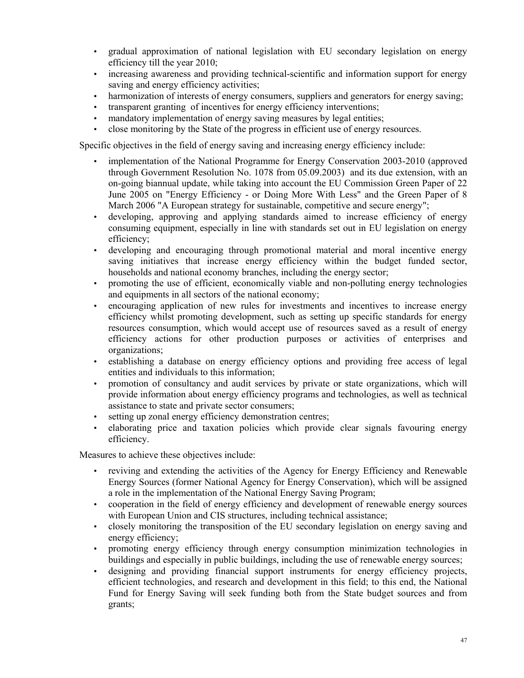- gradual approximation of national legislation with EU secondary legislation on energy efficiency till the year 2010;
- increasing awareness and providing technical-scientific and information support for energy saving and energy efficiency activities;
- harmonization of interests of energy consumers, suppliers and generators for energy saving;
- transparent granting of incentives for energy efficiency interventions;
- mandatory implementation of energy saving measures by legal entities;
- close monitoring by the State of the progress in efficient use of energy resources.

Specific objectives in the field of energy saving and increasing energy efficiency include:

- implementation of the National Programme for Energy Conservation 2003-2010 (approved through Government Resolution No. 1078 from 05.09.2003) and its due extension, with an on-going biannual update, while taking into account the EU Commission Green Paper of 22 June 2005 on "Energy Efficiency - or Doing More With Less" and the Green Paper of 8 March 2006 "A European strategy for sustainable, competitive and secure energy";
- developing, approving and applying standards aimed to increase efficiency of energy consuming equipment, especially in line with standards set out in EU legislation on energy efficiency;
- developing and encouraging through promotional material and moral incentive energy saving initiatives that increase energy efficiency within the budget funded sector, households and national economy branches, including the energy sector;
- promoting the use of efficient, economically viable and non-polluting energy technologies and equipments in all sectors of the national economy;
- encouraging application of new rules for investments and incentives to increase energy efficiency whilst promoting development, such as setting up specific standards for energy resources consumption, which would accept use of resources saved as a result of energy efficiency actions for other production purposes or activities of enterprises and organizations;
- establishing a database on energy efficiency options and providing free access of legal entities and individuals to this information;
- promotion of consultancy and audit services by private or state organizations, which will provide information about energy efficiency programs and technologies, as well as technical assistance to state and private sector consumers;
- setting up zonal energy efficiency demonstration centres;
- elaborating price and taxation policies which provide clear signals favouring energy efficiency.

Measures to achieve these objectives include:

- reviving and extending the activities of the Agency for Energy Efficiency and Renewable Energy Sources (former National Agency for Energy Conservation), which will be assigned a role in the implementation of the National Energy Saving Program;
- cooperation in the field of energy efficiency and development of renewable energy sources with European Union and CIS structures, including technical assistance;
- closely monitoring the transposition of the EU secondary legislation on energy saving and energy efficiency;
- promoting energy efficiency through energy consumption minimization technologies in buildings and especially in public buildings, including the use of renewable energy sources;
- designing and providing financial support instruments for energy efficiency projects, efficient technologies, and research and development in this field; to this end, the National Fund for Energy Saving will seek funding both from the State budget sources and from grants;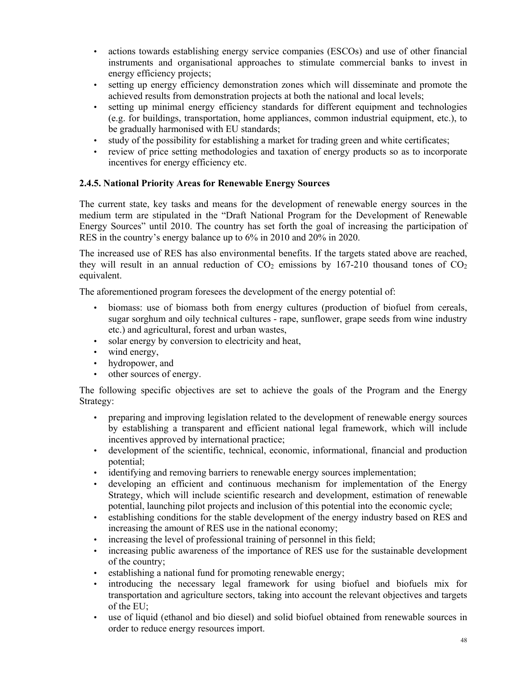- actions towards establishing energy service companies (ESCOs) and use of other financial instruments and organisational approaches to stimulate commercial banks to invest in energy efficiency projects;
- setting up energy efficiency demonstration zones which will disseminate and promote the achieved results from demonstration projects at both the national and local levels;
- setting up minimal energy efficiency standards for different equipment and technologies (e.g. for buildings, transportation, home appliances, common industrial equipment, etc.), to be gradually harmonised with EU standards;
- study of the possibility for establishing a market for trading green and white certificates;
- review of price setting methodologies and taxation of energy products so as to incorporate incentives for energy efficiency etc.

### **2.4.5. National Priority Areas for Renewable Energy Sources**

The current state, key tasks and means for the development of renewable energy sources in the medium term are stipulated in the "Draft National Program for the Development of Renewable Energy Sources" until 2010. The country has set forth the goal of increasing the participation of RES in the country's energy balance up to 6% in 2010 and 20% in 2020.

The increased use of RES has also environmental benefits. If the targets stated above are reached, they will result in an annual reduction of  $CO<sub>2</sub>$  emissions by 167-210 thousand tones of  $CO<sub>2</sub>$ equivalent.

The aforementioned program foresees the development of the energy potential of:

- biomass: use of biomass both from energy cultures (production of biofuel from cereals, sugar sorghum and oily technical cultures - rape, sunflower, grape seeds from wine industry etc.) and agricultural, forest and urban wastes,
- solar energy by conversion to electricity and heat,
- wind energy,
- hydropower, and
- other sources of energy.

The following specific objectives are set to achieve the goals of the Program and the Energy Strategy:

- preparing and improving legislation related to the development of renewable energy sources by establishing a transparent and efficient national legal framework, which will include incentives approved by international practice;
- development of the scientific, technical, economic, informational, financial and production potential;
- identifying and removing barriers to renewable energy sources implementation;
- developing an efficient and continuous mechanism for implementation of the Energy Strategy, which will include scientific research and development, estimation of renewable potential, launching pilot projects and inclusion of this potential into the economic cycle;
- establishing conditions for the stable development of the energy industry based on RES and increasing the amount of RES use in the national economy;
- increasing the level of professional training of personnel in this field;
- increasing public awareness of the importance of RES use for the sustainable development of the country;
- establishing a national fund for promoting renewable energy;
- introducing the necessary legal framework for using biofuel and biofuels mix for transportation and agriculture sectors, taking into account the relevant objectives and targets of the EU;
- use of liquid (ethanol and bio diesel) and solid biofuel obtained from renewable sources in order to reduce energy resources import.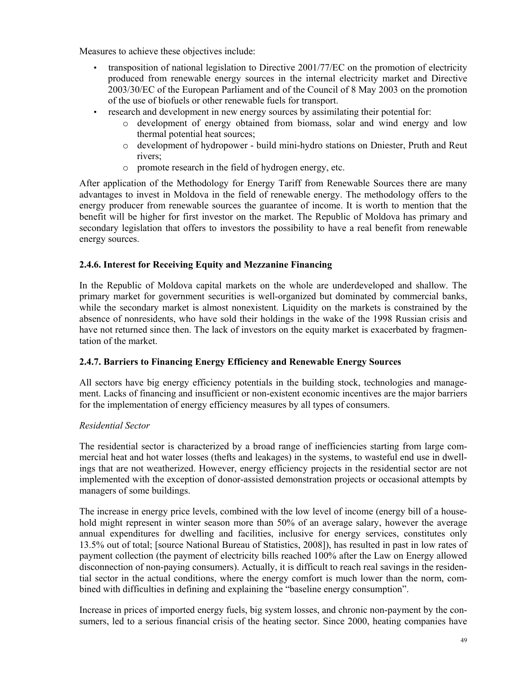Measures to achieve these objectives include:

- transposition of national legislation to Directive 2001/77/EC on the promotion of electricity produced from renewable energy sources in the internal electricity market and Directive 2003/30/EC of the European Parliament and of the Council of 8 May 2003 on the promotion of the use of biofuels or other renewable fuels for transport.
- research and development in new energy sources by assimilating their potential for:
	- o development of energy obtained from biomass, solar and wind energy and low thermal potential heat sources;
	- o development of hydropower build mini-hydro stations on Dniester, Pruth and Reut rivers;
	- o promote research in the field of hydrogen energy, etc.

After application of the Methodology for Energy Tariff from Renewable Sources there are many advantages to invest in Moldova in the field of renewable energy. The methodology offers to the energy producer from renewable sources the guarantee of income. It is worth to mention that the benefit will be higher for first investor on the market. The Republic of Moldova has primary and secondary legislation that offers to investors the possibility to have a real benefit from renewable energy sources.

### **2.4.6. Interest for Receiving Equity and Mezzanine Financing**

In the Republic of Moldova capital markets on the whole are underdeveloped and shallow. The primary market for government securities is well-organized but dominated by commercial banks, while the secondary market is almost nonexistent. Liquidity on the markets is constrained by the absence of nonresidents, who have sold their holdings in the wake of the 1998 Russian crisis and have not returned since then. The lack of investors on the equity market is exacerbated by fragmentation of the market.

### **2.4.7. Barriers to Financing Energy Efficiency and Renewable Energy Sources**

All sectors have big energy efficiency potentials in the building stock, technologies and management. Lacks of financing and insufficient or non-existent economic incentives are the major barriers for the implementation of energy efficiency measures by all types of consumers.

### *Residential Sector*

The residential sector is characterized by a broad range of inefficiencies starting from large commercial heat and hot water losses (thefts and leakages) in the systems, to wasteful end use in dwellings that are not weatherized. However, energy efficiency projects in the residential sector are not implemented with the exception of donor-assisted demonstration projects or occasional attempts by managers of some buildings.

The increase in energy price levels, combined with the low level of income (energy bill of a household might represent in winter season more than 50% of an average salary, however the average annual expenditures for dwelling and facilities, inclusive for energy services, constitutes only 13.5% out of total; [source National Bureau of Statistics, 2008]), has resulted in past in low rates of payment collection (the payment of electricity bills reached 100% after the Law on Energy allowed disconnection of non-paying consumers). Actually, it is difficult to reach real savings in the residential sector in the actual conditions, where the energy comfort is much lower than the norm, combined with difficulties in defining and explaining the "baseline energy consumption".

Increase in prices of imported energy fuels, big system losses, and chronic non-payment by the consumers, led to a serious financial crisis of the heating sector. Since 2000, heating companies have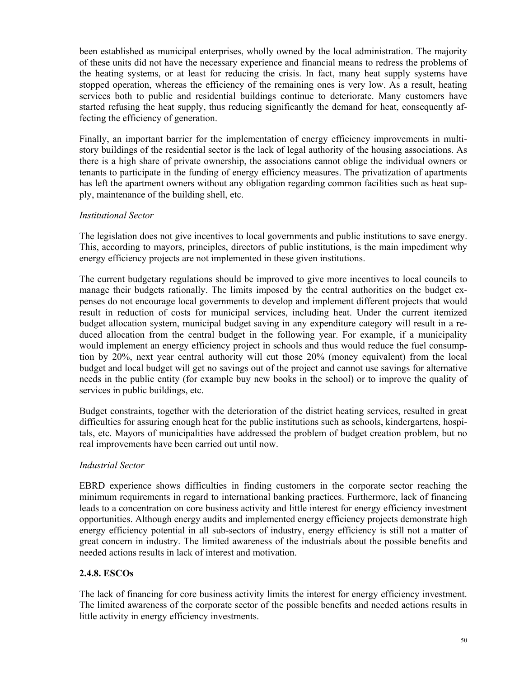been established as municipal enterprises, wholly owned by the local administration. The majority of these units did not have the necessary experience and financial means to redress the problems of the heating systems, or at least for reducing the crisis. In fact, many heat supply systems have stopped operation, whereas the efficiency of the remaining ones is very low. As a result, heating services both to public and residential buildings continue to deteriorate. Many customers have started refusing the heat supply, thus reducing significantly the demand for heat, consequently affecting the efficiency of generation.

Finally, an important barrier for the implementation of energy efficiency improvements in multistory buildings of the residential sector is the lack of legal authority of the housing associations. As there is a high share of private ownership, the associations cannot oblige the individual owners or tenants to participate in the funding of energy efficiency measures. The privatization of apartments has left the apartment owners without any obligation regarding common facilities such as heat supply, maintenance of the building shell, etc.

#### *Institutional Sector*

The legislation does not give incentives to local governments and public institutions to save energy. This, according to mayors, principles, directors of public institutions, is the main impediment why energy efficiency projects are not implemented in these given institutions.

The current budgetary regulations should be improved to give more incentives to local councils to manage their budgets rationally. The limits imposed by the central authorities on the budget expenses do not encourage local governments to develop and implement different projects that would result in reduction of costs for municipal services, including heat. Under the current itemized budget allocation system, municipal budget saving in any expenditure category will result in a reduced allocation from the central budget in the following year. For example, if a municipality would implement an energy efficiency project in schools and thus would reduce the fuel consumption by 20%, next year central authority will cut those 20% (money equivalent) from the local budget and local budget will get no savings out of the project and cannot use savings for alternative needs in the public entity (for example buy new books in the school) or to improve the quality of services in public buildings, etc.

Budget constraints, together with the deterioration of the district heating services, resulted in great difficulties for assuring enough heat for the public institutions such as schools, kindergartens, hospitals, etc. Mayors of municipalities have addressed the problem of budget creation problem, but no real improvements have been carried out until now.

#### *Industrial Sector*

EBRD experience shows difficulties in finding customers in the corporate sector reaching the minimum requirements in regard to international banking practices. Furthermore, lack of financing leads to a concentration on core business activity and little interest for energy efficiency investment opportunities. Although energy audits and implemented energy efficiency projects demonstrate high energy efficiency potential in all sub-sectors of industry, energy efficiency is still not a matter of great concern in industry. The limited awareness of the industrials about the possible benefits and needed actions results in lack of interest and motivation.

### **2.4.8. ESCOs**

The lack of financing for core business activity limits the interest for energy efficiency investment. The limited awareness of the corporate sector of the possible benefits and needed actions results in little activity in energy efficiency investments.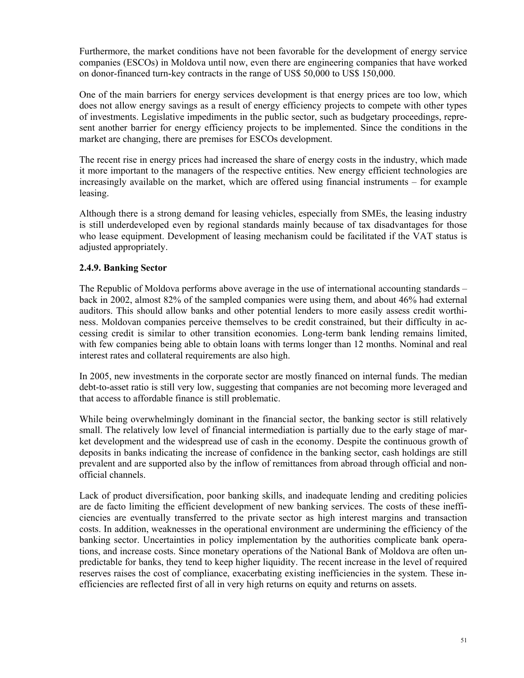Furthermore, the market conditions have not been favorable for the development of energy service companies (ESCOs) in Moldova until now, even there are engineering companies that have worked on donor-financed turn-key contracts in the range of US\$ 50,000 to US\$ 150,000.

One of the main barriers for energy services development is that energy prices are too low, which does not allow energy savings as a result of energy efficiency projects to compete with other types of investments. Legislative impediments in the public sector, such as budgetary proceedings, represent another barrier for energy efficiency projects to be implemented. Since the conditions in the market are changing, there are premises for ESCOs development.

The recent rise in energy prices had increased the share of energy costs in the industry, which made it more important to the managers of the respective entities. New energy efficient technologies are increasingly available on the market, which are offered using financial instruments – for example leasing.

Although there is a strong demand for leasing vehicles, especially from SMEs, the leasing industry is still underdeveloped even by regional standards mainly because of tax disadvantages for those who lease equipment. Development of leasing mechanism could be facilitated if the VAT status is adjusted appropriately.

### **2.4.9. Banking Sector**

The Republic of Moldova performs above average in the use of international accounting standards – back in 2002, almost 82% of the sampled companies were using them, and about 46% had external auditors. This should allow banks and other potential lenders to more easily assess credit worthiness. Moldovan companies perceive themselves to be credit constrained, but their difficulty in accessing credit is similar to other transition economies. Long-term bank lending remains limited, with few companies being able to obtain loans with terms longer than 12 months. Nominal and real interest rates and collateral requirements are also high.

In 2005, new investments in the corporate sector are mostly financed on internal funds. The median debt-to-asset ratio is still very low, suggesting that companies are not becoming more leveraged and that access to affordable finance is still problematic.

While being overwhelmingly dominant in the financial sector, the banking sector is still relatively small. The relatively low level of financial intermediation is partially due to the early stage of market development and the widespread use of cash in the economy. Despite the continuous growth of deposits in banks indicating the increase of confidence in the banking sector, cash holdings are still prevalent and are supported also by the inflow of remittances from abroad through official and nonofficial channels.

Lack of product diversification, poor banking skills, and inadequate lending and crediting policies are de facto limiting the efficient development of new banking services. The costs of these inefficiencies are eventually transferred to the private sector as high interest margins and transaction costs. In addition, weaknesses in the operational environment are undermining the efficiency of the banking sector. Uncertainties in policy implementation by the authorities complicate bank operations, and increase costs. Since monetary operations of the National Bank of Moldova are often unpredictable for banks, they tend to keep higher liquidity. The recent increase in the level of required reserves raises the cost of compliance, exacerbating existing inefficiencies in the system. These inefficiencies are reflected first of all in very high returns on equity and returns on assets.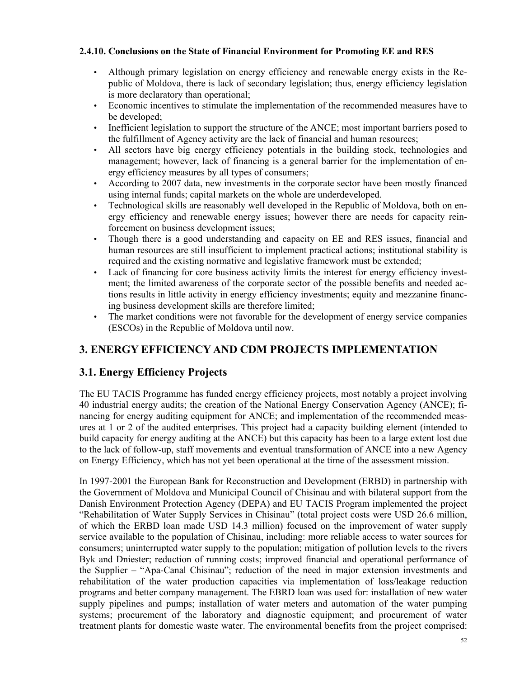### **2.4.10. Conclusions on the State of Financial Environment for Promoting EE and RES**

- Although primary legislation on energy efficiency and renewable energy exists in the Republic of Moldova, there is lack of secondary legislation; thus, energy efficiency legislation is more declaratory than operational;
- Economic incentives to stimulate the implementation of the recommended measures have to be developed;
- Inefficient legislation to support the structure of the ANCE; most important barriers posed to the fulfillment of Agency activity are the lack of financial and human resources;
- All sectors have big energy efficiency potentials in the building stock, technologies and management; however, lack of financing is a general barrier for the implementation of energy efficiency measures by all types of consumers;
- According to 2007 data, new investments in the corporate sector have been mostly financed using internal funds; capital markets on the whole are underdeveloped.
- Technological skills are reasonably well developed in the Republic of Moldova, both on energy efficiency and renewable energy issues; however there are needs for capacity reinforcement on business development issues;
- Though there is a good understanding and capacity on EE and RES issues, financial and human resources are still insufficient to implement practical actions; institutional stability is required and the existing normative and legislative framework must be extended;
- Lack of financing for core business activity limits the interest for energy efficiency investment; the limited awareness of the corporate sector of the possible benefits and needed actions results in little activity in energy efficiency investments; equity and mezzanine financing business development skills are therefore limited;
- The market conditions were not favorable for the development of energy service companies (ESCOs) in the Republic of Moldova until now.

# **3. ENERGY EFFICIENCY AND CDM PROJECTS IMPLEMENTATION**

# **3.1. Energy Efficiency Projects**

The EU TACIS Programme has funded energy efficiency projects, most notably a project involving 40 industrial energy audits; the creation of the National Energy Conservation Agency (ANCE); financing for energy auditing equipment for ANCE; and implementation of the recommended measures at 1 or 2 of the audited enterprises. This project had a capacity building element (intended to build capacity for energy auditing at the ANCE) but this capacity has been to a large extent lost due to the lack of follow-up, staff movements and eventual transformation of ANCE into a new Agency on Energy Efficiency, which has not yet been operational at the time of the assessment mission.

In 1997-2001 the European Bank for Reconstruction and Development (ERBD) in partnership with the Government of Moldova and Municipal Council of Chisinau and with bilateral support from the Danish Environment Protection Agency (DEPA) and EU TACIS Program implemented the project "Rehabilitation of Water Supply Services in Chisinau" (total project costs were USD 26.6 million, of which the ERBD loan made USD 14.3 million) focused on the improvement of water supply service available to the population of Chisinau, including: more reliable access to water sources for consumers; uninterrupted water supply to the population; mitigation of pollution levels to the rivers Byk and Dniester; reduction of running costs; improved financial and operational performance of the Supplier – "Apa-Canal Chisinau"; reduction of the need in major extension investments and rehabilitation of the water production capacities via implementation of loss/leakage reduction programs and better company management. The EBRD loan was used for: installation of new water supply pipelines and pumps; installation of water meters and automation of the water pumping systems; procurement of the laboratory and diagnostic equipment; and procurement of water treatment plants for domestic waste water. The environmental benefits from the project comprised: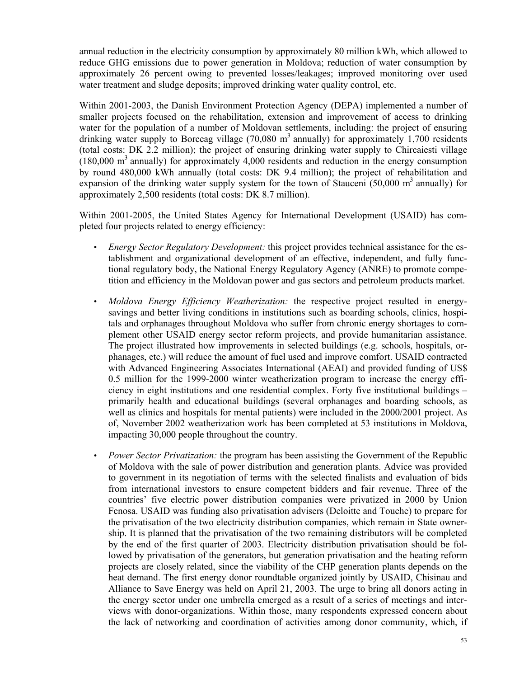annual reduction in the electricity consumption by approximately 80 million kWh, which allowed to reduce GHG emissions due to power generation in Moldova; reduction of water consumption by approximately 26 percent owing to prevented losses/leakages; improved monitoring over used water treatment and sludge deposits; improved drinking water quality control, etc.

Within 2001-2003, the Danish Environment Protection Agency (DEPA) implemented a number of smaller projects focused on the rehabilitation, extension and improvement of access to drinking water for the population of a number of Moldovan settlements, including: the project of ensuring drinking water supply to Borceag village (70,080 m<sup>3</sup> annually) for approximately 1,700 residents (total costs: DK 2.2 million); the project of ensuring drinking water supply to Chircaiesti village  $(180,000 \text{ m}^3)$  annually) for approximately 4,000 residents and reduction in the energy consumption by round 480,000 kWh annually (total costs: DK 9.4 million); the project of rehabilitation and expansion of the drinking water supply system for the town of Stauceni (50,000  $m<sup>3</sup>$  annually) for approximately 2,500 residents (total costs: DK 8.7 million).

Within 2001-2005, the United States Agency for International Development (USAID) has completed four projects related to energy efficiency:

- *Energy Sector Regulatory Development:* this project provides technical assistance for the establishment and organizational development of an effective, independent, and fully functional regulatory body, the National Energy Regulatory Agency (ANRE) to promote competition and efficiency in the Moldovan power and gas sectors and petroleum products market.
- *Moldova Energy Efficiency Weatherization:* the respective project resulted in energysavings and better living conditions in institutions such as boarding schools, clinics, hospitals and orphanages throughout Moldova who suffer from chronic energy shortages to complement other USAID energy sector reform projects, and provide humanitarian assistance. The project illustrated how improvements in selected buildings (e.g. schools, hospitals, orphanages, etc.) will reduce the amount of fuel used and improve comfort. USAID contracted with Advanced Engineering Associates International (AEAI) and provided funding of US\$ 0.5 million for the 1999-2000 winter weatherization program to increase the energy efficiency in eight institutions and one residential complex. Forty five institutional buildings – primarily health and educational buildings (several orphanages and boarding schools, as well as clinics and hospitals for mental patients) were included in the 2000/2001 project. As of, November 2002 weatherization work has been completed at 53 institutions in Moldova, impacting 30,000 people throughout the country.
- *Power Sector Privatization:* the program has been assisting the Government of the Republic of Moldova with the sale of power distribution and generation plants. Advice was provided to government in its negotiation of terms with the selected finalists and evaluation of bids from international investors to ensure competent bidders and fair revenue. Three of the countries' five electric power distribution companies were privatized in 2000 by Union Fenosa. USAID was funding also privatisation advisers (Deloitte and Touche) to prepare for the privatisation of the two electricity distribution companies, which remain in State ownership. It is planned that the privatisation of the two remaining distributors will be completed by the end of the first quarter of 2003. Electricity distribution privatisation should be followed by privatisation of the generators, but generation privatisation and the heating reform projects are closely related, since the viability of the CHP generation plants depends on the heat demand. The first energy donor roundtable organized jointly by USAID, Chisinau and Alliance to Save Energy was held on April 21, 2003. The urge to bring all donors acting in the energy sector under one umbrella emerged as a result of a series of meetings and interviews with donor-organizations. Within those, many respondents expressed concern about the lack of networking and coordination of activities among donor community, which, if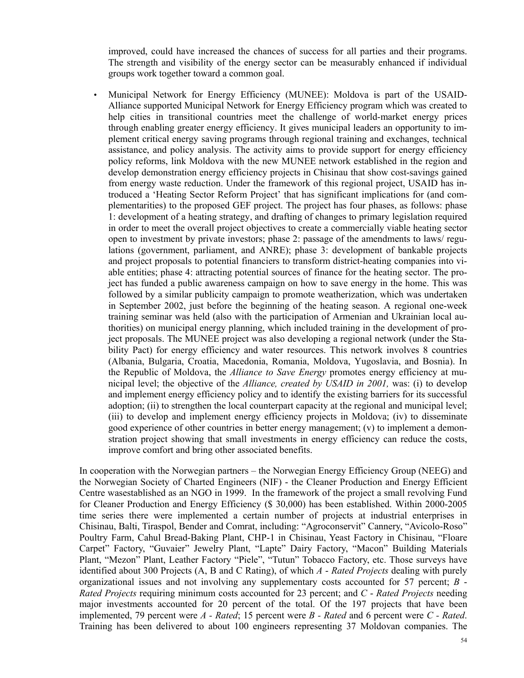improved, could have increased the chances of success for all parties and their programs. The strength and visibility of the energy sector can be measurably enhanced if individual groups work together toward a common goal.

• Municipal Network for Energy Efficiency (MUNEE): Moldova is part of the USAID-Alliance supported Municipal Network for Energy Efficiency program which was created to help cities in transitional countries meet the challenge of world-market energy prices through enabling greater energy efficiency. It gives municipal leaders an opportunity to implement critical energy saving programs through regional training and exchanges, technical assistance, and policy analysis. The activity aims to provide support for energy efficiency policy reforms, link Moldova with the new MUNEE network established in the region and develop demonstration energy efficiency projects in Chisinau that show cost-savings gained from energy waste reduction. Under the framework of this regional project, USAID has introduced a 'Heating Sector Reform Project' that has significant implications for (and complementarities) to the proposed GEF project. The project has four phases, as follows: phase 1: development of a heating strategy, and drafting of changes to primary legislation required in order to meet the overall project objectives to create a commercially viable heating sector open to investment by private investors; phase 2: passage of the amendments to laws/ regulations (government, parliament, and ANRE); phase 3: development of bankable projects and project proposals to potential financiers to transform district-heating companies into viable entities; phase 4: attracting potential sources of finance for the heating sector. The project has funded a public awareness campaign on how to save energy in the home. This was followed by a similar publicity campaign to promote weatherization, which was undertaken in September 2002, just before the beginning of the heating season. A regional one-week training seminar was held (also with the participation of Armenian and Ukrainian local authorities) on municipal energy planning, which included training in the development of project proposals. The MUNEE project was also developing a regional network (under the Stability Pact) for energy efficiency and water resources. This network involves 8 countries (Albania, Bulgaria, Croatia, Macedonia, Romania, Moldova, Yugoslavia, and Bosnia). In the Republic of Moldova, the *Alliance to Save Energy* promotes energy efficiency at municipal level; the objective of the *Alliance, created by USAID in 2001,* was: (i) to develop and implement energy efficiency policy and to identify the existing barriers for its successful adoption; (ii) to strengthen the local counterpart capacity at the regional and municipal level; (iii) to develop and implement energy efficiency projects in Moldova; (iv) to disseminate good experience of other countries in better energy management; (v) to implement a demonstration project showing that small investments in energy efficiency can reduce the costs, improve comfort and bring other associated benefits.

In cooperation with the Norwegian partners – the Norwegian Energy Efficiency Group (NEEG) and the Norwegian Society of Charted Engineers (NIF) - the Cleaner Production and Energy Efficient Centre wasestablished as an NGO in 1999. In the framework of the project a small revolving Fund for Cleaner Production and Energy Efficiency (\$ 30,000) has been established. Within 2000-2005 time series there were implemented a certain number of projects at industrial enterprises in Chisinau, Balti, Tiraspol, Bender and Comrat, including: "Agroconservit" Cannery, "Avicolo-Roso" Poultry Farm, Cahul Bread-Baking Plant, CHP-1 in Chisinau, Yeast Factory in Chisinau, "Floare Carpet" Factory, "Guvaier" Jewelry Plant, "Lapte" Dairy Factory, "Macon" Building Materials Plant, "Mezon" Plant, Leather Factory "Piele", "Tutun" Tobacco Factory, etc. Those surveys have identified about 300 Projects (A, B and C Rating), of which *A* - *Rated Projects* dealing with purely organizational issues and not involving any supplementary costs accounted for 57 percent; *B* - *Rated Projects* requiring minimum costs accounted for 23 percent; and *C* - *Rated Projects* needing major investments accounted for 20 percent of the total. Of the 197 projects that have been implemented, 79 percent were *A - Rated*; 15 percent were *B - Rated* and 6 percent were *C - Rated*. Training has been delivered to about 100 engineers representing 37 Moldovan companies. The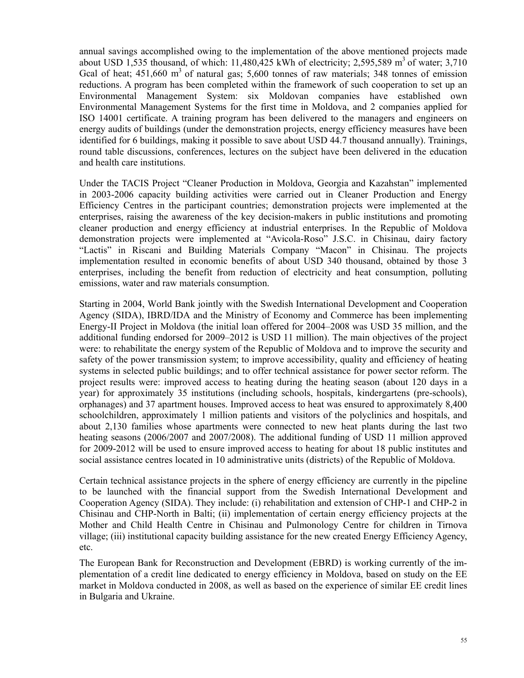annual savings accomplished owing to the implementation of the above mentioned projects made about USD 1,535 thousand, of which:  $11,480,425$  kWh of electricity; 2,595,589 m<sup>3</sup> of water; 3,710 Gcal of heat;  $451,660 \text{ m}^3$  of natural gas;  $5,600$  tonnes of raw materials; 348 tonnes of emission reductions. A program has been completed within the framework of such cooperation to set up an Environmental Management System: six Moldovan companies have established own Environmental Management Systems for the first time in Moldova, and 2 companies applied for ISO 14001 certificate. A training program has been delivered to the managers and engineers on energy audits of buildings (under the demonstration projects, energy efficiency measures have been identified for 6 buildings, making it possible to save about USD 44.7 thousand annually). Trainings, round table discussions, conferences, lectures on the subject have been delivered in the education and health care institutions.

Under the TACIS Project "Cleaner Production in Moldova, Georgia and Kazahstan" implemented in 2003-2006 capacity building activities were carried out in Cleaner Production and Energy Efficiency Centres in the participant countries; demonstration projects were implemented at the enterprises, raising the awareness of the key decision-makers in public institutions and promoting cleaner production and energy efficiency at industrial enterprises. In the Republic of Moldova demonstration projects were implemented at "Avicola-Roso" J.S.C. in Chisinau, dairy factory "Lactis" in Riscani and Building Materials Company "Macon" in Chisinau. The projects implementation resulted in economic benefits of about USD 340 thousand, obtained by those 3 enterprises, including the benefit from reduction of electricity and heat consumption, polluting emissions, water and raw materials consumption.

Starting in 2004, World Bank jointly with the Swedish International Development and Cooperation Agency (SIDA), IBRD/IDA and the Ministry of Economy and Commerce has been implementing Energy-II Project in Moldova (the initial loan offered for 2004–2008 was USD 35 million, and the additional funding endorsed for 2009–2012 is USD 11 million). The main objectives of the project were: to rehabilitate the energy system of the Republic of Moldova and to improve the security and safety of the power transmission system; to improve accessibility, quality and efficiency of heating systems in selected public buildings; and to offer technical assistance for power sector reform. The project results were: improved access to heating during the heating season (about 120 days in a year) for approximately 35 institutions (including schools, hospitals, kindergartens (pre-schools), orphanages) and 37 apartment houses. Improved access to heat was ensured to approximately 8,400 schoolchildren, approximately 1 million patients and visitors of the polyclinics and hospitals, and about 2,130 families whose apartments were connected to new heat plants during the last two heating seasons (2006/2007 and 2007/2008). The additional funding of USD 11 million approved for 2009-2012 will be used to ensure improved access to heating for about 18 public institutes and social assistance centres located in 10 administrative units (districts) of the Republic of Moldova.

Certain technical assistance projects in the sphere of energy efficiency are currently in the pipeline to be launched with the financial support from the Swedish International Development and Cooperation Agency (SIDA). They include: (i) rehabilitation and extension of CHP-1 and CHP-2 in Chisinau and CHP-North in Balti; (ii) implementation of certain energy efficiency projects at the Mother and Child Health Centre in Chisinau and Pulmonology Centre for children in Tirnova village; (iii) institutional capacity building assistance for the new created Energy Efficiency Agency, etc.

The European Bank for Reconstruction and Development (EBRD) is working currently of the implementation of a credit line dedicated to energy efficiency in Moldova, based on study on the EE market in Moldova conducted in 2008, as well as based on the experience of similar EE credit lines in Bulgaria and Ukraine.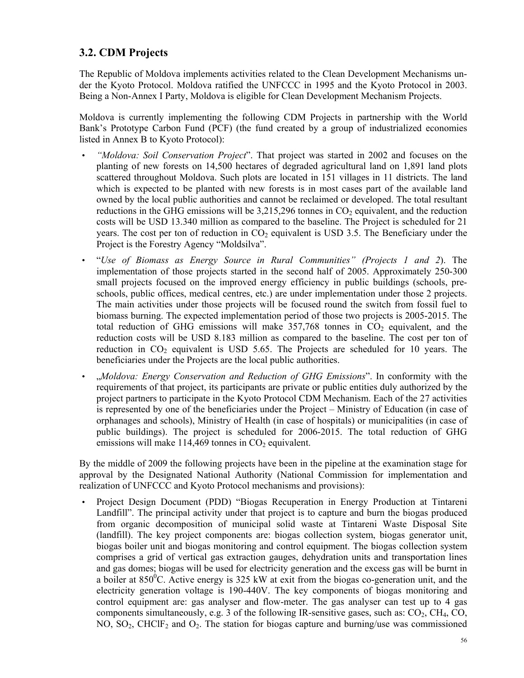# **3.2. CDM Projects**

The Republic of Moldova implements activities related to the Clean Development Mechanisms under the Kyoto Protocol. Moldova ratified the UNFCCC in 1995 and the Kyoto Protocol in 2003. Being a Non-Annex I Party, Moldova is eligible for Clean Development Mechanism Projects.

Moldova is currently implementing the following CDM Projects in partnership with the World Bank's Prototype Carbon Fund (PCF) (the fund created by a group of industrialized economies listed in Annex B to Kyoto Protocol):

- *"Moldova: Soil Conservation Project*". That project was started in 2002 and focuses on the planting of new forests on 14,500 hectares of degraded agricultural land on 1,891 land plots scattered throughout Moldova. Such plots are located in 151 villages in 11 districts. The land which is expected to be planted with new forests is in most cases part of the available land owned by the local public authorities and cannot be reclaimed or developed. The total resultant reductions in the GHG emissions will be  $3,215,296$  tonnes in  $CO<sub>2</sub>$  equivalent, and the reduction costs will be USD 13.340 million as compared to the baseline. The Project is scheduled for 21 years. The cost per ton of reduction in  $CO<sub>2</sub>$  equivalent is USD 3.5. The Beneficiary under the Project is the Forestry Agency "Moldsilva".
- "*Use of Biomass as Energy Source in Rural Communities" (Projects 1 and 2*). The implementation of those projects started in the second half of 2005. Approximately 250-300 small projects focused on the improved energy efficiency in public buildings (schools, preschools, public offices, medical centres, etc.) are under implementation under those 2 projects. The main activities under those projects will be focused round the switch from fossil fuel to biomass burning. The expected implementation period of those two projects is 2005-2015. The total reduction of GHG emissions will make  $357,768$  tonnes in  $CO<sub>2</sub>$  equivalent, and the reduction costs will be USD 8.183 million as compared to the baseline. The cost per ton of reduction in  $CO<sub>2</sub>$  equivalent is USD 5.65. The Projects are scheduled for 10 years. The beneficiaries under the Projects are the local public authorities.
- "*Moldova: Energy Conservation and Reduction of GHG Emissions*". In conformity with the requirements of that project, its participants are private or public entities duly authorized by the project partners to participate in the Kyoto Protocol CDM Mechanism. Each of the 27 activities is represented by one of the beneficiaries under the Project – Ministry of Education (in case of orphanages and schools), Ministry of Health (in case of hospitals) or municipalities (in case of public buildings). The project is scheduled for 2006-2015. The total reduction of GHG emissions will make  $114,469$  tonnes in  $CO<sub>2</sub>$  equivalent.

By the middle of 2009 the following projects have been in the pipeline at the examination stage for approval by the Designated National Authority (National Commission for implementation and realization of UNFCCC and Kyoto Protocol mechanisms and provisions):

• Project Design Document (PDD) "Biogas Recuperation in Energy Production at Tintareni Landfill". The principal activity under that project is to capture and burn the biogas produced from organic decomposition of municipal solid waste at Tintareni Waste Disposal Site (landfill). The key project components are: biogas collection system, biogas generator unit, biogas boiler unit and biogas monitoring and control equipment. The biogas collection system comprises a grid of vertical gas extraction gauges, dehydration units and transportation lines and gas domes; biogas will be used for electricity generation and the excess gas will be burnt in a boiler at  $850^{\circ}$ C. Active energy is 325 kW at exit from the biogas co-generation unit, and the electricity generation voltage is 190-440V. The key components of biogas monitoring and control equipment are: gas analyser and flow-meter. The gas analyser can test up to 4 gas components simultaneously, e.g. 3 of the following IR-sensitive gases, such as:  $CO<sub>2</sub>$ , CH<sub>4</sub>, CO, NO,  $SO_2$ , CHClF<sub>2</sub> and  $O_2$ . The station for biogas capture and burning/use was commissioned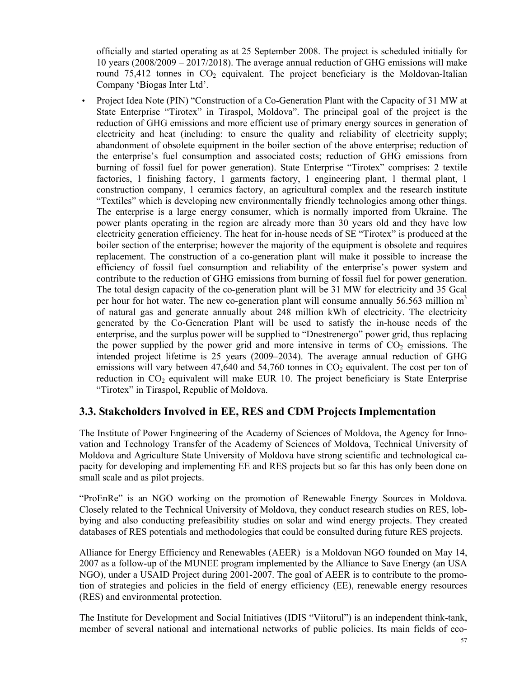officially and started operating as at 25 September 2008. The project is scheduled initially for 10 years (2008/2009 – 2017/2018). The average annual reduction of GHG emissions will make round  $75,412$  tonnes in  $CO<sub>2</sub>$  equivalent. The project beneficiary is the Moldovan-Italian Company 'Biogas Inter Ltd'.

• Project Idea Note (PIN) "Construction of a Co-Generation Plant with the Capacity of 31 MW at State Enterprise "Tirotex" in Tiraspol, Moldova". The principal goal of the project is the reduction of GHG emissions and more efficient use of primary energy sources in generation of electricity and heat (including: to ensure the quality and reliability of electricity supply; abandonment of obsolete equipment in the boiler section of the above enterprise; reduction of the enterprise's fuel consumption and associated costs; reduction of GHG emissions from burning of fossil fuel for power generation). State Enterprise "Tirotex" comprises: 2 textile factories, 1 finishing factory, 1 garments factory, 1 engineering plant, 1 thermal plant, 1 construction company, 1 ceramics factory, an agricultural complex and the research institute "Textiles" which is developing new environmentally friendly technologies among other things. The enterprise is a large energy consumer, which is normally imported from Ukraine. The power plants operating in the region are already more than 30 years old and they have low electricity generation efficiency. The heat for in-house needs of SE "Tirotex" is produced at the boiler section of the enterprise; however the majority of the equipment is obsolete and requires replacement. The construction of a co-generation plant will make it possible to increase the efficiency of fossil fuel consumption and reliability of the enterprise's power system and contribute to the reduction of GHG emissions from burning of fossil fuel for power generation. The total design capacity of the co-generation plant will be 31 MW for electricity and 35 Gcal per hour for hot water. The new co-generation plant will consume annually  $56.563$  million m<sup>3</sup> of natural gas and generate annually about 248 million kWh of electricity. The electricity generated by the Co-Generation Plant will be used to satisfy the in-house needs of the enterprise, and the surplus power will be supplied to "Dnestrenergo" power grid, thus replacing the power supplied by the power grid and more intensive in terms of  $CO<sub>2</sub>$  emissions. The intended project lifetime is 25 years (2009–2034). The average annual reduction of GHG emissions will vary between 47,640 and 54,760 tonnes in  $CO<sub>2</sub>$  equivalent. The cost per ton of reduction in  $CO<sub>2</sub>$  equivalent will make EUR 10. The project beneficiary is State Enterprise "Tirotex" in Tiraspol, Republic of Moldova.

### **3.3. Stakeholders Involved in EE, RES and CDM Projects Implementation**

The Institute of Power Engineering of the Academy of Sciences of Moldova, the Agency for Innovation and Technology Transfer of the Academy of Sciences of Moldova, Technical University of Moldova and Agriculture State University of Moldova have strong scientific and technological capacity for developing and implementing EE and RES projects but so far this has only been done on small scale and as pilot projects.

"ProEnRe" is an NGO working on the promotion of Renewable Energy Sources in Moldova. Closely related to the Technical University of Moldova, they conduct research studies on RES, lobbying and also conducting prefeasibility studies on solar and wind energy projects. They created databases of RES potentials and methodologies that could be consulted during future RES projects.

Alliance for Energy Efficiency and Renewables (AEER) is a Moldovan NGO founded on May 14, 2007 as a follow-up of the MUNEE program implemented by the Alliance to Save Energy (an USA NGO), under a USAID Project during 2001-2007. The goal of AEER is to contribute to the promotion of strategies and policies in the field of energy efficiency (EE), renewable energy resources (RES) and environmental protection.

The Institute for Development and Social Initiatives (IDIS "Viitorul") is an independent think-tank, member of several national and international networks of public policies. Its main fields of eco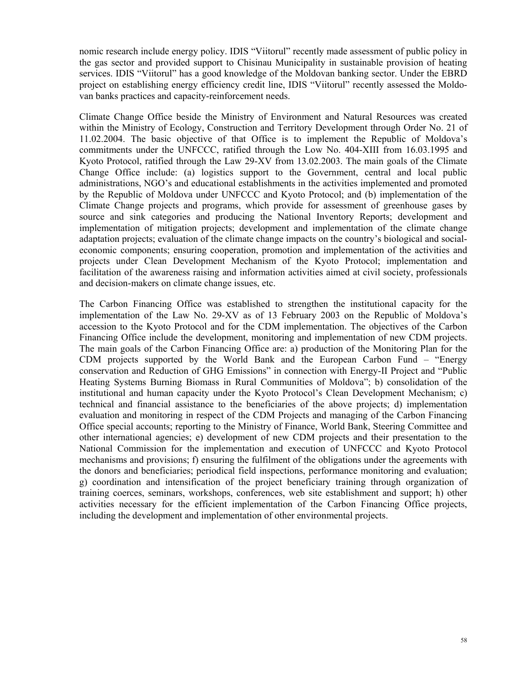nomic research include energy policy. IDIS "Viitorul" recently made assessment of public policy in the gas sector and provided support to Chisinau Municipality in sustainable provision of heating services. IDIS "Viitorul" has a good knowledge of the Moldovan banking sector. Under the EBRD project on establishing energy efficiency credit line, IDIS "Viitorul" recently assessed the Moldovan banks practices and capacity-reinforcement needs.

Climate Change Office beside the Ministry of Environment and Natural Resources was created within the Ministry of Ecology, Construction and Territory Development through Order No. 21 of 11.02.2004. The basic objective of that Office is to implement the Republic of Moldova's commitments under the UNFCCC, ratified through the Low No. 404-XIII from 16.03.1995 and Kyoto Protocol, ratified through the Law 29-XV from 13.02.2003. The main goals of the Climate Change Office include: (a) logistics support to the Government, central and local public administrations, NGO's and educational establishments in the activities implemented and promoted by the Republic of Moldova under UNFCCC and Kyoto Protocol; and (b) implementation of the Climate Change projects and programs, which provide for assessment of greenhouse gases by source and sink categories and producing the National Inventory Reports; development and implementation of mitigation projects; development and implementation of the climate change adaptation projects; evaluation of the climate change impacts on the country's biological and socialeconomic components; ensuring cooperation, promotion and implementation of the activities and projects under Clean Development Mechanism of the Kyoto Protocol; implementation and facilitation of the awareness raising and information activities aimed at civil society, professionals and decision-makers on climate change issues, etc.

The Carbon Financing Office was established to strengthen the institutional capacity for the implementation of the Law No. 29-XV as of 13 February 2003 on the Republic of Moldova's accession to the Kyoto Protocol and for the CDM implementation. The objectives of the Carbon Financing Office include the development, monitoring and implementation of new CDM projects. The main goals of the Carbon Financing Office are: a) production of the Monitoring Plan for the CDM projects supported by the World Bank and the European Carbon Fund – "Energy conservation and Reduction of GHG Emissions" in connection with Energy-II Project and "Public Heating Systems Burning Biomass in Rural Communities of Moldova"; b) consolidation of the institutional and human capacity under the Kyoto Protocol's Clean Development Mechanism; c) technical and financial assistance to the beneficiaries of the above projects; d) implementation evaluation and monitoring in respect of the CDM Projects and managing of the Carbon Financing Office special accounts; reporting to the Ministry of Finance, World Bank, Steering Committee and other international agencies; e) development of new CDM projects and their presentation to the National Commission for the implementation and execution of UNFCCC and Kyoto Protocol mechanisms and provisions; f) ensuring the fulfilment of the obligations under the agreements with the donors and beneficiaries; periodical field inspections, performance monitoring and evaluation; g) coordination and intensification of the project beneficiary training through organization of training coerces, seminars, workshops, conferences, web site establishment and support; h) other activities necessary for the efficient implementation of the Carbon Financing Office projects, including the development and implementation of other environmental projects.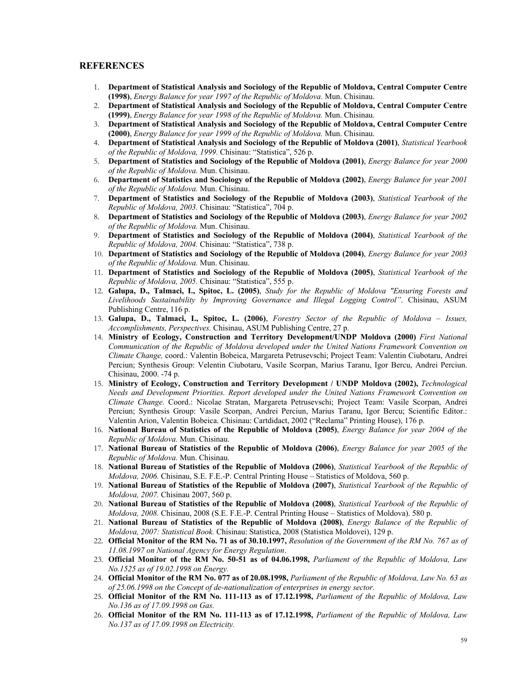#### **REFERENCES**

- 1. **Department of Statistical Analysis and Sociology of the Republic of Moldova, Central Computer Centre (1998)**, *Energy Balance for year 1997 of the Republic of Moldova.* Mun. Chisinau.
- 2. **Department of Statistical Analysis and Sociology of the Republic of Moldova, Central Computer Centre (1999)**, *Energy Balance for year 1998 of the Republic of Moldova.* Mun. Chisinau.
- 3. **Department of Statistical Analysis and Sociology of the Republic of Moldova, Central Computer Centre (2000)**, *Energy Balance for year 1999 of the Republic of Moldova.* Mun. Chisinau.
- 4. **Department of Statistical Analysis and Sociology of the Republic of Moldova (2001)**, *Statistical Yearbook of the Republic of Moldova, 1999.* Chisinau: "Statistica", 526 p.
- 5. **Department of Statistics and Sociology of the Republic of Moldova (2001)**, *Energy Balance for year 2000 of the Republic of Moldova.* Mun. Chisinau.
- 6. **Department of Statistics and Sociology of the Republic of Moldova (2002)**, *Energy Balance for year 2001 of the Republic of Moldova.* Mun. Chisinau.
- 7. **Department of Statistics and Sociology of the Republic of Moldova (2003)**, *Statistical Yearbook of the Republic of Moldova, 2003.* Chisinau: "Statistica", 704 p.
- 8. **Department of Statistics and Sociology of the Republic of Moldova (2003)**, *Energy Balance for year 2002 of the Republic of Moldova.* Mun. Chisinau.
- 9. **Department of Statistics and Sociology of the Republic of Moldova (2004)**, *Statistical Yearbook of the Republic of Moldova, 2004.* Chisinau: "Statistica", 738 p.
- 10. **Department of Statistics and Sociology of the Republic of Moldova (2004)**, *Energy Balance for year 2003 of the Republic of Moldova.* Mun. Chisinau.
- 11. **Department of Statistics and Sociology of the Republic of Moldova (2005)**, *Statistical Yearbook of the Republic of Moldova, 2005.* Chisinau: "Statistica", 555 p.
- 12. **Galupa, D., Talmaci, I., Spitoc, L. (2005)**, *Study for the Republic of Moldova "Ensuring Forests and Livelihoods Sustainability by Improving Governance and Illegal Logging Control"*. Chisinau, ASUM Publishing Centre, 116 p.
- 13. **Galupa, D., Talmaci, I., Spitoc, L. (2006)**, *Forestry Sector of the Republic of Moldova Issues, Accomplishments, Perspectives.* Chisinau, ASUM Publishing Centre, 27 p.
- 14. **Ministry of Ecology, Construction and Territory Development/UNDP Moldova (2000)** *First National Communication of the Republic of Moldova developed under the United Nations Framework Convention on Climate Change,* coord.: Valentin Bobeica, Margareta Petrusevschi; Project Team: Valentin Ciubotaru, Andrei Perciun; Synthesis Group: Velentin Ciubotaru, Vasile Scorpan, Marius Taranu, Igor Bercu, Andrei Perciun. Chisinau, 2000. -74 p.
- 15. **Ministry of Ecology, Construction and Territory Development / UNDP Moldova (2002),** *Technological Needs and Development Priorities. Report developed under the United Nations Framework Convention on Climate Change.* Coord.: Nicolae Stratan, Margareta Petrusevschi; Project Team: Vasile Scorpan, Andrei Perciun; Synthesis Group: Vasile Scorpan, Andrei Perciun, Marius Taranu, Igor Bercu; Scientific Editor.: Valentin Arion, Valentin Bobeica. Chisinau: Cartdidact, 2002 ("Reclama" Printing House), 176 p.
- 16. **National Bureau of Statistics of the Republic of Moldova (2005)**, *Energy Balance for year 2004 of the Republic of Moldova.* Mun. Chisinau.
- 17. **National Bureau of Statistics of the Republic of Moldova (2006)**, *Energy Balance for year 2005 of the Republic of Moldova.* Mun. Chisinau.
- 18. **National Bureau of Statistics of the Republic of Moldova (2006)**, *Statistical Yearbook of the Republic of Moldova, 2006.* Chisinau, S.E. F.E.-P. Central Printing House – Statistics of Moldova, 560 p.
- 19. **National Bureau of Statistics of the Republic of Moldova (2007)**, *Statistical Yearbook of the Republic of Moldova, 2007.* Chisinau 2007, 560 p.
- 20. **National Bureau of Statistics of the Republic of Moldova (2008)**, *Statistical Yearbook of the Republic of Moldova, 2008.* Chisinau, 2008 (S.E. F.E.-P. Central Printing House – Statistics of Moldova). 580 p.
- 21. **National Bureau of Statistics of the Republic of Moldova (2008)**, *Energy Balance of the Republic of Moldova, 2007: Statistical Book.* Chisinau: Statistica, 2008 (Statistica Moldovei), 129 p.
- 22. **Official Monitor of the RM No. 71 as of 30.10.1997,** *Resolution of the Government of the RM No. 767 as of 11.08.1997 on National Agency for Energy Regulation*.
- 23. **Official Monitor of the RM No. 50-51 as of 04.06.1998,** *Parliament of the Republic of Moldova, Law No.1525 as of 19.02.1998 on Energy.*
- 24. **Official Monitor of the RM No. 077 as of 20.08.1998,** *Parliament of the Republic of Moldova, Law No. 63 as of 25.06.1998 on the Concept of de-nationalization of enterprises in energy sector.*
- 25. **Official Monitor of the RM No. 111-113 as of 17.12.1998,** *Parliament of the Republic of Moldova, Law No.136 as of 17.09.1998 on Gas.*
- 26. **Official Monitor of the RM No. 111-113 as of 17.12.1998,** *Parliament of the Republic of Moldova, Law No.137 as of 17.09.1998 on Electricity.*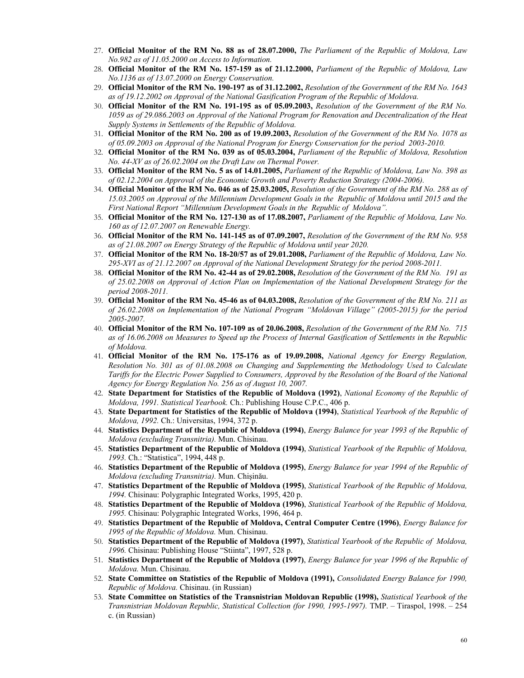- 27. **Official Monitor of the RM No. 88 as of 28.07.2000,** *The Parliament of the Republic of Moldova, Law No.982 as of 11.05.2000 on Access to Information.*
- 28. **Official Monitor of the RM No. 157-159 as of 21.12.2000,** *Parliament of the Republic of Moldova, Law No.1136 as of 13.07.2000 on Energy Conservation.*
- 29. **Official Monitor of the RM No. 190-197 as of 31.12.2002,** *Resolution of the Government of the RM No. 1643 as of 19.12.2002 on Approval of the National Gasification Program of the Republic of Moldova.*
- 30. **Official Monitor of the RM No. 191-195 as of 05.09.2003,** *Resolution of the Government of the RM No. 1059 as of 29.086.2003 on Approval of the National Program for Renovation and Decentralization of the Heat Supply Systems in Settlements of the Republic of Moldova.*
- 31. **Official Monitor of the RM No. 200 as of 19.09.2003,** *Resolution of the Government of the RM No. 1078 as of 05.09.2003 on Approval of the National Program for Energy Conservation for the period 2003-2010.*
- 32. **Official Monitor of the RM No. 039 as of 05.03.2004,** *Parliament of the Republic of Moldova, Resolution No. 44-XV as of 26.02.2004 on the Draft Law on Thermal Power.*
- 33. **Official Monitor of the RM No. 5 as of 14.01.2005,** *Parliament of the Republic of Moldova, Law No. 398 as of 02.12.2004 on Approval of the Economic Growth and Poverty Reduction Strategy (2004-2006).*
- 34. **Official Monitor of the RM No. 046 as of 25.03.2005,** *Resolution of the Government of the RM No. 288 as of 15.03.2005 on Approval of the Millennium Development Goals in the Republic of Moldova until 2015 and the First National Report "Millennium Development Goals in the Republic of Moldova".*
- 35. **Official Monitor of the RM No. 127-130 as of 17.08.2007,** *Parliament of the Republic of Moldova, Law No. 160 as of 12.07.2007 on Renewable Energy.*
- 36. **Official Monitor of the RM No. 141-145 as of 07.09.2007,** *Resolution of the Government of the RM No. 958 as of 21.08.2007 on Energy Strategy of the Republic of Moldova until year 2020.*
- 37. **Official Monitor of the RM No. 18-20/57 as of 29.01.2008,** *Parliament of the Republic of Moldova, Law No. 295-XVI as of 21.12.2007 on Approval of the National Development Strategy for the period 2008-2011.*
- 38. **Official Monitor of the RM No. 42-44 as of 29.02.2008,** *Resolution of the Government of the RM No. 191 as of 25.02.2008 on Approval of Action Plan on Implementation of the National Development Strategy for the period 2008-2011.*
- 39. **Official Monitor of the RM No. 45-46 as of 04.03.2008,** *Resolution of the Government of the RM No. 211 as of 26.02.2008 on Implementation of the National Program "Moldovan Village" (2005-2015) for the period 2005-2007.*
- 40. **Official Monitor of the RM No. 107-109 as of 20.06.2008,** *Resolution of the Government of the RM No. 715 as of 16.06.2008 on Measures to Speed up the Process of Internal Gasification of Settlements in the Republic of Moldova.*
- 41. **Official Monitor of the RM No. 175-176 as of 19.09.2008,** *National Agency for Energy Regulation, Resolution No. 301 as of 01.08.2008 on Changing and Supplementing the Methodology Used to Calculate Tariffs for the Electric Power Supplied to Consumers, Approved by the Resolution of the Board of the National Agency for Energy Regulation No. 256 as of August 10, 2007.*
- 42. **State Department for Statistics of the Republic of Moldova (1992)**, *National Economy of the Republic of Moldova, 1991. Statistical Yearbook.* Ch.: Publishing House C.P.C., 406 p.
- 43. **State Department for Statistics of the Republic of Moldova (1994)**, *Statistical Yearbook of the Republic of Moldova, 1992.* Ch.: Universitas, 1994, 372 p.
- 44. **Statistics Department of the Republic of Moldova (1994)**, *Energy Balance for year 1993 of the Republic of Moldova (excluding Transnitria).* Mun. Chisinau.
- 45. **Statistics Department of the Republic of Moldova (1994)**, *Statistical Yearbook of the Republic of Moldova, 1993.* Ch.: "Statistica", 1994, 448 p.
- 46. **Statistics Department of the Republic of Moldova (1995)**, *Energy Balance for year 1994 of the Republic of Moldova (excluding Transnitria).* Mun. Chişinău.
- 47. **Statistics Department of the Republic of Moldova (1995)**, *Statistical Yearbook of the Republic of Moldova, 1994.* Chisinau: Polygraphic Integrated Works, 1995, 420 p.
- 48. **Statistics Department of the Republic of Moldova (1996)**, *Statistical Yearbook of the Republic of Moldova, 1995.* Chisinau: Polygraphic Integrated Works, 1996, 464 p.
- 49. **Statistics Department of the Republic of Moldova, Central Computer Centre (1996)**, *Energy Balance for 1995 of the Republic of Moldova.* Mun. Chisinau.
- 50. **Statistics Department of the Republic of Moldova (1997)**, *Statistical Yearbook of the Republic of Moldova, 1996.* Chisinau: Publishing House "Stiinta", 1997, 528 p.
- 51. **Statistics Department of the Republic of Moldova (1997)**, *Energy Balance for year 1996 of the Republic of Moldova.* Mun. Chisinau.
- 52. **State Committee on Statistics of the Republic of Moldova (1991),** *Consolidated Energy Balance for 1990, Republic of Moldova.* Chisinau. (in Russian)
- 53. **State Committee on Statistics of the Transnistrian Moldovan Republic (1998),** *Statistical Yearbook of the Transnistrian Moldovan Republic, Statistical Collection (for 1990, 1995-1997).* TMP. – Tiraspol, 1998. – 254 с. (in Russian)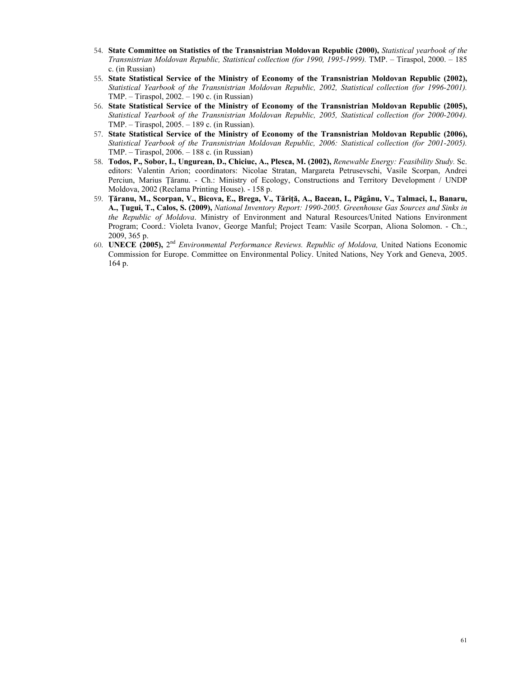- 54. **State Committee on Statistics of the Transnistrian Moldovan Republic (2000),** *Statistical yearbook of the Transnistrian Moldovan Republic, Statistical collection (for 1990, 1995-1999).* TMP. – Tiraspol, 2000. – 185 с. (in Russian)
- 55. **State Statistical Service of the Ministry of Economy of the Transnistrian Moldovan Republic (2002),** *Statistical Yearbook of the Transnistrian Moldovan Republic, 2002, Statistical collection (for 1996-2001).*  TMP. – Tiraspol, 2002. – 190 с. (in Russian)
- 56. **State Statistical Service of the Ministry of Economy of the Transnistrian Moldovan Republic (2005),** *Statistical Yearbook of the Transnistrian Moldovan Republic, 2005, Statistical collection (for 2000-2004).*  TMP. – Tiraspol, 2005. – 189 с. (in Russian).
- 57. **State Statistical Service of the Ministry of Economy of the Transnistrian Moldovan Republic (2006),** *Statistical Yearbook of the Transnistrian Moldovan Republic, 2006: Statistical collection (for 2001-2005).*  TMP. – Tiraspol, 2006. – 188 с. (in Russian)
- 58. **Todos, P., Sobor, I., Ungurean, D., Chiciuc, A., Plesca, M. (2002),** *Renewable Energy: Feasibility Study.* Sc. editors: Valentin Arion; coordinators: Nicolae Stratan, Margareta Petrusevschi, Vasile Scorpan, Andrei Perciun, Marius Ţăranu. - Ch.: Ministry of Ecology, Constructions and Territory Development / UNDP Moldova, 2002 (Reclama Printing House). - 158 p.
- 59. **Ţăranu, M., Scorpan, V., Bicova, E., Brega, V., Tăriţă, A., Bacean, I., Păgânu, V., Talmaci, I., Banaru, A., Ţugui, T., Calos, S. (2009),** *National Inventory Report: 1990-2005. Greenhouse Gas Sources and Sinks in the Republic of Moldova*. Ministry of Environment and Natural Resources/United Nations Environment Program; Coord.: Violeta Ivanov, George Manful; Project Team: Vasile Scorpan, Aliona Solomon. - Ch.:, 2009, 365 p.
- 60. **UNECE (2005),** 2nd *Environmental Performance Reviews. Republic of Moldova,* United Nations Economic Commission for Europe. Committee on Environmental Policy. United Nations, Ney York and Geneva, 2005. 164 p.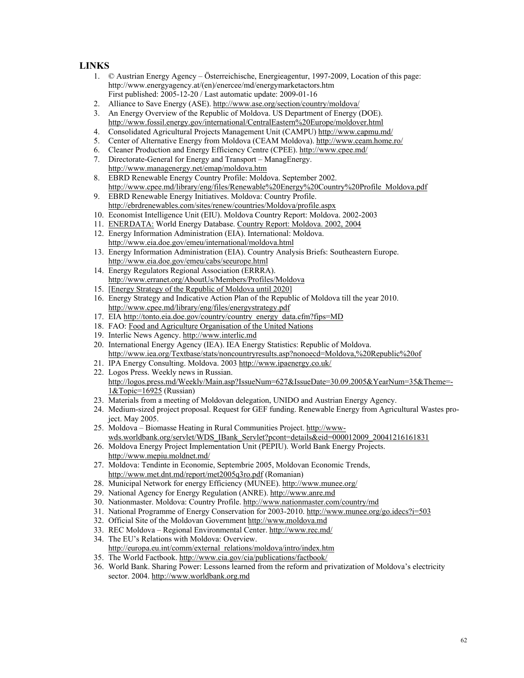#### **LINKS**

- 1. © Austrian Energy Agency Österreichische, Energieagentur, 1997-2009, Location of this page: http://www.energyagency.at/(en)/enercee/md/energymarketactors.htm First published: 2005-12-20 / Last automatic update: 2009-01-16
- 2. Alliance to Save Energy (ASE). http://www.ase.org/section/country/moldova/
- 3. An Energy Overview of the Republic of Moldova. US Department of Energy (DOE). http://www.fossil.energy.gov/international/CentralEastern%20Europe/moldover.html
- 4. Consolidated Agricultural Projects Management Unit (CAMPU) http://www.capmu.md/
- 5. Center of Alternative Energy from Moldova (CEAM Moldova). http://www.ceam.home.ro/
- 6. Cleaner Production and Energy Efficiency Centre (CPEE). http://www.cpee.md/
- 7. Directorate-General for Energy and Transport ManagEnergy. http://www.managenergy.net/emap/moldova.htm
- 8. EBRD Renewable Energy Country Profile: Moldova. September 2002. http://www.cpee.md/library/eng/files/Renewable%20Energy%20Country%20Profile\_Moldova.pdf
- 9. EBRD Renewable Energy Initiatives. Moldova: Country Profile. http://ebrdrenewables.com/sites/renew/countries/Moldova/profile.aspx
- 10. Economist Intelligence Unit (EIU). Moldova Country Report: Moldova. 2002-2003
- 11. ENERDATA: World Energy Database. Country Report: Moldova. 2002, 2004
- 12. Energy Information Administration (EIA). International: Moldova. http://www.eia.doe.gov/emeu/international/moldova.html
- 13. Energy Information Administration (EIA). Country Analysis Briefs: Southeastern Europe. http://www.eia.doe.gov/emeu/cabs/seeurope.html
- 14. Energy Regulators Regional Association (ERRRA). http://www.erranet.org/AboutUs/Members/Profiles/Moldova
- 15. [Energy Strategy of the Republic of Moldova until 2020]
- 16. Energy Strategy and Indicative Action Plan of the Republic of Moldova till the year 2010. http://www.cpee.md/library/eng/files/energystrategy.pdf
- 17. EIA http://tonto.eia.doe.gov/country/country\_energy\_data.cfm?fips=MD
- 18. FAO: Food and Agriculture Organisation of the United Nations
- 19. Interlic News Agency. http://www.interlic.md
- 20. International Energy Agency (IEA). IEA Energy Statistics: Republic of Moldova. http://www.iea.org/Textbase/stats/noncountryresults.asp?nonoecd=Moldova,%20Republic%20of
- 21. IPA Energy Consulting. Moldova. 2003 http://www.ipaenergy.co.uk/
- 22. Logos Press. Weekly news in Russian. http://logos.press.md/Weekly/Main.asp?IssueNum=627&IssueDate=30.09.2005&YearNum=35&Theme=- 1&Topic=16925 (Russian)
- 23. Materials from a meeting of Moldovan delegation, UNIDO and Austrian Energy Agency.
- 24. Medium-sized project proposal. Request for GEF funding. Renewable Energy from Agricultural Wastes project. May 2005.
- 25. Moldova Biomasse Heating in Rural Communities Project. http://wwwwds.worldbank.org/servlet/WDS\_IBank\_Servlet?pcont=details&eid=000012009\_20041216161831
- 26. Moldova Energy Project Implementation Unit (PEPIU). World Bank Energy Projects. http://www.mepiu.moldnet.md/
- 27. Moldova: Tendinte in Economie, Septembrie 2005, Moldovan Economic Trends, http://www.met.dnt.md/report/met2005q3ro.pdf (Romanian)
- 28. Municipal Network for energy Efficiency (MUNEE). http://www.munee.org/
- 29. National Agency for Energy Regulation (ANRE). http://www.anre.md
- 30. Nationmaster. Moldova: Country Profile. http://www.nationmaster.com/country/md
- 31. National Programme of Energy Conservation for 2003-2010. http://www.munee.org/go.idecs?i=503
- 32. Official Site of the Moldovan Government http://www.moldova.md
- 33. REC Moldova Regional Environmental Center. http://www.rec.md/
- 34. The EU's Relations with Moldova: Overview. http://europa.eu.int/comm/external\_relations/moldova/intro/index.htm
- 35. The World Factbook. http://www.cia.gov/cia/publications/factbook/
- 36. World Bank. Sharing Power: Lessons learned from the reform and privatization of Moldova's electricity sector. 2004. http://www.worldbank.org.md